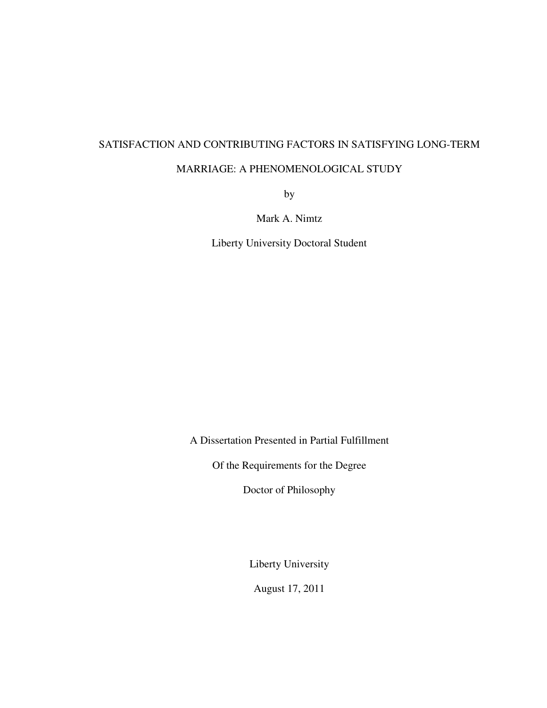# SATISFACTION AND CONTRIBUTING FACTORS IN SATISFYING LONG-TERM

## MARRIAGE: A PHENOMENOLOGICAL STUDY

by

Mark A. Nimtz

Liberty University Doctoral Student

A Dissertation Presented in Partial Fulfillment

Of the Requirements for the Degree

Doctor of Philosophy

Liberty University

August 17, 2011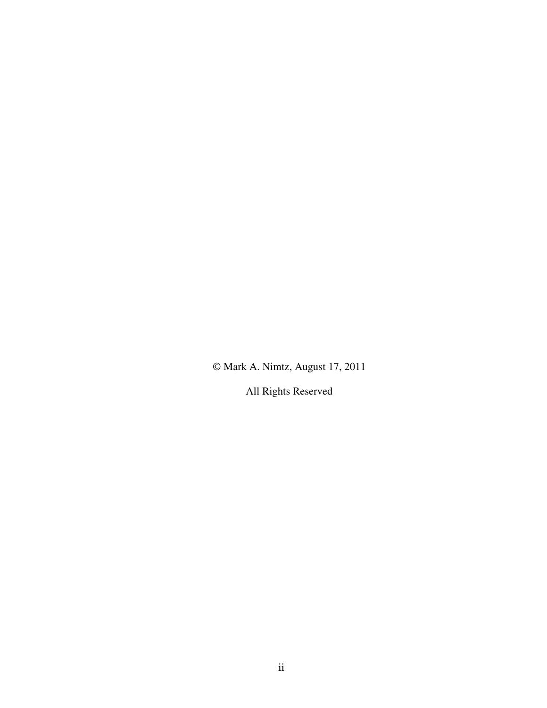© Mark A. Nimtz, August 17, 2011

All Rights Reserved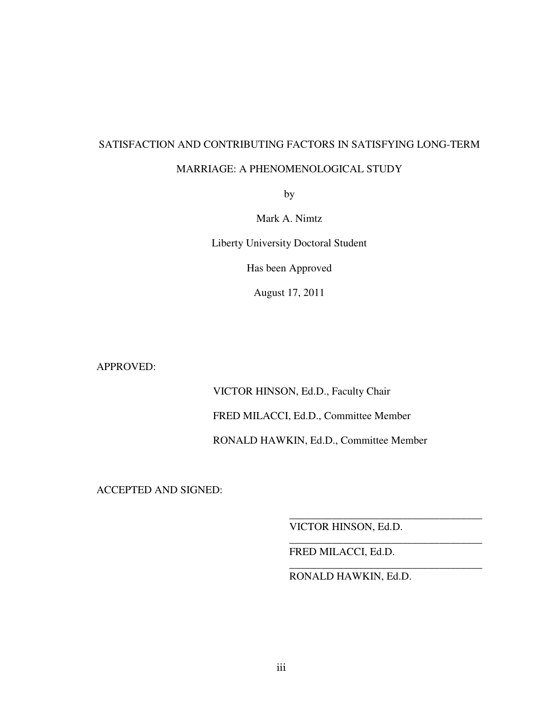## SATISFACTION AND CONTRIBUTING FACTORS IN SATISFYING LONG-TERM

## MARRIAGE: A PHENOMENOLOGICAL STUDY

by

Mark A. Nimtz

Liberty University Doctoral Student

Has been Approved

August 17, 2011

APPROVED:

VICTOR HINSON, Ed.D., Faculty Chair

FRED MILACCI, Ed.D., Committee Member

RONALD HAWKIN, Ed.D., Committee Member

ACCEPTED AND SIGNED:

VICTOR HINSON, Ed.D.

\_\_\_\_\_\_\_\_\_\_\_\_\_\_\_\_\_\_\_\_\_\_\_\_\_\_\_\_\_\_\_\_\_\_\_\_

\_\_\_\_\_\_\_\_\_\_\_\_\_\_\_\_\_\_\_\_\_\_\_\_\_\_\_\_\_\_\_\_\_\_\_\_

\_\_\_\_\_\_\_\_\_\_\_\_\_\_\_\_\_\_\_\_\_\_\_\_\_\_\_\_\_\_\_\_\_\_\_\_

FRED MILACCI, Ed.D.

RONALD HAWKIN, Ed.D.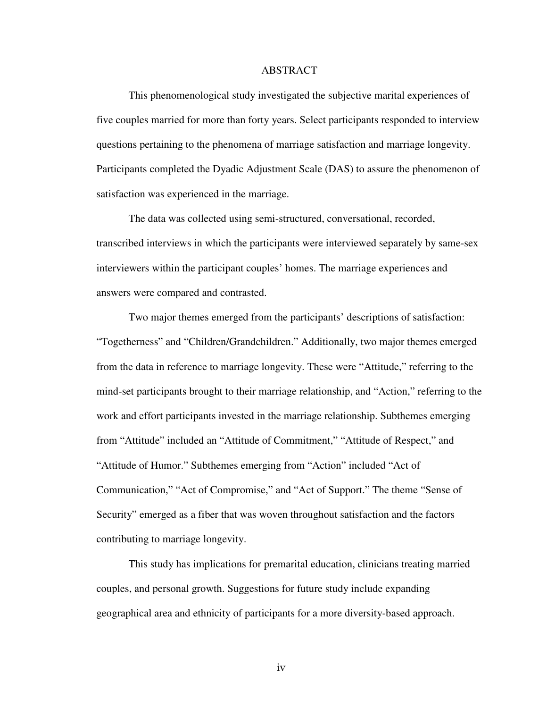#### ABSTRACT

This phenomenological study investigated the subjective marital experiences of five couples married for more than forty years. Select participants responded to interview questions pertaining to the phenomena of marriage satisfaction and marriage longevity. Participants completed the Dyadic Adjustment Scale (DAS) to assure the phenomenon of satisfaction was experienced in the marriage.

The data was collected using semi-structured, conversational, recorded, transcribed interviews in which the participants were interviewed separately by same-sex interviewers within the participant couples' homes. The marriage experiences and answers were compared and contrasted.

Two major themes emerged from the participants' descriptions of satisfaction: "Togetherness" and "Children/Grandchildren." Additionally, two major themes emerged from the data in reference to marriage longevity. These were "Attitude," referring to the mind-set participants brought to their marriage relationship, and "Action," referring to the work and effort participants invested in the marriage relationship. Subthemes emerging from "Attitude" included an "Attitude of Commitment," "Attitude of Respect," and "Attitude of Humor." Subthemes emerging from "Action" included "Act of Communication," "Act of Compromise," and "Act of Support." The theme "Sense of Security" emerged as a fiber that was woven throughout satisfaction and the factors contributing to marriage longevity.

This study has implications for premarital education, clinicians treating married couples, and personal growth. Suggestions for future study include expanding geographical area and ethnicity of participants for a more diversity-based approach.

iv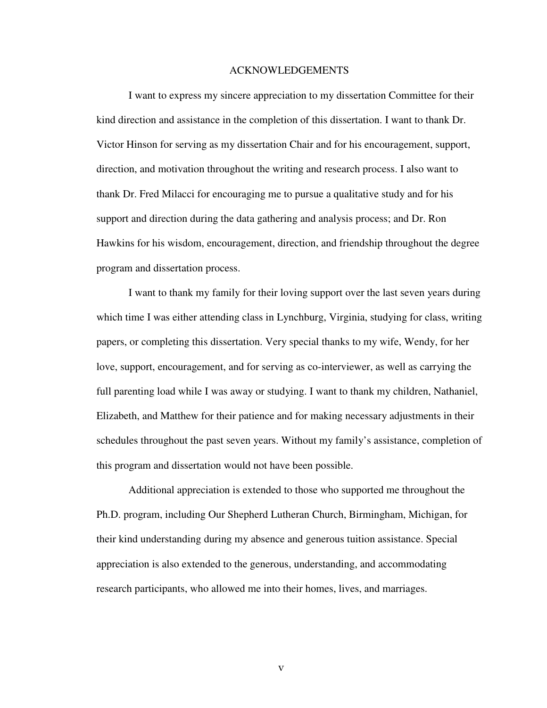#### ACKNOWLEDGEMENTS

I want to express my sincere appreciation to my dissertation Committee for their kind direction and assistance in the completion of this dissertation. I want to thank Dr. Victor Hinson for serving as my dissertation Chair and for his encouragement, support, direction, and motivation throughout the writing and research process. I also want to thank Dr. Fred Milacci for encouraging me to pursue a qualitative study and for his support and direction during the data gathering and analysis process; and Dr. Ron Hawkins for his wisdom, encouragement, direction, and friendship throughout the degree program and dissertation process.

I want to thank my family for their loving support over the last seven years during which time I was either attending class in Lynchburg, Virginia, studying for class, writing papers, or completing this dissertation. Very special thanks to my wife, Wendy, for her love, support, encouragement, and for serving as co-interviewer, as well as carrying the full parenting load while I was away or studying. I want to thank my children, Nathaniel, Elizabeth, and Matthew for their patience and for making necessary adjustments in their schedules throughout the past seven years. Without my family's assistance, completion of this program and dissertation would not have been possible.

Additional appreciation is extended to those who supported me throughout the Ph.D. program, including Our Shepherd Lutheran Church, Birmingham, Michigan, for their kind understanding during my absence and generous tuition assistance. Special appreciation is also extended to the generous, understanding, and accommodating research participants, who allowed me into their homes, lives, and marriages.

v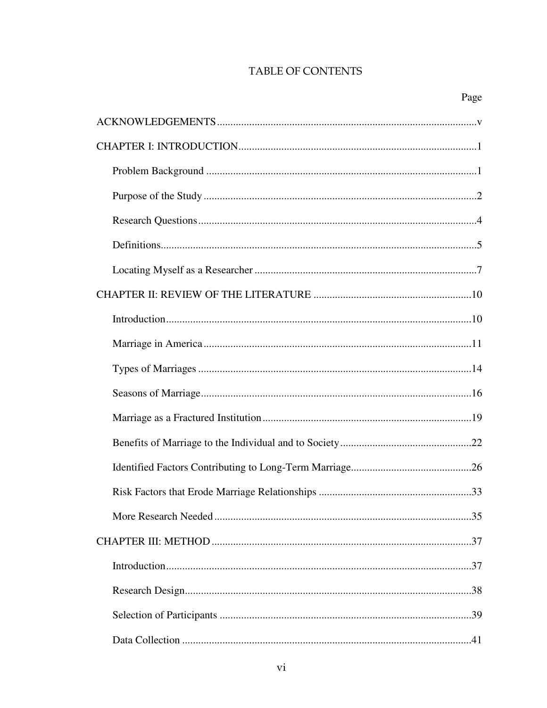## TABLE OF CONTENTS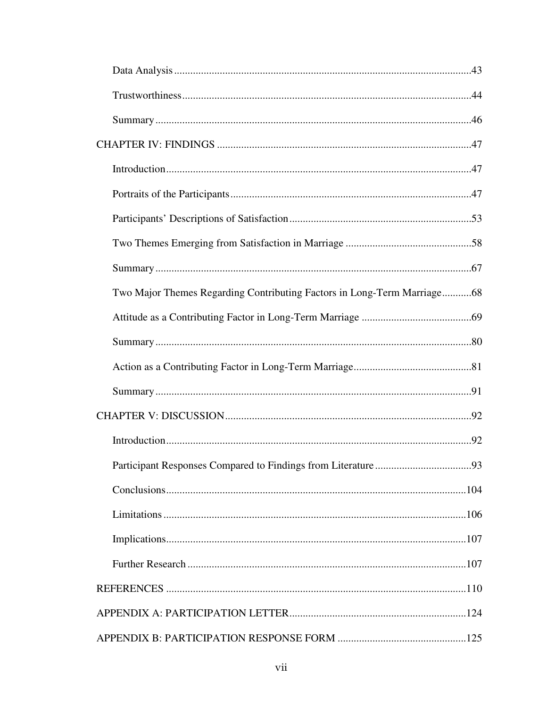| Two Major Themes Regarding Contributing Factors in Long-Term Marriage68 |
|-------------------------------------------------------------------------|
|                                                                         |
|                                                                         |
|                                                                         |
|                                                                         |
|                                                                         |
|                                                                         |
|                                                                         |
|                                                                         |
|                                                                         |
|                                                                         |
|                                                                         |
|                                                                         |
|                                                                         |
|                                                                         |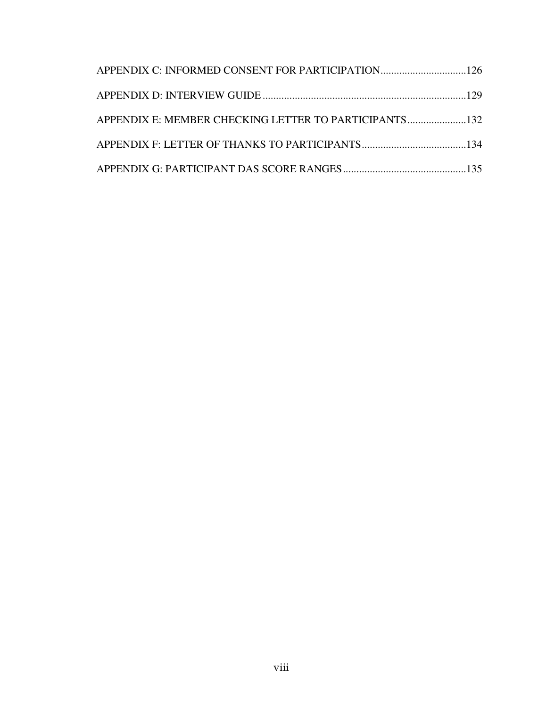| APPENDIX E: MEMBER CHECKING LETTER TO PARTICIPANTS132 |  |
|-------------------------------------------------------|--|
|                                                       |  |
|                                                       |  |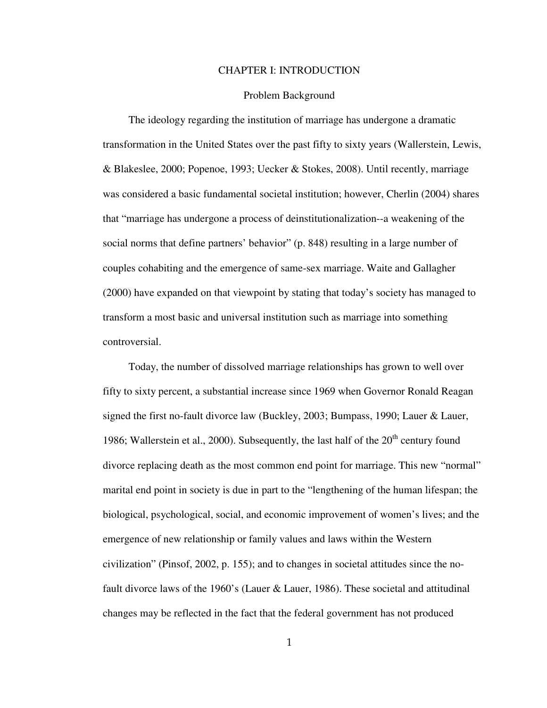#### CHAPTER I: INTRODUCTION

## Problem Background

The ideology regarding the institution of marriage has undergone a dramatic transformation in the United States over the past fifty to sixty years (Wallerstein, Lewis, & Blakeslee, 2000; Popenoe, 1993; Uecker & Stokes, 2008). Until recently, marriage was considered a basic fundamental societal institution; however, Cherlin (2004) shares that "marriage has undergone a process of deinstitutionalization--a weakening of the social norms that define partners' behavior" (p. 848) resulting in a large number of couples cohabiting and the emergence of same-sex marriage. Waite and Gallagher (2000) have expanded on that viewpoint by stating that today's society has managed to transform a most basic and universal institution such as marriage into something controversial.

Today, the number of dissolved marriage relationships has grown to well over fifty to sixty percent, a substantial increase since 1969 when Governor Ronald Reagan signed the first no-fault divorce law (Buckley, 2003; Bumpass, 1990; Lauer & Lauer, 1986; Wallerstein et al., 2000). Subsequently, the last half of the  $20<sup>th</sup>$  century found divorce replacing death as the most common end point for marriage. This new "normal" marital end point in society is due in part to the "lengthening of the human lifespan; the biological, psychological, social, and economic improvement of women's lives; and the emergence of new relationship or family values and laws within the Western civilization" (Pinsof, 2002, p. 155); and to changes in societal attitudes since the nofault divorce laws of the 1960's (Lauer & Lauer, 1986). These societal and attitudinal changes may be reflected in the fact that the federal government has not produced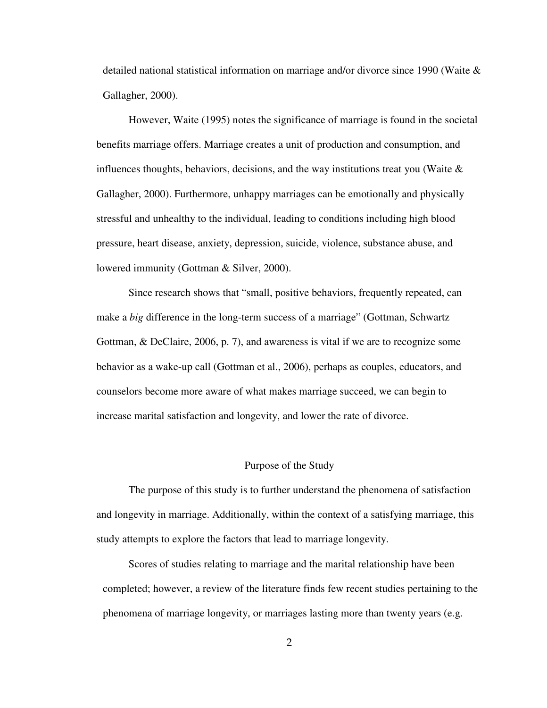detailed national statistical information on marriage and/or divorce since 1990 (Waite & Gallagher, 2000).

However, Waite (1995) notes the significance of marriage is found in the societal benefits marriage offers. Marriage creates a unit of production and consumption, and influences thoughts, behaviors, decisions, and the way institutions treat you (Waite  $\&$ Gallagher, 2000). Furthermore, unhappy marriages can be emotionally and physically stressful and unhealthy to the individual, leading to conditions including high blood pressure, heart disease, anxiety, depression, suicide, violence, substance abuse, and lowered immunity (Gottman & Silver, 2000).

Since research shows that "small, positive behaviors, frequently repeated, can make a *big* difference in the long-term success of a marriage" (Gottman, Schwartz Gottman, & DeClaire, 2006, p. 7), and awareness is vital if we are to recognize some behavior as a wake-up call (Gottman et al., 2006), perhaps as couples, educators, and counselors become more aware of what makes marriage succeed, we can begin to increase marital satisfaction and longevity, and lower the rate of divorce.

#### Purpose of the Study

The purpose of this study is to further understand the phenomena of satisfaction and longevity in marriage. Additionally, within the context of a satisfying marriage, this study attempts to explore the factors that lead to marriage longevity.

Scores of studies relating to marriage and the marital relationship have been completed; however, a review of the literature finds few recent studies pertaining to the phenomena of marriage longevity, or marriages lasting more than twenty years (e.g.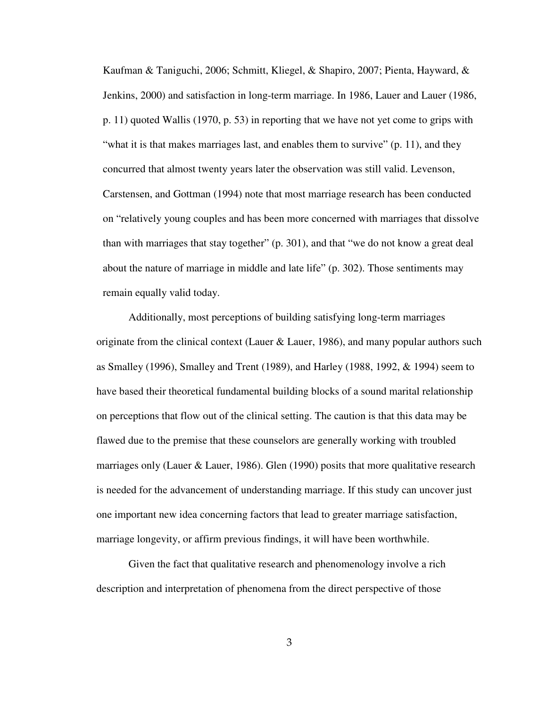Kaufman & Taniguchi, 2006; Schmitt, Kliegel, & Shapiro, 2007; Pienta, Hayward, & Jenkins, 2000) and satisfaction in long-term marriage. In 1986, Lauer and Lauer (1986, p. 11) quoted Wallis (1970, p. 53) in reporting that we have not yet come to grips with "what it is that makes marriages last, and enables them to survive" (p. 11), and they concurred that almost twenty years later the observation was still valid. Levenson, Carstensen, and Gottman (1994) note that most marriage research has been conducted on "relatively young couples and has been more concerned with marriages that dissolve than with marriages that stay together" (p. 301), and that "we do not know a great deal about the nature of marriage in middle and late life" (p. 302). Those sentiments may remain equally valid today.

Additionally, most perceptions of building satisfying long-term marriages originate from the clinical context (Lauer  $\&$  Lauer, 1986), and many popular authors such as Smalley (1996), Smalley and Trent (1989), and Harley (1988, 1992, & 1994) seem to have based their theoretical fundamental building blocks of a sound marital relationship on perceptions that flow out of the clinical setting. The caution is that this data may be flawed due to the premise that these counselors are generally working with troubled marriages only (Lauer & Lauer, 1986). Glen (1990) posits that more qualitative research is needed for the advancement of understanding marriage. If this study can uncover just one important new idea concerning factors that lead to greater marriage satisfaction, marriage longevity, or affirm previous findings, it will have been worthwhile.

Given the fact that qualitative research and phenomenology involve a rich description and interpretation of phenomena from the direct perspective of those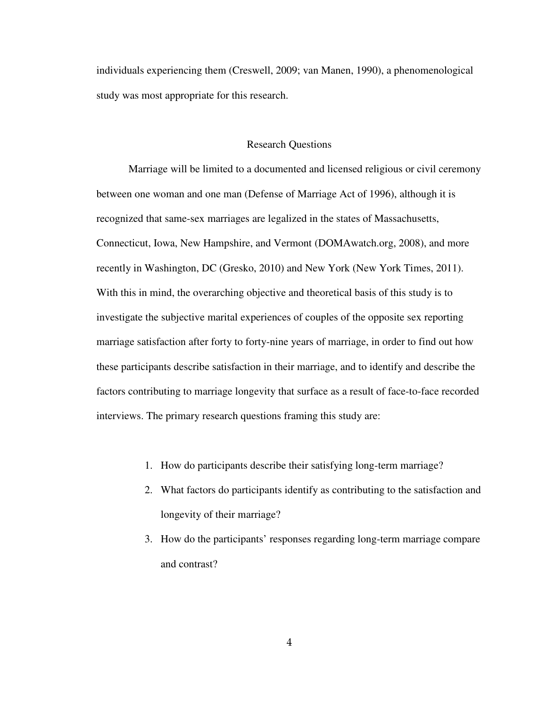individuals experiencing them (Creswell, 2009; van Manen, 1990), a phenomenological study was most appropriate for this research.

#### Research Questions

Marriage will be limited to a documented and licensed religious or civil ceremony between one woman and one man (Defense of Marriage Act of 1996), although it is recognized that same-sex marriages are legalized in the states of Massachusetts, Connecticut, Iowa, New Hampshire, and Vermont (DOMAwatch.org, 2008), and more recently in Washington, DC (Gresko, 2010) and New York (New York Times, 2011). With this in mind, the overarching objective and theoretical basis of this study is to investigate the subjective marital experiences of couples of the opposite sex reporting marriage satisfaction after forty to forty-nine years of marriage, in order to find out how these participants describe satisfaction in their marriage, and to identify and describe the factors contributing to marriage longevity that surface as a result of face-to-face recorded interviews. The primary research questions framing this study are:

- 1. How do participants describe their satisfying long-term marriage?
- 2. What factors do participants identify as contributing to the satisfaction and longevity of their marriage?
- 3. How do the participants' responses regarding long-term marriage compare and contrast?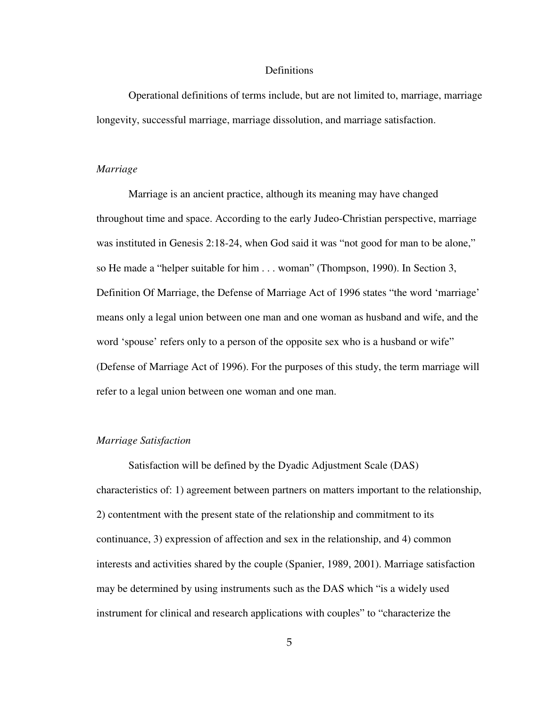#### **Definitions**

Operational definitions of terms include, but are not limited to, marriage, marriage longevity, successful marriage, marriage dissolution, and marriage satisfaction.

#### *Marriage*

Marriage is an ancient practice, although its meaning may have changed throughout time and space. According to the early Judeo-Christian perspective, marriage was instituted in Genesis 2:18-24, when God said it was "not good for man to be alone," so He made a "helper suitable for him . . . woman" (Thompson, 1990). In Section 3, Definition Of Marriage, the Defense of Marriage Act of 1996 states "the word 'marriage' means only a legal union between one man and one woman as husband and wife, and the word 'spouse' refers only to a person of the opposite sex who is a husband or wife" (Defense of Marriage Act of 1996). For the purposes of this study, the term marriage will refer to a legal union between one woman and one man.

## *Marriage Satisfaction*

Satisfaction will be defined by the Dyadic Adjustment Scale (DAS) characteristics of: 1) agreement between partners on matters important to the relationship, 2) contentment with the present state of the relationship and commitment to its continuance, 3) expression of affection and sex in the relationship, and 4) common interests and activities shared by the couple (Spanier, 1989, 2001). Marriage satisfaction may be determined by using instruments such as the DAS which "is a widely used instrument for clinical and research applications with couples" to "characterize the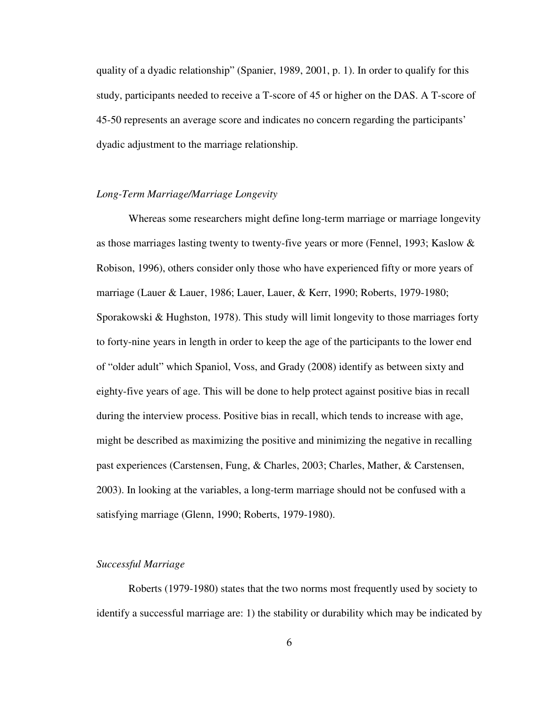quality of a dyadic relationship" (Spanier, 1989, 2001, p. 1). In order to qualify for this study, participants needed to receive a T-score of 45 or higher on the DAS. A T-score of 45-50 represents an average score and indicates no concern regarding the participants' dyadic adjustment to the marriage relationship.

## *Long-Term Marriage/Marriage Longevity*

Whereas some researchers might define long-term marriage or marriage longevity as those marriages lasting twenty to twenty-five years or more (Fennel, 1993; Kaslow  $\&$ Robison, 1996), others consider only those who have experienced fifty or more years of marriage (Lauer & Lauer, 1986; Lauer, Lauer, & Kerr, 1990; Roberts, 1979-1980; Sporakowski & Hughston, 1978). This study will limit longevity to those marriages forty to forty-nine years in length in order to keep the age of the participants to the lower end of "older adult" which Spaniol, Voss, and Grady (2008) identify as between sixty and eighty-five years of age. This will be done to help protect against positive bias in recall during the interview process. Positive bias in recall, which tends to increase with age, might be described as maximizing the positive and minimizing the negative in recalling past experiences (Carstensen, Fung, & Charles, 2003; Charles, Mather, & Carstensen, 2003). In looking at the variables, a long-term marriage should not be confused with a satisfying marriage (Glenn, 1990; Roberts, 1979-1980).

#### *Successful Marriage*

Roberts (1979-1980) states that the two norms most frequently used by society to identify a successful marriage are: 1) the stability or durability which may be indicated by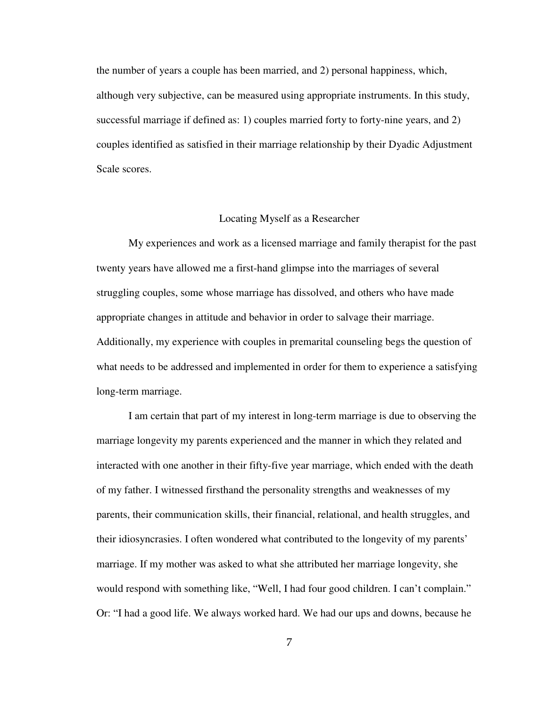the number of years a couple has been married, and 2) personal happiness, which, although very subjective, can be measured using appropriate instruments. In this study, successful marriage if defined as: 1) couples married forty to forty-nine years, and 2) couples identified as satisfied in their marriage relationship by their Dyadic Adjustment Scale scores.

## Locating Myself as a Researcher

My experiences and work as a licensed marriage and family therapist for the past twenty years have allowed me a first-hand glimpse into the marriages of several struggling couples, some whose marriage has dissolved, and others who have made appropriate changes in attitude and behavior in order to salvage their marriage. Additionally, my experience with couples in premarital counseling begs the question of what needs to be addressed and implemented in order for them to experience a satisfying long-term marriage.

I am certain that part of my interest in long-term marriage is due to observing the marriage longevity my parents experienced and the manner in which they related and interacted with one another in their fifty-five year marriage, which ended with the death of my father. I witnessed firsthand the personality strengths and weaknesses of my parents, their communication skills, their financial, relational, and health struggles, and their idiosyncrasies. I often wondered what contributed to the longevity of my parents' marriage. If my mother was asked to what she attributed her marriage longevity, she would respond with something like, "Well, I had four good children. I can't complain." Or: "I had a good life. We always worked hard. We had our ups and downs, because he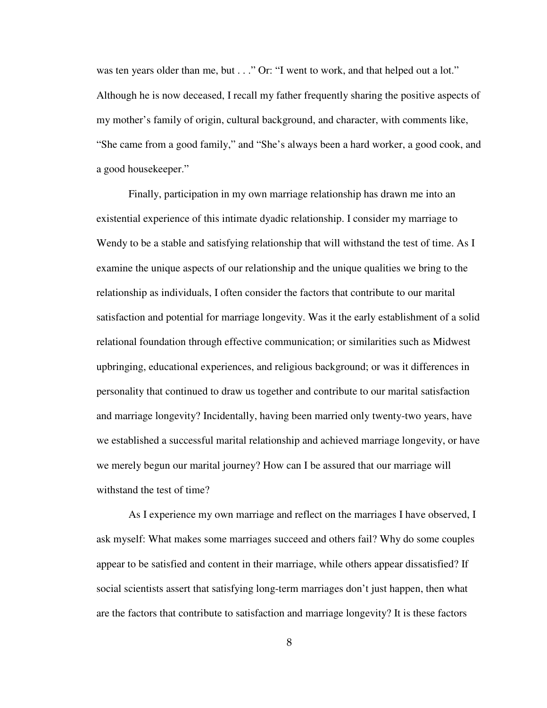was ten years older than me, but . . ." Or: "I went to work, and that helped out a lot." Although he is now deceased, I recall my father frequently sharing the positive aspects of my mother's family of origin, cultural background, and character, with comments like, "She came from a good family," and "She's always been a hard worker, a good cook, and a good housekeeper."

Finally, participation in my own marriage relationship has drawn me into an existential experience of this intimate dyadic relationship. I consider my marriage to Wendy to be a stable and satisfying relationship that will withstand the test of time. As I examine the unique aspects of our relationship and the unique qualities we bring to the relationship as individuals, I often consider the factors that contribute to our marital satisfaction and potential for marriage longevity. Was it the early establishment of a solid relational foundation through effective communication; or similarities such as Midwest upbringing, educational experiences, and religious background; or was it differences in personality that continued to draw us together and contribute to our marital satisfaction and marriage longevity? Incidentally, having been married only twenty-two years, have we established a successful marital relationship and achieved marriage longevity, or have we merely begun our marital journey? How can I be assured that our marriage will withstand the test of time?

As I experience my own marriage and reflect on the marriages I have observed, I ask myself: What makes some marriages succeed and others fail? Why do some couples appear to be satisfied and content in their marriage, while others appear dissatisfied? If social scientists assert that satisfying long-term marriages don't just happen, then what are the factors that contribute to satisfaction and marriage longevity? It is these factors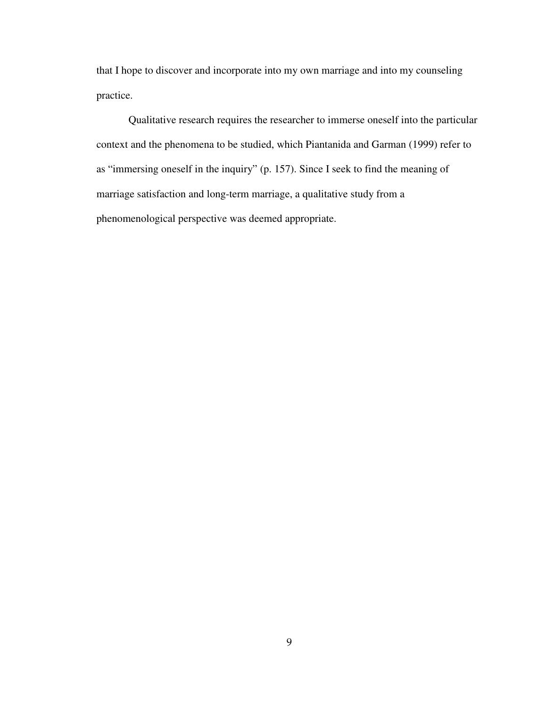that I hope to discover and incorporate into my own marriage and into my counseling practice.

Qualitative research requires the researcher to immerse oneself into the particular context and the phenomena to be studied, which Piantanida and Garman (1999) refer to as "immersing oneself in the inquiry" (p. 157). Since I seek to find the meaning of marriage satisfaction and long-term marriage, a qualitative study from a phenomenological perspective was deemed appropriate.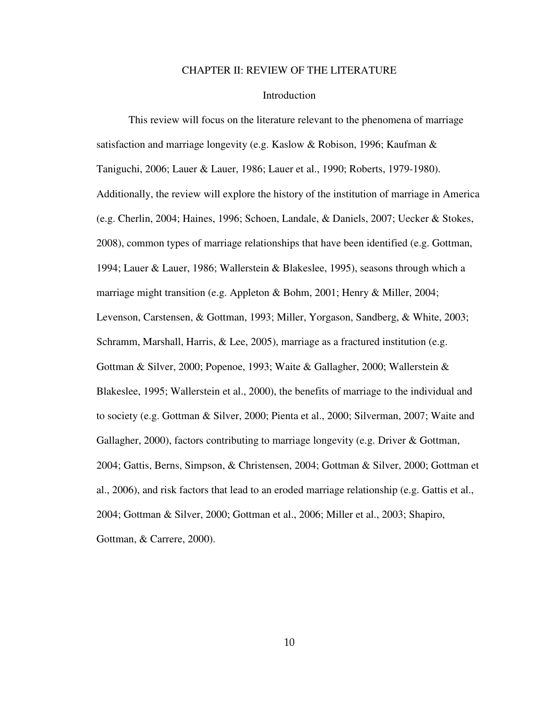#### CHAPTER II: REVIEW OF THE LITERATURE

#### **Introduction**

This review will focus on the literature relevant to the phenomena of marriage satisfaction and marriage longevity (e.g. Kaslow & Robison, 1996; Kaufman  $\&$ Taniguchi, 2006; Lauer & Lauer, 1986; Lauer et al., 1990; Roberts, 1979-1980). Additionally, the review will explore the history of the institution of marriage in America (e.g. Cherlin, 2004; Haines, 1996; Schoen, Landale, & Daniels, 2007; Uecker & Stokes, 2008), common types of marriage relationships that have been identified (e.g. Gottman, 1994; Lauer & Lauer, 1986; Wallerstein & Blakeslee, 1995), seasons through which a marriage might transition (e.g. Appleton & Bohm, 2001; Henry & Miller, 2004; Levenson, Carstensen, & Gottman, 1993; Miller, Yorgason, Sandberg, & White, 2003; Schramm, Marshall, Harris, & Lee, 2005), marriage as a fractured institution (e.g. Gottman & Silver, 2000; Popenoe, 1993; Waite & Gallagher, 2000; Wallerstein & Blakeslee, 1995; Wallerstein et al., 2000), the benefits of marriage to the individual and to society (e.g. Gottman & Silver, 2000; Pienta et al., 2000; Silverman, 2007; Waite and Gallagher, 2000), factors contributing to marriage longevity (e.g. Driver & Gottman, 2004; Gattis, Berns, Simpson, & Christensen, 2004; Gottman & Silver, 2000; Gottman et al., 2006), and risk factors that lead to an eroded marriage relationship (e.g. Gattis et al., 2004; Gottman & Silver, 2000; Gottman et al., 2006; Miller et al., 2003; Shapiro, Gottman, & Carrere, 2000).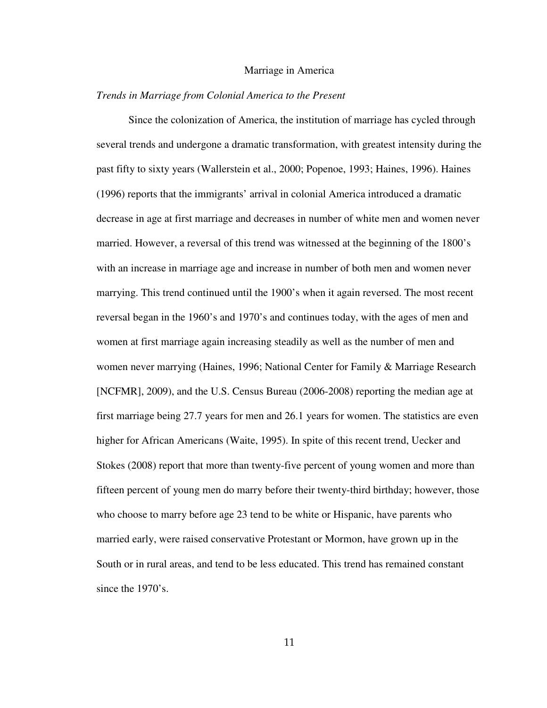#### Marriage in America

## *Trends in Marriage from Colonial America to the Present*

Since the colonization of America, the institution of marriage has cycled through several trends and undergone a dramatic transformation, with greatest intensity during the past fifty to sixty years (Wallerstein et al., 2000; Popenoe, 1993; Haines, 1996). Haines (1996) reports that the immigrants' arrival in colonial America introduced a dramatic decrease in age at first marriage and decreases in number of white men and women never married. However, a reversal of this trend was witnessed at the beginning of the 1800's with an increase in marriage age and increase in number of both men and women never marrying. This trend continued until the 1900's when it again reversed. The most recent reversal began in the 1960's and 1970's and continues today, with the ages of men and women at first marriage again increasing steadily as well as the number of men and women never marrying (Haines, 1996; National Center for Family & Marriage Research [NCFMR], 2009), and the U.S. Census Bureau (2006-2008) reporting the median age at first marriage being 27.7 years for men and 26.1 years for women. The statistics are even higher for African Americans (Waite, 1995). In spite of this recent trend, Uecker and Stokes (2008) report that more than twenty-five percent of young women and more than fifteen percent of young men do marry before their twenty-third birthday; however, those who choose to marry before age 23 tend to be white or Hispanic, have parents who married early, were raised conservative Protestant or Mormon, have grown up in the South or in rural areas, and tend to be less educated. This trend has remained constant since the 1970's.

11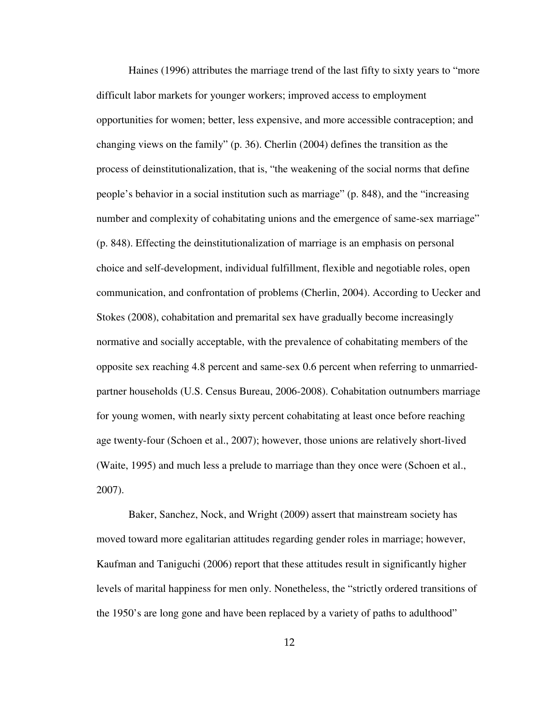Haines (1996) attributes the marriage trend of the last fifty to sixty years to "more difficult labor markets for younger workers; improved access to employment opportunities for women; better, less expensive, and more accessible contraception; and changing views on the family" (p. 36). Cherlin (2004) defines the transition as the process of deinstitutionalization, that is, "the weakening of the social norms that define people's behavior in a social institution such as marriage" (p. 848), and the "increasing number and complexity of cohabitating unions and the emergence of same-sex marriage" (p. 848). Effecting the deinstitutionalization of marriage is an emphasis on personal choice and self-development, individual fulfillment, flexible and negotiable roles, open communication, and confrontation of problems (Cherlin, 2004). According to Uecker and Stokes (2008), cohabitation and premarital sex have gradually become increasingly normative and socially acceptable, with the prevalence of cohabitating members of the opposite sex reaching 4.8 percent and same-sex 0.6 percent when referring to unmarriedpartner households (U.S. Census Bureau, 2006-2008). Cohabitation outnumbers marriage for young women, with nearly sixty percent cohabitating at least once before reaching age twenty-four (Schoen et al., 2007); however, those unions are relatively short-lived (Waite, 1995) and much less a prelude to marriage than they once were (Schoen et al., 2007).

Baker, Sanchez, Nock, and Wright (2009) assert that mainstream society has moved toward more egalitarian attitudes regarding gender roles in marriage; however, Kaufman and Taniguchi (2006) report that these attitudes result in significantly higher levels of marital happiness for men only. Nonetheless, the "strictly ordered transitions of the 1950's are long gone and have been replaced by a variety of paths to adulthood"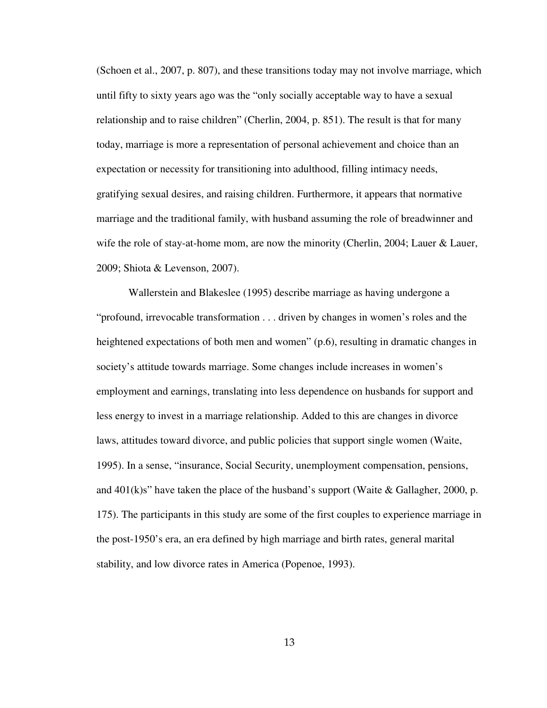(Schoen et al., 2007, p. 807), and these transitions today may not involve marriage, which until fifty to sixty years ago was the "only socially acceptable way to have a sexual relationship and to raise children" (Cherlin, 2004, p. 851). The result is that for many today, marriage is more a representation of personal achievement and choice than an expectation or necessity for transitioning into adulthood, filling intimacy needs, gratifying sexual desires, and raising children. Furthermore, it appears that normative marriage and the traditional family, with husband assuming the role of breadwinner and wife the role of stay-at-home mom, are now the minority (Cherlin, 2004; Lauer & Lauer, 2009; Shiota & Levenson, 2007).

Wallerstein and Blakeslee (1995) describe marriage as having undergone a "profound, irrevocable transformation . . . driven by changes in women's roles and the heightened expectations of both men and women" (p.6), resulting in dramatic changes in society's attitude towards marriage. Some changes include increases in women's employment and earnings, translating into less dependence on husbands for support and less energy to invest in a marriage relationship. Added to this are changes in divorce laws, attitudes toward divorce, and public policies that support single women (Waite, 1995). In a sense, "insurance, Social Security, unemployment compensation, pensions, and 401(k)s" have taken the place of the husband's support (Waite & Gallagher, 2000, p. 175). The participants in this study are some of the first couples to experience marriage in the post-1950's era, an era defined by high marriage and birth rates, general marital stability, and low divorce rates in America (Popenoe, 1993).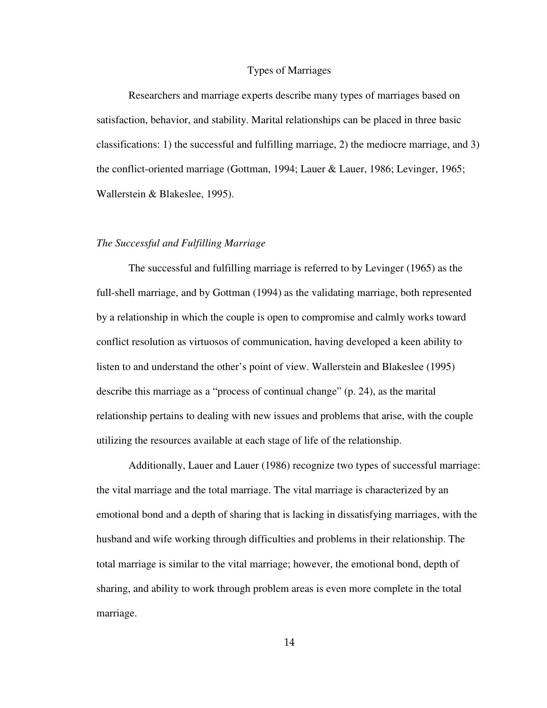#### Types of Marriages

Researchers and marriage experts describe many types of marriages based on satisfaction, behavior, and stability. Marital relationships can be placed in three basic classifications: 1) the successful and fulfilling marriage, 2) the mediocre marriage, and 3) the conflict-oriented marriage (Gottman, 1994; Lauer & Lauer, 1986; Levinger, 1965; Wallerstein & Blakeslee, 1995).

#### *The Successful and Fulfilling Marriage*

The successful and fulfilling marriage is referred to by Levinger (1965) as the full-shell marriage, and by Gottman (1994) as the validating marriage, both represented by a relationship in which the couple is open to compromise and calmly works toward conflict resolution as virtuosos of communication, having developed a keen ability to listen to and understand the other's point of view. Wallerstein and Blakeslee (1995) describe this marriage as a "process of continual change" (p. 24), as the marital relationship pertains to dealing with new issues and problems that arise, with the couple utilizing the resources available at each stage of life of the relationship.

Additionally, Lauer and Lauer (1986) recognize two types of successful marriage: the vital marriage and the total marriage. The vital marriage is characterized by an emotional bond and a depth of sharing that is lacking in dissatisfying marriages, with the husband and wife working through difficulties and problems in their relationship. The total marriage is similar to the vital marriage; however, the emotional bond, depth of sharing, and ability to work through problem areas is even more complete in the total marriage.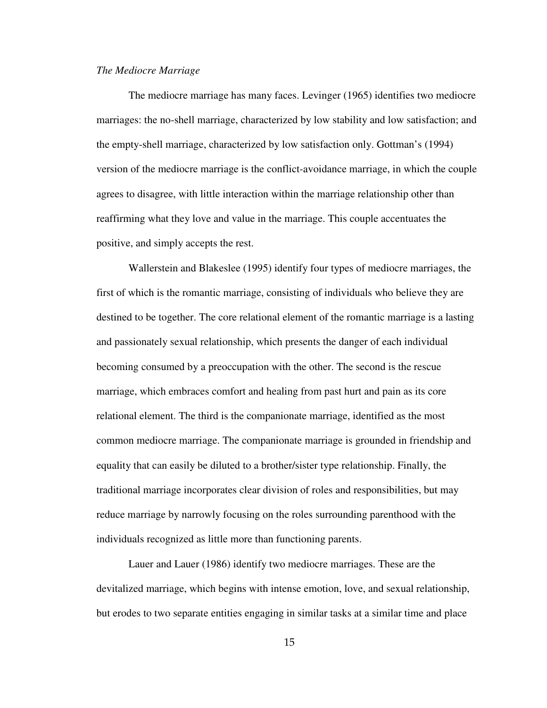#### *The Mediocre Marriage*

The mediocre marriage has many faces. Levinger (1965) identifies two mediocre marriages: the no-shell marriage, characterized by low stability and low satisfaction; and the empty-shell marriage, characterized by low satisfaction only. Gottman's (1994) version of the mediocre marriage is the conflict-avoidance marriage, in which the couple agrees to disagree, with little interaction within the marriage relationship other than reaffirming what they love and value in the marriage. This couple accentuates the positive, and simply accepts the rest.

Wallerstein and Blakeslee (1995) identify four types of mediocre marriages, the first of which is the romantic marriage, consisting of individuals who believe they are destined to be together. The core relational element of the romantic marriage is a lasting and passionately sexual relationship, which presents the danger of each individual becoming consumed by a preoccupation with the other. The second is the rescue marriage, which embraces comfort and healing from past hurt and pain as its core relational element. The third is the companionate marriage, identified as the most common mediocre marriage. The companionate marriage is grounded in friendship and equality that can easily be diluted to a brother/sister type relationship. Finally, the traditional marriage incorporates clear division of roles and responsibilities, but may reduce marriage by narrowly focusing on the roles surrounding parenthood with the individuals recognized as little more than functioning parents.

Lauer and Lauer (1986) identify two mediocre marriages. These are the devitalized marriage, which begins with intense emotion, love, and sexual relationship, but erodes to two separate entities engaging in similar tasks at a similar time and place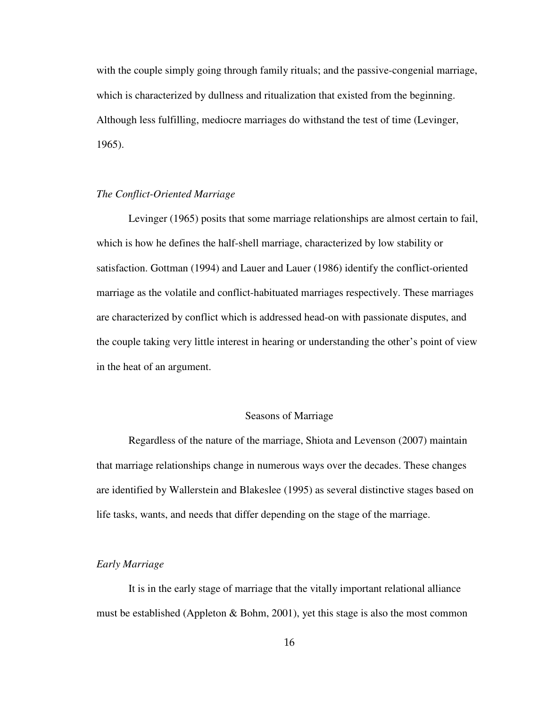with the couple simply going through family rituals; and the passive-congenial marriage, which is characterized by dullness and ritualization that existed from the beginning. Although less fulfilling, mediocre marriages do withstand the test of time (Levinger, 1965).

## *The Conflict-Oriented Marriage*

Levinger (1965) posits that some marriage relationships are almost certain to fail, which is how he defines the half-shell marriage, characterized by low stability or satisfaction. Gottman (1994) and Lauer and Lauer (1986) identify the conflict-oriented marriage as the volatile and conflict-habituated marriages respectively. These marriages are characterized by conflict which is addressed head-on with passionate disputes, and the couple taking very little interest in hearing or understanding the other's point of view in the heat of an argument.

#### Seasons of Marriage

Regardless of the nature of the marriage, Shiota and Levenson (2007) maintain that marriage relationships change in numerous ways over the decades. These changes are identified by Wallerstein and Blakeslee (1995) as several distinctive stages based on life tasks, wants, and needs that differ depending on the stage of the marriage.

#### *Early Marriage*

It is in the early stage of marriage that the vitally important relational alliance must be established (Appleton & Bohm, 2001), yet this stage is also the most common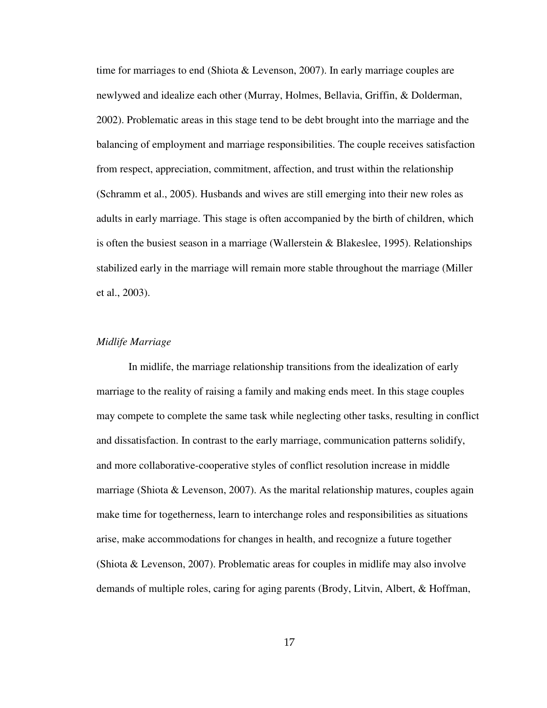time for marriages to end (Shiota  $&$  Levenson, 2007). In early marriage couples are newlywed and idealize each other (Murray, Holmes, Bellavia, Griffin, & Dolderman, 2002). Problematic areas in this stage tend to be debt brought into the marriage and the balancing of employment and marriage responsibilities. The couple receives satisfaction from respect, appreciation, commitment, affection, and trust within the relationship (Schramm et al., 2005). Husbands and wives are still emerging into their new roles as adults in early marriage. This stage is often accompanied by the birth of children, which is often the busiest season in a marriage (Wallerstein & Blakeslee, 1995). Relationships stabilized early in the marriage will remain more stable throughout the marriage (Miller et al., 2003).

#### *Midlife Marriage*

In midlife, the marriage relationship transitions from the idealization of early marriage to the reality of raising a family and making ends meet. In this stage couples may compete to complete the same task while neglecting other tasks, resulting in conflict and dissatisfaction. In contrast to the early marriage, communication patterns solidify, and more collaborative-cooperative styles of conflict resolution increase in middle marriage (Shiota & Levenson, 2007). As the marital relationship matures, couples again make time for togetherness, learn to interchange roles and responsibilities as situations arise, make accommodations for changes in health, and recognize a future together (Shiota & Levenson, 2007). Problematic areas for couples in midlife may also involve demands of multiple roles, caring for aging parents (Brody, Litvin, Albert, & Hoffman,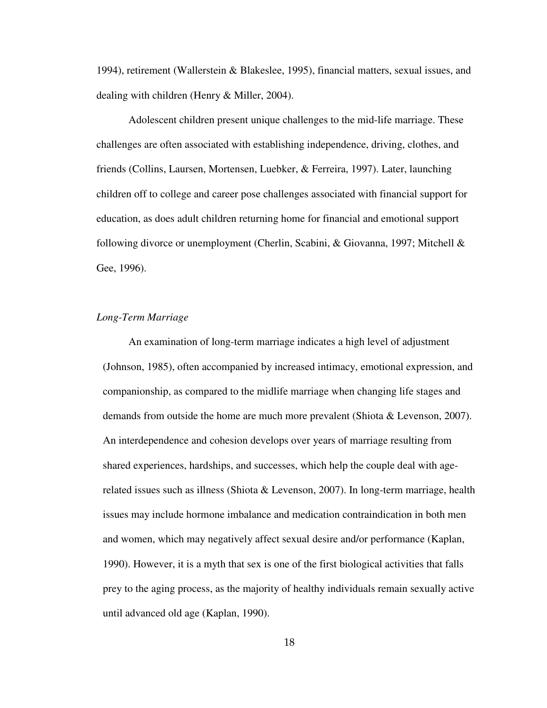1994), retirement (Wallerstein & Blakeslee, 1995), financial matters, sexual issues, and dealing with children (Henry & Miller, 2004).

Adolescent children present unique challenges to the mid-life marriage. These challenges are often associated with establishing independence, driving, clothes, and friends (Collins, Laursen, Mortensen, Luebker, & Ferreira, 1997). Later, launching children off to college and career pose challenges associated with financial support for education, as does adult children returning home for financial and emotional support following divorce or unemployment (Cherlin, Scabini, & Giovanna, 1997; Mitchell & Gee, 1996).

## *Long-Term Marriage*

An examination of long-term marriage indicates a high level of adjustment (Johnson, 1985), often accompanied by increased intimacy, emotional expression, and companionship, as compared to the midlife marriage when changing life stages and demands from outside the home are much more prevalent (Shiota & Levenson, 2007). An interdependence and cohesion develops over years of marriage resulting from shared experiences, hardships, and successes, which help the couple deal with agerelated issues such as illness (Shiota & Levenson, 2007). In long-term marriage, health issues may include hormone imbalance and medication contraindication in both men and women, which may negatively affect sexual desire and/or performance (Kaplan, 1990). However, it is a myth that sex is one of the first biological activities that falls prey to the aging process, as the majority of healthy individuals remain sexually active until advanced old age (Kaplan, 1990).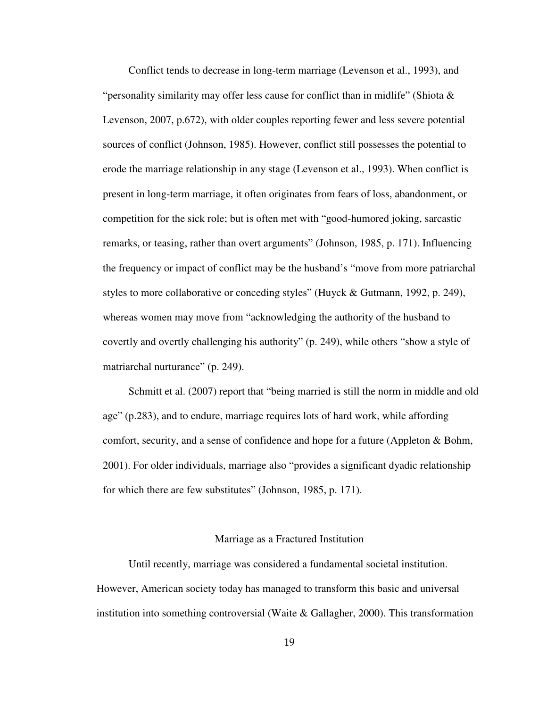Conflict tends to decrease in long-term marriage (Levenson et al., 1993), and "personality similarity may offer less cause for conflict than in midlife" (Shiota & Levenson, 2007, p.672), with older couples reporting fewer and less severe potential sources of conflict (Johnson, 1985). However, conflict still possesses the potential to erode the marriage relationship in any stage (Levenson et al., 1993). When conflict is present in long-term marriage, it often originates from fears of loss, abandonment, or competition for the sick role; but is often met with "good-humored joking, sarcastic remarks, or teasing, rather than overt arguments" (Johnson, 1985, p. 171). Influencing the frequency or impact of conflict may be the husband's "move from more patriarchal styles to more collaborative or conceding styles" (Huyck & Gutmann, 1992, p. 249), whereas women may move from "acknowledging the authority of the husband to covertly and overtly challenging his authority" (p. 249), while others "show a style of matriarchal nurturance" (p. 249).

Schmitt et al. (2007) report that "being married is still the norm in middle and old age" (p.283), and to endure, marriage requires lots of hard work, while affording comfort, security, and a sense of confidence and hope for a future (Appleton & Bohm, 2001). For older individuals, marriage also "provides a significant dyadic relationship for which there are few substitutes" (Johnson, 1985, p. 171).

#### Marriage as a Fractured Institution

Until recently, marriage was considered a fundamental societal institution. However, American society today has managed to transform this basic and universal institution into something controversial (Waite & Gallagher, 2000). This transformation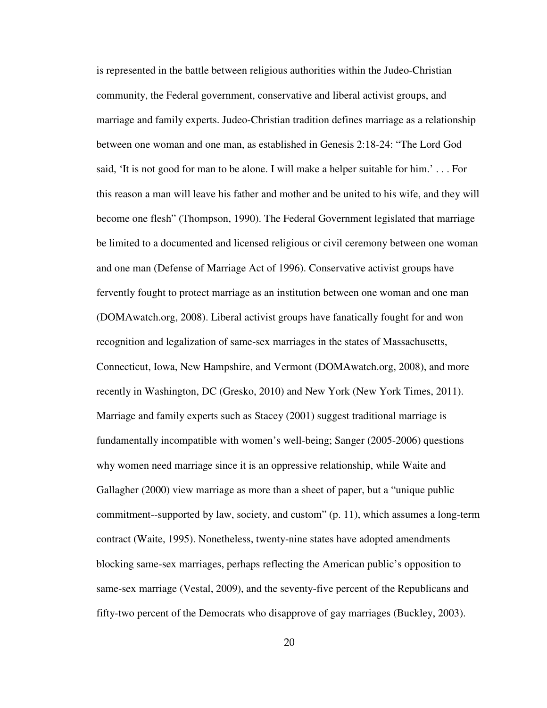is represented in the battle between religious authorities within the Judeo-Christian community, the Federal government, conservative and liberal activist groups, and marriage and family experts. Judeo-Christian tradition defines marriage as a relationship between one woman and one man, as established in Genesis 2:18-24: "The Lord God said, 'It is not good for man to be alone. I will make a helper suitable for him.' . . . For this reason a man will leave his father and mother and be united to his wife, and they will become one flesh" (Thompson, 1990). The Federal Government legislated that marriage be limited to a documented and licensed religious or civil ceremony between one woman and one man (Defense of Marriage Act of 1996). Conservative activist groups have fervently fought to protect marriage as an institution between one woman and one man (DOMAwatch.org, 2008). Liberal activist groups have fanatically fought for and won recognition and legalization of same-sex marriages in the states of Massachusetts, Connecticut, Iowa, New Hampshire, and Vermont (DOMAwatch.org, 2008), and more recently in Washington, DC (Gresko, 2010) and New York (New York Times, 2011). Marriage and family experts such as Stacey (2001) suggest traditional marriage is fundamentally incompatible with women's well-being; Sanger (2005-2006) questions why women need marriage since it is an oppressive relationship, while Waite and Gallagher (2000) view marriage as more than a sheet of paper, but a "unique public commitment--supported by law, society, and custom" (p. 11), which assumes a long-term contract (Waite, 1995). Nonetheless, twenty-nine states have adopted amendments blocking same-sex marriages, perhaps reflecting the American public's opposition to same-sex marriage (Vestal, 2009), and the seventy-five percent of the Republicans and fifty-two percent of the Democrats who disapprove of gay marriages (Buckley, 2003).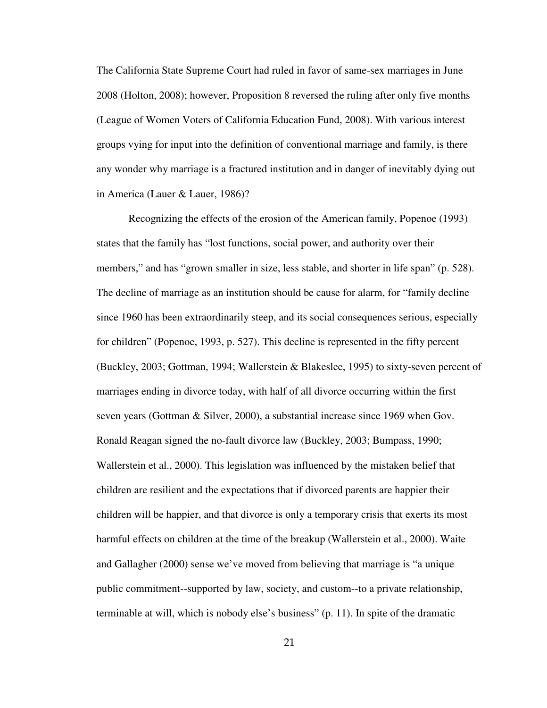The California State Supreme Court had ruled in favor of same-sex marriages in June 2008 (Holton, 2008); however, Proposition 8 reversed the ruling after only five months (League of Women Voters of California Education Fund, 2008). With various interest groups vying for input into the definition of conventional marriage and family, is there any wonder why marriage is a fractured institution and in danger of inevitably dying out in America (Lauer & Lauer, 1986)?

Recognizing the effects of the erosion of the American family, Popenoe (1993) states that the family has "lost functions, social power, and authority over their members," and has "grown smaller in size, less stable, and shorter in life span" (p. 528). The decline of marriage as an institution should be cause for alarm, for "family decline since 1960 has been extraordinarily steep, and its social consequences serious, especially for children" (Popenoe, 1993, p. 527). This decline is represented in the fifty percent (Buckley, 2003; Gottman, 1994; Wallerstein & Blakeslee, 1995) to sixty-seven percent of marriages ending in divorce today, with half of all divorce occurring within the first seven years (Gottman & Silver, 2000), a substantial increase since 1969 when Gov. Ronald Reagan signed the no-fault divorce law (Buckley, 2003; Bumpass, 1990; Wallerstein et al., 2000). This legislation was influenced by the mistaken belief that children are resilient and the expectations that if divorced parents are happier their children will be happier, and that divorce is only a temporary crisis that exerts its most harmful effects on children at the time of the breakup (Wallerstein et al., 2000). Waite and Gallagher (2000) sense we've moved from believing that marriage is "a unique public commitment--supported by law, society, and custom--to a private relationship, terminable at will, which is nobody else's business" (p. 11). In spite of the dramatic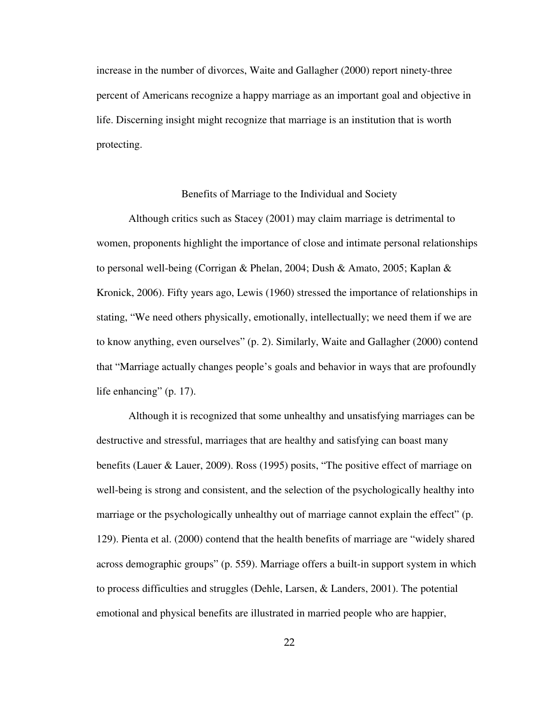increase in the number of divorces, Waite and Gallagher (2000) report ninety-three percent of Americans recognize a happy marriage as an important goal and objective in life. Discerning insight might recognize that marriage is an institution that is worth protecting.

#### Benefits of Marriage to the Individual and Society

Although critics such as Stacey (2001) may claim marriage is detrimental to women, proponents highlight the importance of close and intimate personal relationships to personal well-being (Corrigan & Phelan, 2004; Dush & Amato, 2005; Kaplan & Kronick, 2006). Fifty years ago, Lewis (1960) stressed the importance of relationships in stating, "We need others physically, emotionally, intellectually; we need them if we are to know anything, even ourselves" (p. 2). Similarly, Waite and Gallagher (2000) contend that "Marriage actually changes people's goals and behavior in ways that are profoundly life enhancing" (p. 17).

Although it is recognized that some unhealthy and unsatisfying marriages can be destructive and stressful, marriages that are healthy and satisfying can boast many benefits (Lauer & Lauer, 2009). Ross (1995) posits, "The positive effect of marriage on well-being is strong and consistent, and the selection of the psychologically healthy into marriage or the psychologically unhealthy out of marriage cannot explain the effect" (p. 129). Pienta et al. (2000) contend that the health benefits of marriage are "widely shared across demographic groups" (p. 559). Marriage offers a built-in support system in which to process difficulties and struggles (Dehle, Larsen, & Landers, 2001). The potential emotional and physical benefits are illustrated in married people who are happier,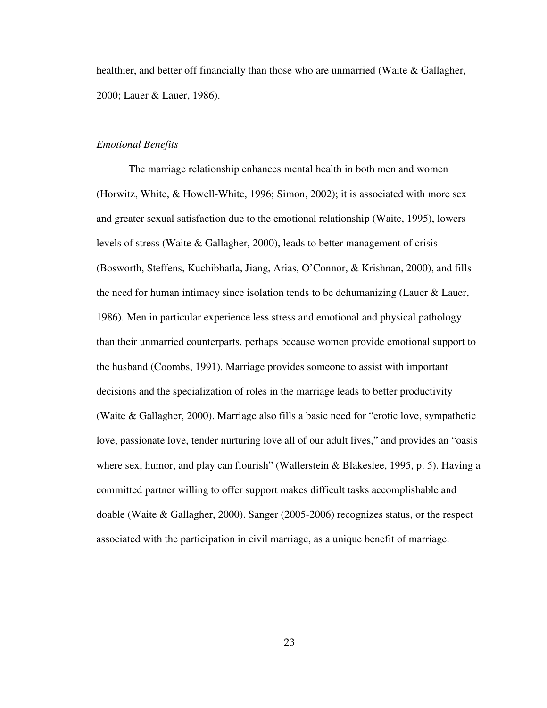healthier, and better off financially than those who are unmarried (Waite & Gallagher, 2000; Lauer & Lauer, 1986).

## *Emotional Benefits*

The marriage relationship enhances mental health in both men and women (Horwitz, White, & Howell-White, 1996; Simon, 2002); it is associated with more sex and greater sexual satisfaction due to the emotional relationship (Waite, 1995), lowers levels of stress (Waite & Gallagher, 2000), leads to better management of crisis (Bosworth, Steffens, Kuchibhatla, Jiang, Arias, O'Connor, & Krishnan, 2000), and fills the need for human intimacy since isolation tends to be dehumanizing (Lauer  $\&$  Lauer, 1986). Men in particular experience less stress and emotional and physical pathology than their unmarried counterparts, perhaps because women provide emotional support to the husband (Coombs, 1991). Marriage provides someone to assist with important decisions and the specialization of roles in the marriage leads to better productivity (Waite & Gallagher, 2000). Marriage also fills a basic need for "erotic love, sympathetic love, passionate love, tender nurturing love all of our adult lives," and provides an "oasis where sex, humor, and play can flourish" (Wallerstein & Blakeslee, 1995, p. 5). Having a committed partner willing to offer support makes difficult tasks accomplishable and doable (Waite & Gallagher, 2000). Sanger (2005-2006) recognizes status, or the respect associated with the participation in civil marriage, as a unique benefit of marriage.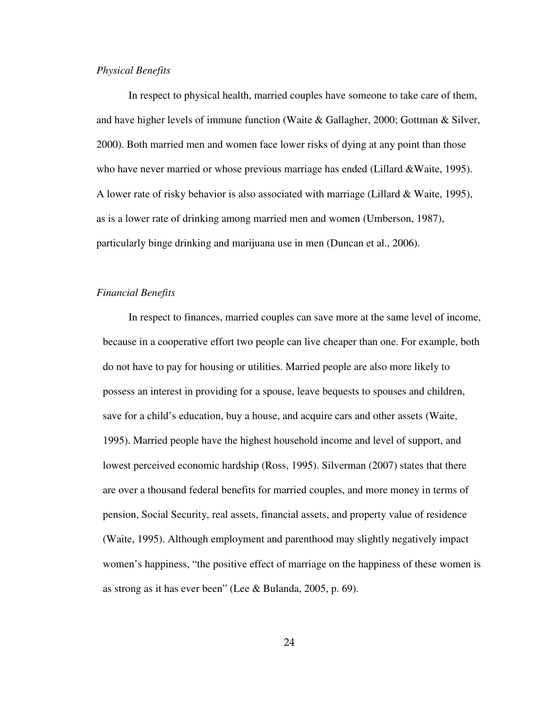## *Physical Benefits*

In respect to physical health, married couples have someone to take care of them, and have higher levels of immune function (Waite & Gallagher, 2000; Gottman & Silver, 2000). Both married men and women face lower risks of dying at any point than those who have never married or whose previous marriage has ended (Lillard &Waite, 1995). A lower rate of risky behavior is also associated with marriage (Lillard  $&$  Waite, 1995), as is a lower rate of drinking among married men and women (Umberson, 1987), particularly binge drinking and marijuana use in men (Duncan et al., 2006).

#### *Financial Benefits*

In respect to finances, married couples can save more at the same level of income, because in a cooperative effort two people can live cheaper than one. For example, both do not have to pay for housing or utilities. Married people are also more likely to possess an interest in providing for a spouse, leave bequests to spouses and children, save for a child's education, buy a house, and acquire cars and other assets (Waite, 1995). Married people have the highest household income and level of support, and lowest perceived economic hardship (Ross, 1995). Silverman (2007) states that there are over a thousand federal benefits for married couples, and more money in terms of pension, Social Security, real assets, financial assets, and property value of residence (Waite, 1995). Although employment and parenthood may slightly negatively impact women's happiness, "the positive effect of marriage on the happiness of these women is as strong as it has ever been" (Lee & Bulanda, 2005, p. 69).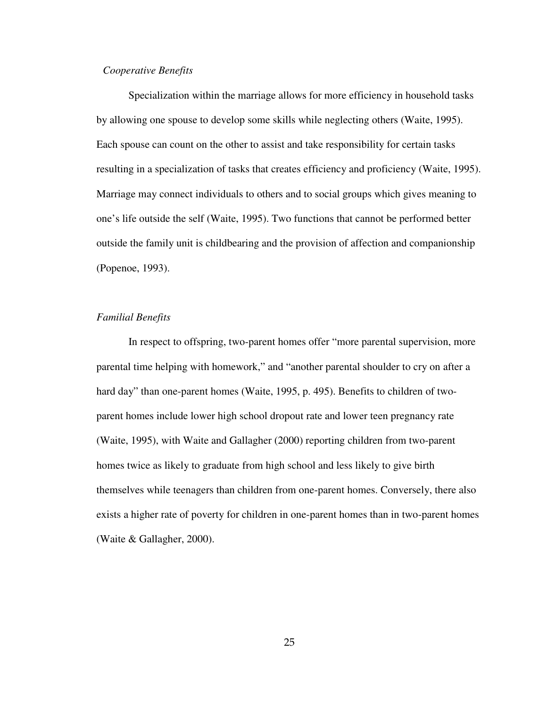## *Cooperative Benefits*

Specialization within the marriage allows for more efficiency in household tasks by allowing one spouse to develop some skills while neglecting others (Waite, 1995). Each spouse can count on the other to assist and take responsibility for certain tasks resulting in a specialization of tasks that creates efficiency and proficiency (Waite, 1995). Marriage may connect individuals to others and to social groups which gives meaning to one's life outside the self (Waite, 1995). Two functions that cannot be performed better outside the family unit is childbearing and the provision of affection and companionship (Popenoe, 1993).

## *Familial Benefits*

In respect to offspring, two-parent homes offer "more parental supervision, more parental time helping with homework," and "another parental shoulder to cry on after a hard day" than one-parent homes (Waite, 1995, p. 495). Benefits to children of twoparent homes include lower high school dropout rate and lower teen pregnancy rate (Waite, 1995), with Waite and Gallagher (2000) reporting children from two-parent homes twice as likely to graduate from high school and less likely to give birth themselves while teenagers than children from one-parent homes. Conversely, there also exists a higher rate of poverty for children in one-parent homes than in two-parent homes (Waite & Gallagher, 2000).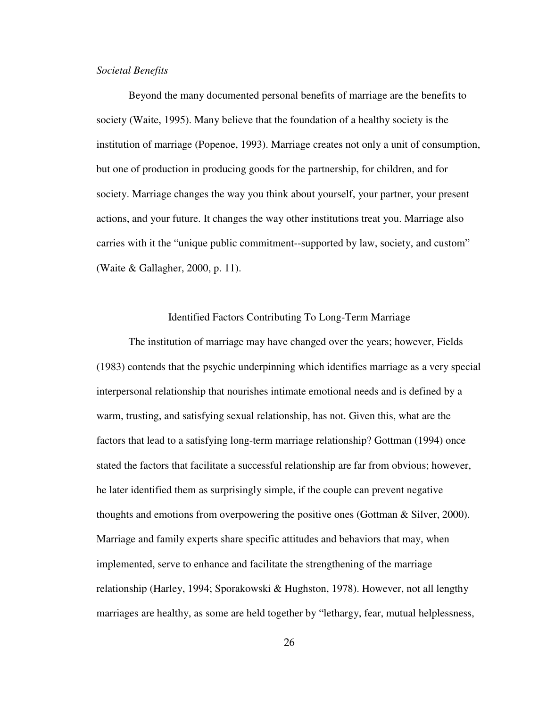## *Societal Benefits*

Beyond the many documented personal benefits of marriage are the benefits to society (Waite, 1995). Many believe that the foundation of a healthy society is the institution of marriage (Popenoe, 1993). Marriage creates not only a unit of consumption, but one of production in producing goods for the partnership, for children, and for society. Marriage changes the way you think about yourself, your partner, your present actions, and your future. It changes the way other institutions treat you. Marriage also carries with it the "unique public commitment--supported by law, society, and custom" (Waite & Gallagher, 2000, p. 11).

## Identified Factors Contributing To Long-Term Marriage

The institution of marriage may have changed over the years; however, Fields (1983) contends that the psychic underpinning which identifies marriage as a very special interpersonal relationship that nourishes intimate emotional needs and is defined by a warm, trusting, and satisfying sexual relationship, has not. Given this, what are the factors that lead to a satisfying long-term marriage relationship? Gottman (1994) once stated the factors that facilitate a successful relationship are far from obvious; however, he later identified them as surprisingly simple, if the couple can prevent negative thoughts and emotions from overpowering the positive ones (Gottman & Silver, 2000). Marriage and family experts share specific attitudes and behaviors that may, when implemented, serve to enhance and facilitate the strengthening of the marriage relationship (Harley, 1994; Sporakowski & Hughston, 1978). However, not all lengthy marriages are healthy, as some are held together by "lethargy, fear, mutual helplessness,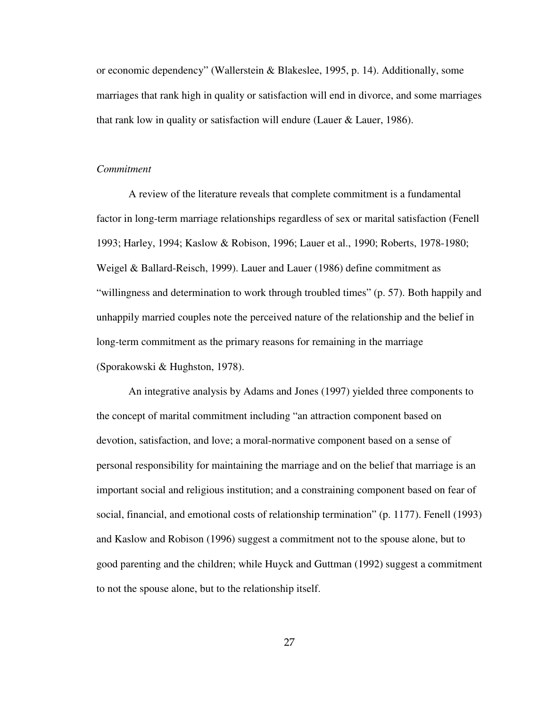or economic dependency" (Wallerstein & Blakeslee, 1995, p. 14). Additionally, some marriages that rank high in quality or satisfaction will end in divorce, and some marriages that rank low in quality or satisfaction will endure (Lauer & Lauer, 1986).

#### *Commitment*

A review of the literature reveals that complete commitment is a fundamental factor in long-term marriage relationships regardless of sex or marital satisfaction (Fenell 1993; Harley, 1994; Kaslow & Robison, 1996; Lauer et al., 1990; Roberts, 1978-1980; Weigel & Ballard-Reisch, 1999). Lauer and Lauer (1986) define commitment as "willingness and determination to work through troubled times" (p. 57). Both happily and unhappily married couples note the perceived nature of the relationship and the belief in long-term commitment as the primary reasons for remaining in the marriage (Sporakowski & Hughston, 1978).

An integrative analysis by Adams and Jones (1997) yielded three components to the concept of marital commitment including "an attraction component based on devotion, satisfaction, and love; a moral-normative component based on a sense of personal responsibility for maintaining the marriage and on the belief that marriage is an important social and religious institution; and a constraining component based on fear of social, financial, and emotional costs of relationship termination" (p. 1177). Fenell (1993) and Kaslow and Robison (1996) suggest a commitment not to the spouse alone, but to good parenting and the children; while Huyck and Guttman (1992) suggest a commitment to not the spouse alone, but to the relationship itself.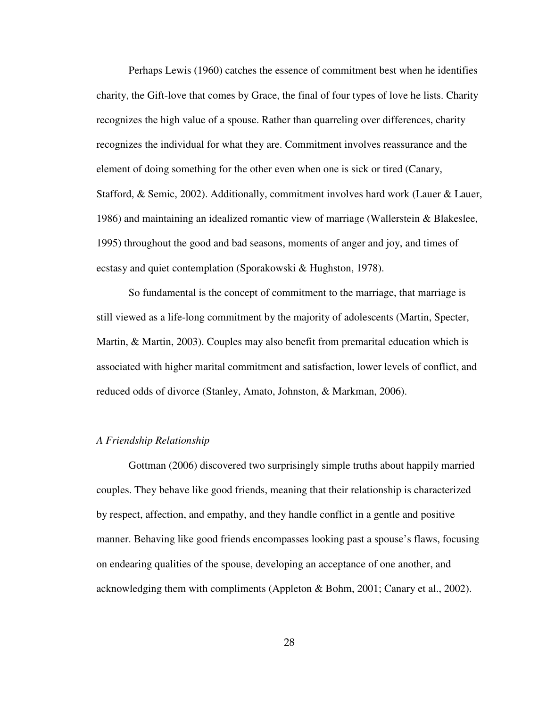Perhaps Lewis (1960) catches the essence of commitment best when he identifies charity, the Gift-love that comes by Grace, the final of four types of love he lists. Charity recognizes the high value of a spouse. Rather than quarreling over differences, charity recognizes the individual for what they are. Commitment involves reassurance and the element of doing something for the other even when one is sick or tired (Canary, Stafford, & Semic, 2002). Additionally, commitment involves hard work (Lauer & Lauer, 1986) and maintaining an idealized romantic view of marriage (Wallerstein & Blakeslee, 1995) throughout the good and bad seasons, moments of anger and joy, and times of ecstasy and quiet contemplation (Sporakowski & Hughston, 1978).

So fundamental is the concept of commitment to the marriage, that marriage is still viewed as a life-long commitment by the majority of adolescents (Martin, Specter, Martin, & Martin, 2003). Couples may also benefit from premarital education which is associated with higher marital commitment and satisfaction, lower levels of conflict, and reduced odds of divorce (Stanley, Amato, Johnston, & Markman, 2006).

#### *A Friendship Relationship*

Gottman (2006) discovered two surprisingly simple truths about happily married couples. They behave like good friends, meaning that their relationship is characterized by respect, affection, and empathy, and they handle conflict in a gentle and positive manner. Behaving like good friends encompasses looking past a spouse's flaws, focusing on endearing qualities of the spouse, developing an acceptance of one another, and acknowledging them with compliments (Appleton & Bohm, 2001; Canary et al., 2002).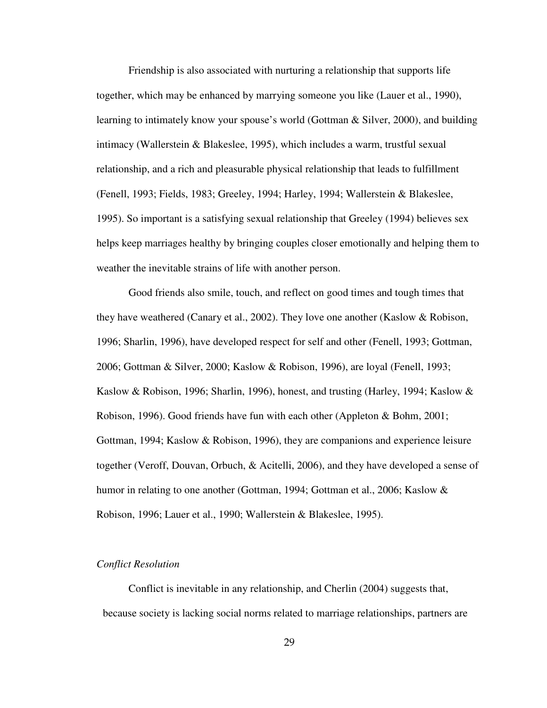Friendship is also associated with nurturing a relationship that supports life together, which may be enhanced by marrying someone you like (Lauer et al., 1990), learning to intimately know your spouse's world (Gottman & Silver, 2000), and building intimacy (Wallerstein & Blakeslee, 1995), which includes a warm, trustful sexual relationship, and a rich and pleasurable physical relationship that leads to fulfillment (Fenell, 1993; Fields, 1983; Greeley, 1994; Harley, 1994; Wallerstein & Blakeslee, 1995). So important is a satisfying sexual relationship that Greeley (1994) believes sex helps keep marriages healthy by bringing couples closer emotionally and helping them to weather the inevitable strains of life with another person.

Good friends also smile, touch, and reflect on good times and tough times that they have weathered (Canary et al., 2002). They love one another (Kaslow & Robison, 1996; Sharlin, 1996), have developed respect for self and other (Fenell, 1993; Gottman, 2006; Gottman & Silver, 2000; Kaslow & Robison, 1996), are loyal (Fenell, 1993; Kaslow & Robison, 1996; Sharlin, 1996), honest, and trusting (Harley, 1994; Kaslow & Robison, 1996). Good friends have fun with each other (Appleton & Bohm, 2001; Gottman, 1994; Kaslow & Robison, 1996), they are companions and experience leisure together (Veroff, Douvan, Orbuch, & Acitelli, 2006), and they have developed a sense of humor in relating to one another (Gottman, 1994; Gottman et al., 2006; Kaslow & Robison, 1996; Lauer et al., 1990; Wallerstein & Blakeslee, 1995).

#### *Conflict Resolution*

Conflict is inevitable in any relationship, and Cherlin (2004) suggests that, because society is lacking social norms related to marriage relationships, partners are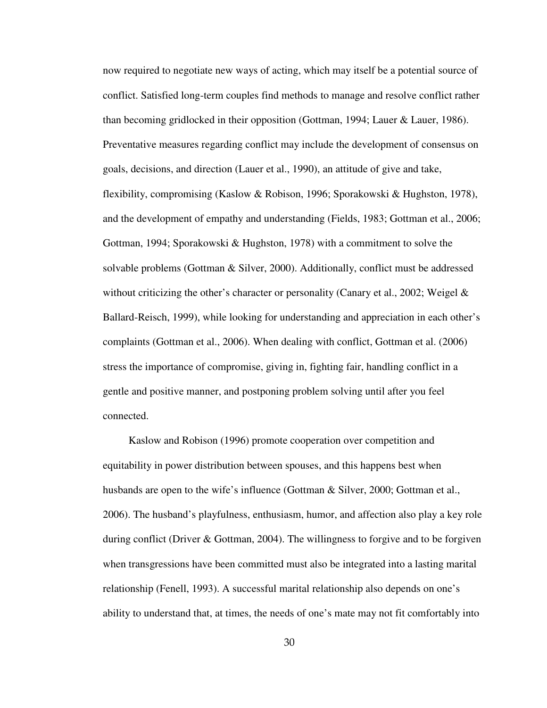now required to negotiate new ways of acting, which may itself be a potential source of conflict. Satisfied long-term couples find methods to manage and resolve conflict rather than becoming gridlocked in their opposition (Gottman, 1994; Lauer & Lauer, 1986). Preventative measures regarding conflict may include the development of consensus on goals, decisions, and direction (Lauer et al., 1990), an attitude of give and take, flexibility, compromising (Kaslow & Robison, 1996; Sporakowski & Hughston, 1978), and the development of empathy and understanding (Fields, 1983; Gottman et al., 2006; Gottman, 1994; Sporakowski & Hughston, 1978) with a commitment to solve the solvable problems (Gottman & Silver, 2000). Additionally, conflict must be addressed without criticizing the other's character or personality (Canary et al., 2002; Weigel  $\&$ Ballard-Reisch, 1999), while looking for understanding and appreciation in each other's complaints (Gottman et al., 2006). When dealing with conflict, Gottman et al. (2006) stress the importance of compromise, giving in, fighting fair, handling conflict in a gentle and positive manner, and postponing problem solving until after you feel connected.

Kaslow and Robison (1996) promote cooperation over competition and equitability in power distribution between spouses, and this happens best when husbands are open to the wife's influence (Gottman & Silver, 2000; Gottman et al., 2006). The husband's playfulness, enthusiasm, humor, and affection also play a key role during conflict (Driver & Gottman, 2004). The willingness to forgive and to be forgiven when transgressions have been committed must also be integrated into a lasting marital relationship (Fenell, 1993). A successful marital relationship also depends on one's ability to understand that, at times, the needs of one's mate may not fit comfortably into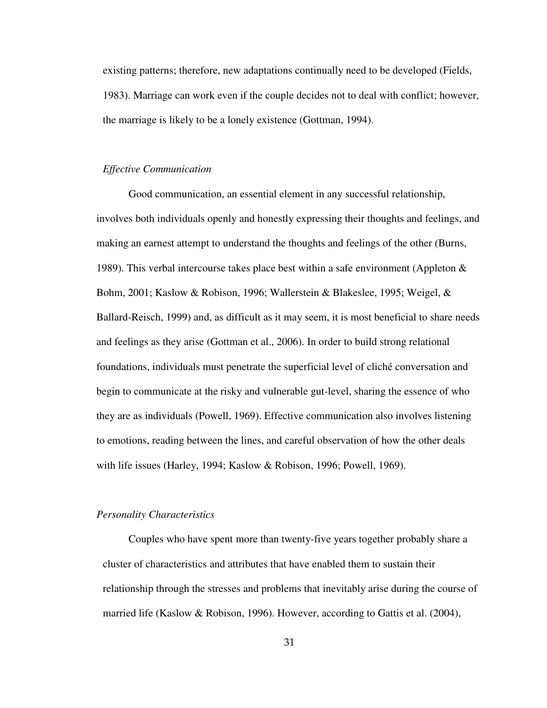existing patterns; therefore, new adaptations continually need to be developed (Fields, 1983). Marriage can work even if the couple decides not to deal with conflict; however, the marriage is likely to be a lonely existence (Gottman, 1994).

#### *Effective Communication*

Good communication, an essential element in any successful relationship, involves both individuals openly and honestly expressing their thoughts and feelings, and making an earnest attempt to understand the thoughts and feelings of the other (Burns, 1989). This verbal intercourse takes place best within a safe environment (Appleton  $\&$ Bohm, 2001; Kaslow & Robison, 1996; Wallerstein & Blakeslee, 1995; Weigel, & Ballard-Reisch, 1999) and, as difficult as it may seem, it is most beneficial to share needs and feelings as they arise (Gottman et al., 2006). In order to build strong relational foundations, individuals must penetrate the superficial level of cliché conversation and begin to communicate at the risky and vulnerable gut-level, sharing the essence of who they are as individuals (Powell, 1969). Effective communication also involves listening to emotions, reading between the lines, and careful observation of how the other deals with life issues (Harley, 1994; Kaslow & Robison, 1996; Powell, 1969).

### *Personality Characteristics*

Couples who have spent more than twenty-five years together probably share a cluster of characteristics and attributes that have enabled them to sustain their relationship through the stresses and problems that inevitably arise during the course of married life (Kaslow & Robison, 1996). However, according to Gattis et al. (2004),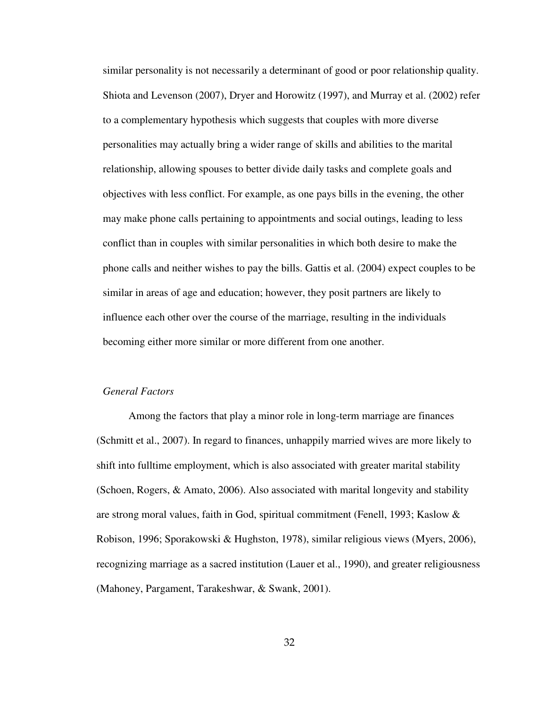similar personality is not necessarily a determinant of good or poor relationship quality. Shiota and Levenson (2007), Dryer and Horowitz (1997), and Murray et al. (2002) refer to a complementary hypothesis which suggests that couples with more diverse personalities may actually bring a wider range of skills and abilities to the marital relationship, allowing spouses to better divide daily tasks and complete goals and objectives with less conflict. For example, as one pays bills in the evening, the other may make phone calls pertaining to appointments and social outings, leading to less conflict than in couples with similar personalities in which both desire to make the phone calls and neither wishes to pay the bills. Gattis et al. (2004) expect couples to be similar in areas of age and education; however, they posit partners are likely to influence each other over the course of the marriage, resulting in the individuals becoming either more similar or more different from one another.

# *General Factors*

Among the factors that play a minor role in long-term marriage are finances (Schmitt et al., 2007). In regard to finances, unhappily married wives are more likely to shift into fulltime employment, which is also associated with greater marital stability (Schoen, Rogers, & Amato, 2006). Also associated with marital longevity and stability are strong moral values, faith in God, spiritual commitment (Fenell, 1993; Kaslow & Robison, 1996; Sporakowski & Hughston, 1978), similar religious views (Myers, 2006), recognizing marriage as a sacred institution (Lauer et al., 1990), and greater religiousness (Mahoney, Pargament, Tarakeshwar, & Swank, 2001).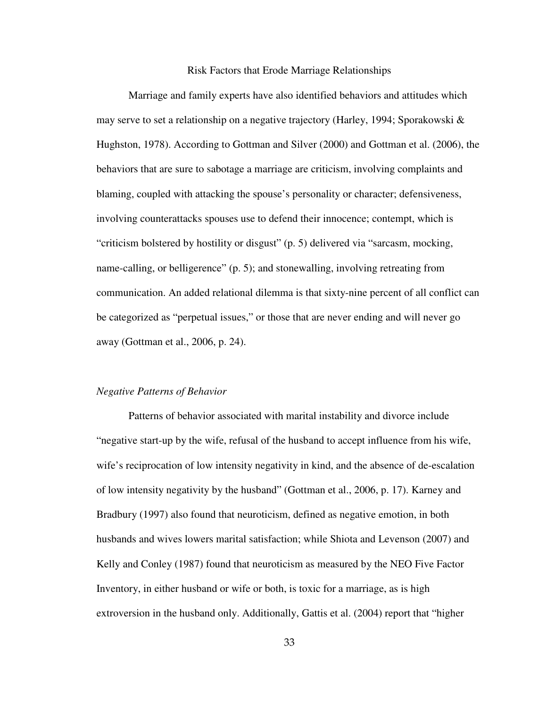#### Risk Factors that Erode Marriage Relationships

Marriage and family experts have also identified behaviors and attitudes which may serve to set a relationship on a negative trajectory (Harley, 1994; Sporakowski & Hughston, 1978). According to Gottman and Silver (2000) and Gottman et al. (2006), the behaviors that are sure to sabotage a marriage are criticism, involving complaints and blaming, coupled with attacking the spouse's personality or character; defensiveness, involving counterattacks spouses use to defend their innocence; contempt, which is "criticism bolstered by hostility or disgust" (p. 5) delivered via "sarcasm, mocking, name-calling, or belligerence" (p. 5); and stonewalling, involving retreating from communication. An added relational dilemma is that sixty-nine percent of all conflict can be categorized as "perpetual issues," or those that are never ending and will never go away (Gottman et al., 2006, p. 24).

#### *Negative Patterns of Behavior*

Patterns of behavior associated with marital instability and divorce include "negative start-up by the wife, refusal of the husband to accept influence from his wife, wife's reciprocation of low intensity negativity in kind, and the absence of de-escalation of low intensity negativity by the husband" (Gottman et al., 2006, p. 17). Karney and Bradbury (1997) also found that neuroticism, defined as negative emotion, in both husbands and wives lowers marital satisfaction; while Shiota and Levenson (2007) and Kelly and Conley (1987) found that neuroticism as measured by the NEO Five Factor Inventory, in either husband or wife or both, is toxic for a marriage, as is high extroversion in the husband only. Additionally, Gattis et al. (2004) report that "higher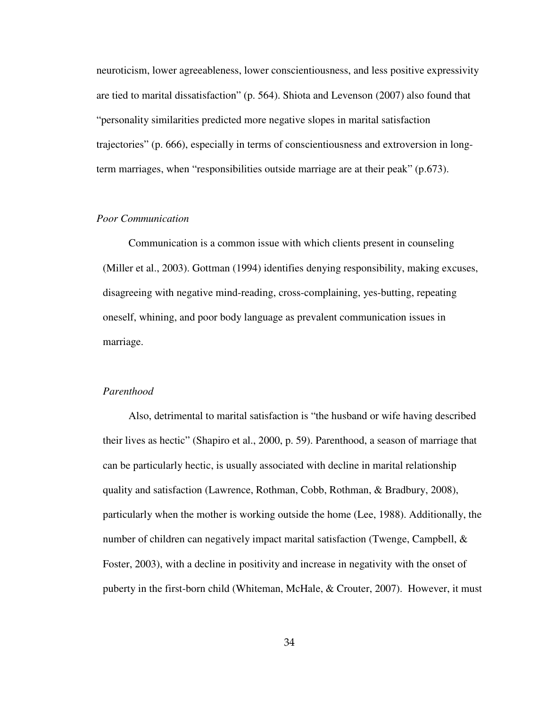neuroticism, lower agreeableness, lower conscientiousness, and less positive expressivity are tied to marital dissatisfaction" (p. 564). Shiota and Levenson (2007) also found that "personality similarities predicted more negative slopes in marital satisfaction trajectories" (p. 666), especially in terms of conscientiousness and extroversion in longterm marriages, when "responsibilities outside marriage are at their peak" (p.673).

# *Poor Communication*

Communication is a common issue with which clients present in counseling (Miller et al., 2003). Gottman (1994) identifies denying responsibility, making excuses, disagreeing with negative mind-reading, cross-complaining, yes-butting, repeating oneself, whining, and poor body language as prevalent communication issues in marriage.

### *Parenthood*

Also, detrimental to marital satisfaction is "the husband or wife having described their lives as hectic" (Shapiro et al., 2000, p. 59). Parenthood, a season of marriage that can be particularly hectic, is usually associated with decline in marital relationship quality and satisfaction (Lawrence, Rothman, Cobb, Rothman, & Bradbury, 2008), particularly when the mother is working outside the home (Lee, 1988). Additionally, the number of children can negatively impact marital satisfaction (Twenge, Campbell, & Foster, 2003), with a decline in positivity and increase in negativity with the onset of puberty in the first-born child (Whiteman, McHale, & Crouter, 2007). However, it must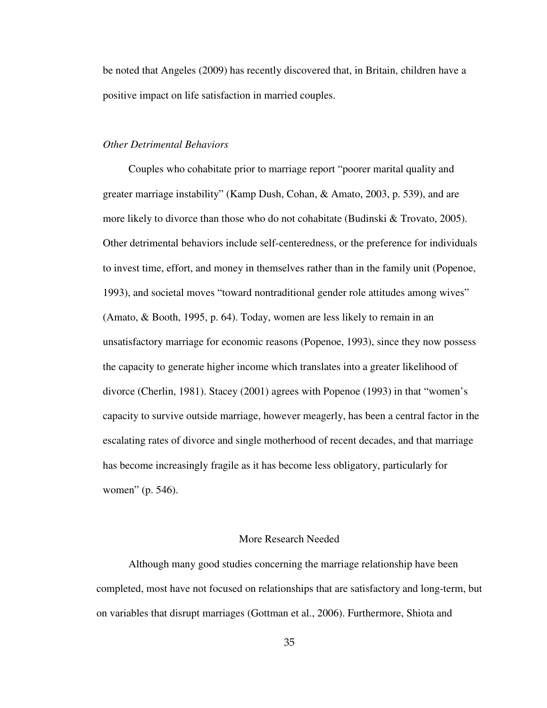be noted that Angeles (2009) has recently discovered that, in Britain, children have a positive impact on life satisfaction in married couples.

## *Other Detrimental Behaviors*

Couples who cohabitate prior to marriage report "poorer marital quality and greater marriage instability" (Kamp Dush, Cohan, & Amato, 2003, p. 539), and are more likely to divorce than those who do not cohabitate (Budinski  $\&$  Trovato, 2005). Other detrimental behaviors include self-centeredness, or the preference for individuals to invest time, effort, and money in themselves rather than in the family unit (Popenoe, 1993), and societal moves "toward nontraditional gender role attitudes among wives" (Amato, & Booth, 1995, p. 64). Today, women are less likely to remain in an unsatisfactory marriage for economic reasons (Popenoe, 1993), since they now possess the capacity to generate higher income which translates into a greater likelihood of divorce (Cherlin, 1981). Stacey (2001) agrees with Popenoe (1993) in that "women's capacity to survive outside marriage, however meagerly, has been a central factor in the escalating rates of divorce and single motherhood of recent decades, and that marriage has become increasingly fragile as it has become less obligatory, particularly for women" (p. 546).

#### More Research Needed

Although many good studies concerning the marriage relationship have been completed, most have not focused on relationships that are satisfactory and long-term, but on variables that disrupt marriages (Gottman et al., 2006). Furthermore, Shiota and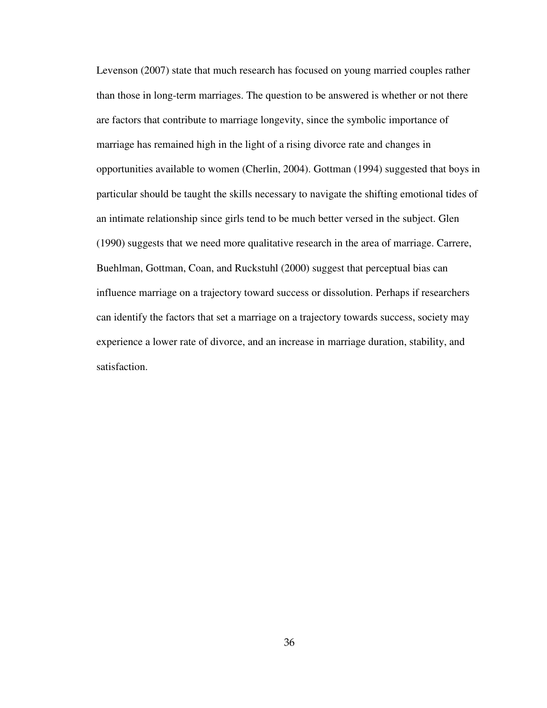Levenson (2007) state that much research has focused on young married couples rather than those in long-term marriages. The question to be answered is whether or not there are factors that contribute to marriage longevity, since the symbolic importance of marriage has remained high in the light of a rising divorce rate and changes in opportunities available to women (Cherlin, 2004). Gottman (1994) suggested that boys in particular should be taught the skills necessary to navigate the shifting emotional tides of an intimate relationship since girls tend to be much better versed in the subject. Glen (1990) suggests that we need more qualitative research in the area of marriage. Carrere, Buehlman, Gottman, Coan, and Ruckstuhl (2000) suggest that perceptual bias can influence marriage on a trajectory toward success or dissolution. Perhaps if researchers can identify the factors that set a marriage on a trajectory towards success, society may experience a lower rate of divorce, and an increase in marriage duration, stability, and satisfaction.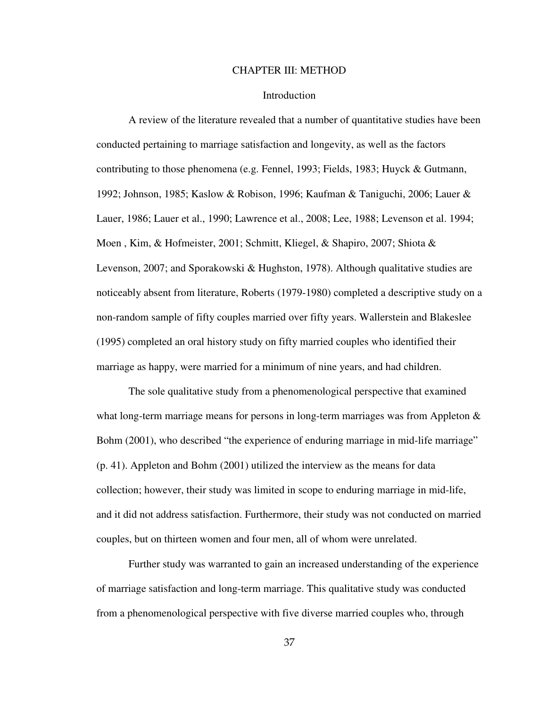### CHAPTER III: METHOD

## Introduction

A review of the literature revealed that a number of quantitative studies have been conducted pertaining to marriage satisfaction and longevity, as well as the factors contributing to those phenomena (e.g. Fennel, 1993; Fields, 1983; Huyck & Gutmann, 1992; Johnson, 1985; Kaslow & Robison, 1996; Kaufman & Taniguchi, 2006; Lauer & Lauer, 1986; Lauer et al., 1990; Lawrence et al., 2008; Lee, 1988; Levenson et al. 1994; Moen , Kim, & Hofmeister, 2001; Schmitt, Kliegel, & Shapiro, 2007; Shiota & Levenson, 2007; and Sporakowski & Hughston, 1978). Although qualitative studies are noticeably absent from literature, Roberts (1979-1980) completed a descriptive study on a non-random sample of fifty couples married over fifty years. Wallerstein and Blakeslee (1995) completed an oral history study on fifty married couples who identified their marriage as happy, were married for a minimum of nine years, and had children.

The sole qualitative study from a phenomenological perspective that examined what long-term marriage means for persons in long-term marriages was from Appleton  $\&$ Bohm (2001), who described "the experience of enduring marriage in mid-life marriage" (p. 41). Appleton and Bohm (2001) utilized the interview as the means for data collection; however, their study was limited in scope to enduring marriage in mid-life, and it did not address satisfaction. Furthermore, their study was not conducted on married couples, but on thirteen women and four men, all of whom were unrelated.

Further study was warranted to gain an increased understanding of the experience of marriage satisfaction and long-term marriage. This qualitative study was conducted from a phenomenological perspective with five diverse married couples who, through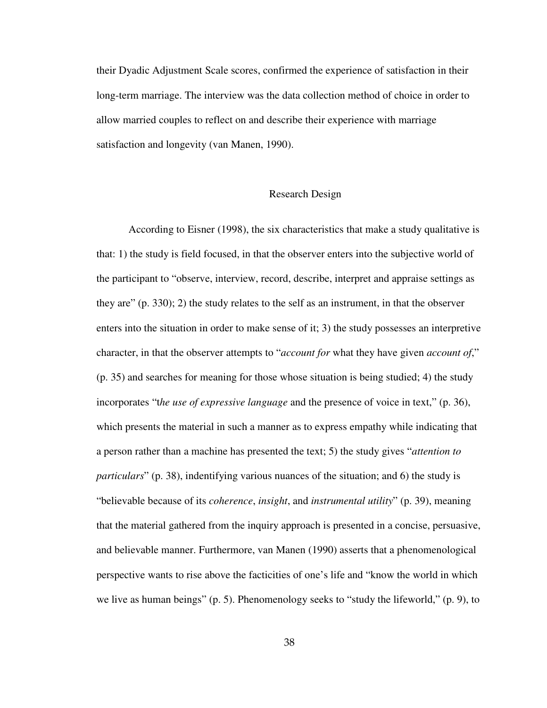their Dyadic Adjustment Scale scores, confirmed the experience of satisfaction in their long-term marriage. The interview was the data collection method of choice in order to allow married couples to reflect on and describe their experience with marriage satisfaction and longevity (van Manen, 1990).

## Research Design

According to Eisner (1998), the six characteristics that make a study qualitative is that: 1) the study is field focused, in that the observer enters into the subjective world of the participant to "observe, interview, record, describe, interpret and appraise settings as they are" (p. 330); 2) the study relates to the self as an instrument, in that the observer enters into the situation in order to make sense of it; 3) the study possesses an interpretive character, in that the observer attempts to "*account for* what they have given *account of*," (p. 35) and searches for meaning for those whose situation is being studied; 4) the study incorporates "t*he use of expressive language* and the presence of voice in text," (p. 36), which presents the material in such a manner as to express empathy while indicating that a person rather than a machine has presented the text; 5) the study gives "*attention to particulars*" (p. 38), indentifying various nuances of the situation; and 6) the study is "believable because of its *coherence*, *insight*, and *instrumental utility*" (p. 39), meaning that the material gathered from the inquiry approach is presented in a concise, persuasive, and believable manner. Furthermore, van Manen (1990) asserts that a phenomenological perspective wants to rise above the facticities of one's life and "know the world in which we live as human beings" (p. 5). Phenomenology seeks to "study the lifeworld," (p. 9), to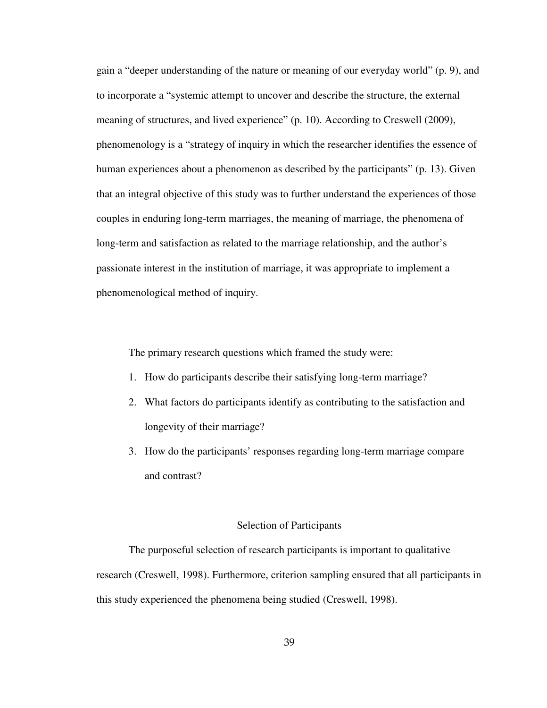gain a "deeper understanding of the nature or meaning of our everyday world" (p. 9), and to incorporate a "systemic attempt to uncover and describe the structure, the external meaning of structures, and lived experience" (p. 10). According to Creswell (2009), phenomenology is a "strategy of inquiry in which the researcher identifies the essence of human experiences about a phenomenon as described by the participants" (p. 13). Given that an integral objective of this study was to further understand the experiences of those couples in enduring long-term marriages, the meaning of marriage, the phenomena of long-term and satisfaction as related to the marriage relationship, and the author's passionate interest in the institution of marriage, it was appropriate to implement a phenomenological method of inquiry.

The primary research questions which framed the study were:

- 1. How do participants describe their satisfying long-term marriage?
- 2. What factors do participants identify as contributing to the satisfaction and longevity of their marriage?
- 3. How do the participants' responses regarding long-term marriage compare and contrast?

# Selection of Participants

The purposeful selection of research participants is important to qualitative research (Creswell, 1998). Furthermore, criterion sampling ensured that all participants in this study experienced the phenomena being studied (Creswell, 1998).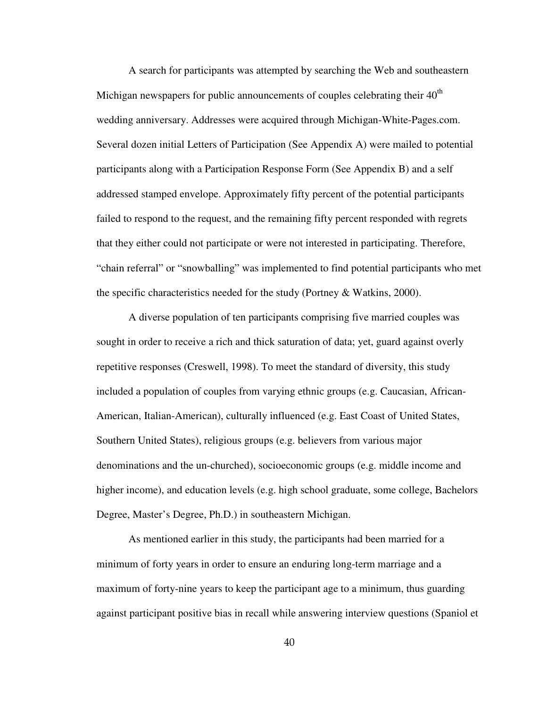A search for participants was attempted by searching the Web and southeastern Michigan newspapers for public announcements of couples celebrating their  $40<sup>th</sup>$ wedding anniversary. Addresses were acquired through Michigan-White-Pages.com. Several dozen initial Letters of Participation (See Appendix A) were mailed to potential participants along with a Participation Response Form (See Appendix B) and a self addressed stamped envelope. Approximately fifty percent of the potential participants failed to respond to the request, and the remaining fifty percent responded with regrets that they either could not participate or were not interested in participating. Therefore, "chain referral" or "snowballing" was implemented to find potential participants who met the specific characteristics needed for the study (Portney & Watkins, 2000).

A diverse population of ten participants comprising five married couples was sought in order to receive a rich and thick saturation of data; yet, guard against overly repetitive responses (Creswell, 1998). To meet the standard of diversity, this study included a population of couples from varying ethnic groups (e.g. Caucasian, African-American, Italian-American), culturally influenced (e.g. East Coast of United States, Southern United States), religious groups (e.g. believers from various major denominations and the un-churched), socioeconomic groups (e.g. middle income and higher income), and education levels (e.g. high school graduate, some college, Bachelors Degree, Master's Degree, Ph.D.) in southeastern Michigan.

As mentioned earlier in this study, the participants had been married for a minimum of forty years in order to ensure an enduring long-term marriage and a maximum of forty-nine years to keep the participant age to a minimum, thus guarding against participant positive bias in recall while answering interview questions (Spaniol et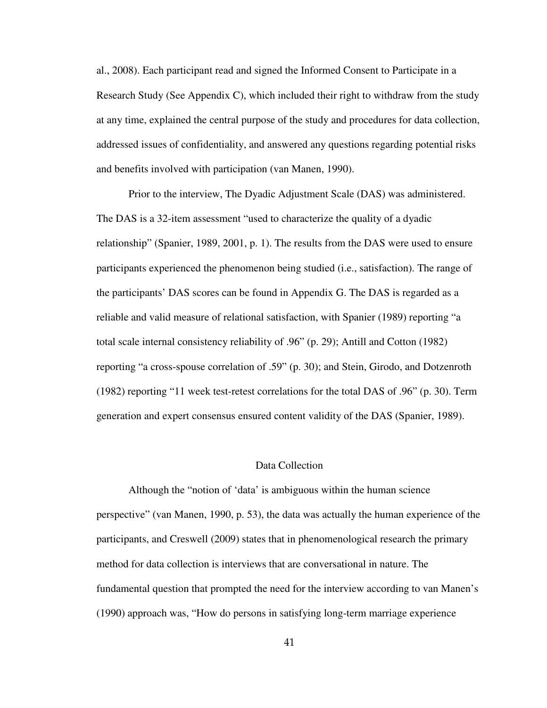al., 2008). Each participant read and signed the Informed Consent to Participate in a Research Study (See Appendix C), which included their right to withdraw from the study at any time, explained the central purpose of the study and procedures for data collection, addressed issues of confidentiality, and answered any questions regarding potential risks and benefits involved with participation (van Manen, 1990).

Prior to the interview, The Dyadic Adjustment Scale (DAS) was administered. The DAS is a 32-item assessment "used to characterize the quality of a dyadic relationship" (Spanier, 1989, 2001, p. 1). The results from the DAS were used to ensure participants experienced the phenomenon being studied (i.e., satisfaction). The range of the participants' DAS scores can be found in Appendix G. The DAS is regarded as a reliable and valid measure of relational satisfaction, with Spanier (1989) reporting "a total scale internal consistency reliability of .96" (p. 29); Antill and Cotton (1982) reporting "a cross-spouse correlation of .59" (p. 30); and Stein, Girodo, and Dotzenroth (1982) reporting "11 week test-retest correlations for the total DAS of .96" (p. 30). Term generation and expert consensus ensured content validity of the DAS (Spanier, 1989).

# Data Collection

Although the "notion of 'data' is ambiguous within the human science perspective" (van Manen, 1990, p. 53), the data was actually the human experience of the participants, and Creswell (2009) states that in phenomenological research the primary method for data collection is interviews that are conversational in nature. The fundamental question that prompted the need for the interview according to van Manen's (1990) approach was, "How do persons in satisfying long-term marriage experience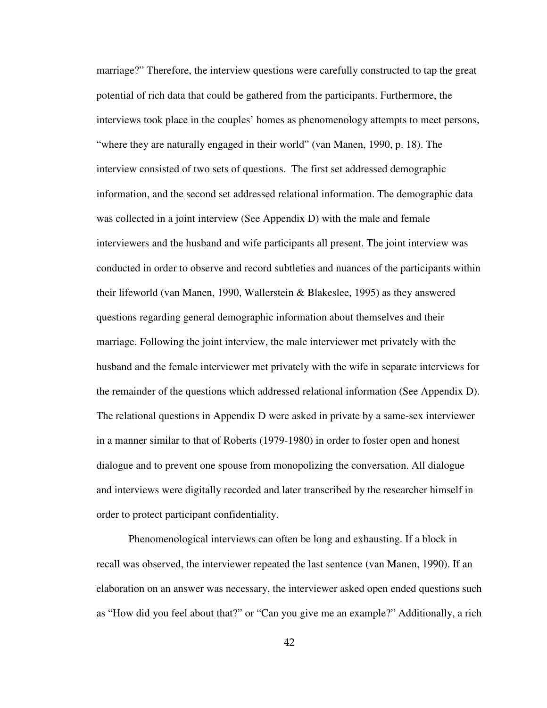marriage?" Therefore, the interview questions were carefully constructed to tap the great potential of rich data that could be gathered from the participants. Furthermore, the interviews took place in the couples' homes as phenomenology attempts to meet persons, "where they are naturally engaged in their world" (van Manen, 1990, p. 18). The interview consisted of two sets of questions. The first set addressed demographic information, and the second set addressed relational information. The demographic data was collected in a joint interview (See Appendix D) with the male and female interviewers and the husband and wife participants all present. The joint interview was conducted in order to observe and record subtleties and nuances of the participants within their lifeworld (van Manen, 1990, Wallerstein & Blakeslee, 1995) as they answered questions regarding general demographic information about themselves and their marriage. Following the joint interview, the male interviewer met privately with the husband and the female interviewer met privately with the wife in separate interviews for the remainder of the questions which addressed relational information (See Appendix D). The relational questions in Appendix D were asked in private by a same-sex interviewer in a manner similar to that of Roberts (1979-1980) in order to foster open and honest dialogue and to prevent one spouse from monopolizing the conversation. All dialogue and interviews were digitally recorded and later transcribed by the researcher himself in order to protect participant confidentiality.

Phenomenological interviews can often be long and exhausting. If a block in recall was observed, the interviewer repeated the last sentence (van Manen, 1990). If an elaboration on an answer was necessary, the interviewer asked open ended questions such as "How did you feel about that?" or "Can you give me an example?" Additionally, a rich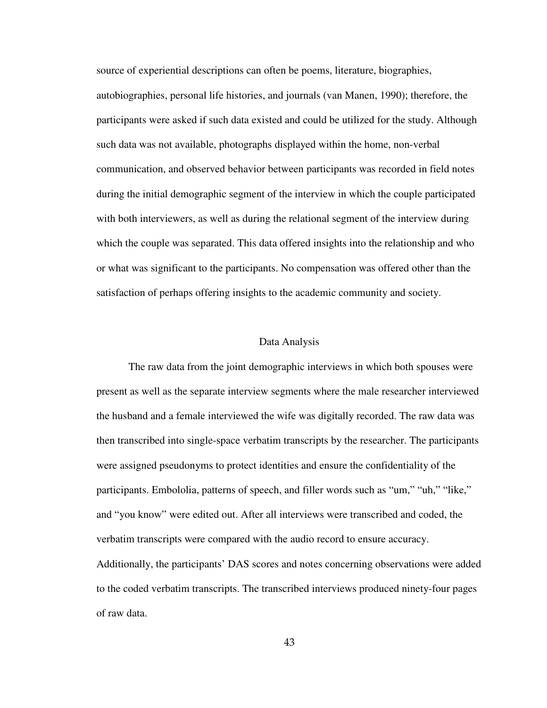source of experiential descriptions can often be poems, literature, biographies, autobiographies, personal life histories, and journals (van Manen, 1990); therefore, the participants were asked if such data existed and could be utilized for the study. Although such data was not available, photographs displayed within the home, non-verbal communication, and observed behavior between participants was recorded in field notes during the initial demographic segment of the interview in which the couple participated with both interviewers, as well as during the relational segment of the interview during which the couple was separated. This data offered insights into the relationship and who or what was significant to the participants. No compensation was offered other than the satisfaction of perhaps offering insights to the academic community and society.

### Data Analysis

The raw data from the joint demographic interviews in which both spouses were present as well as the separate interview segments where the male researcher interviewed the husband and a female interviewed the wife was digitally recorded. The raw data was then transcribed into single-space verbatim transcripts by the researcher. The participants were assigned pseudonyms to protect identities and ensure the confidentiality of the participants. Embololia, patterns of speech, and filler words such as "um," "uh," "like," and "you know" were edited out. After all interviews were transcribed and coded, the verbatim transcripts were compared with the audio record to ensure accuracy. Additionally, the participants' DAS scores and notes concerning observations were added to the coded verbatim transcripts. The transcribed interviews produced ninety-four pages of raw data.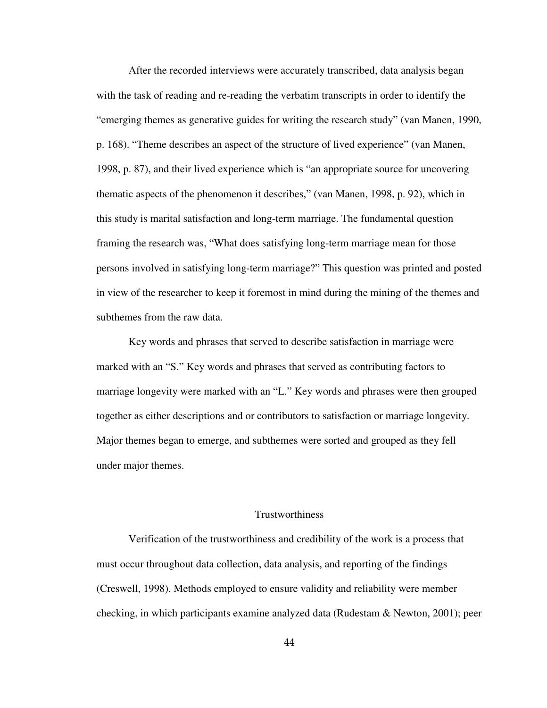After the recorded interviews were accurately transcribed, data analysis began with the task of reading and re-reading the verbatim transcripts in order to identify the "emerging themes as generative guides for writing the research study" (van Manen, 1990, p. 168). "Theme describes an aspect of the structure of lived experience" (van Manen, 1998, p. 87), and their lived experience which is "an appropriate source for uncovering thematic aspects of the phenomenon it describes," (van Manen, 1998, p. 92), which in this study is marital satisfaction and long-term marriage. The fundamental question framing the research was, "What does satisfying long-term marriage mean for those persons involved in satisfying long-term marriage?" This question was printed and posted in view of the researcher to keep it foremost in mind during the mining of the themes and subthemes from the raw data.

Key words and phrases that served to describe satisfaction in marriage were marked with an "S." Key words and phrases that served as contributing factors to marriage longevity were marked with an "L." Key words and phrases were then grouped together as either descriptions and or contributors to satisfaction or marriage longevity. Major themes began to emerge, and subthemes were sorted and grouped as they fell under major themes.

## **Trustworthiness**

Verification of the trustworthiness and credibility of the work is a process that must occur throughout data collection, data analysis, and reporting of the findings (Creswell, 1998). Methods employed to ensure validity and reliability were member checking, in which participants examine analyzed data (Rudestam & Newton, 2001); peer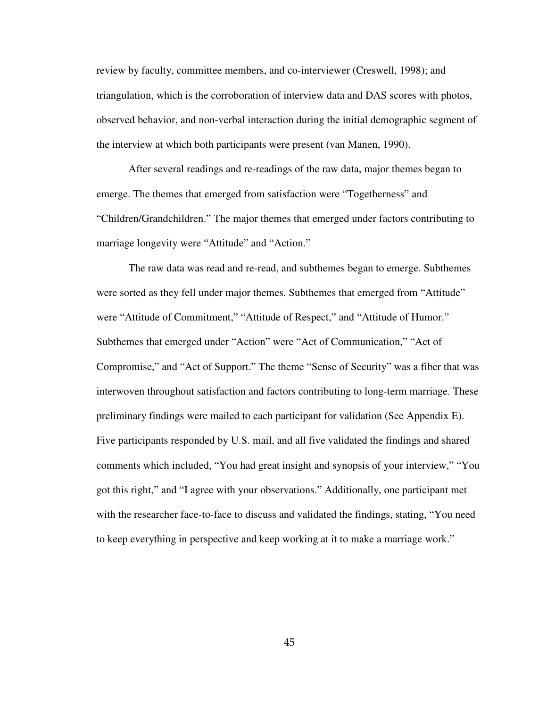review by faculty, committee members, and co-interviewer (Creswell, 1998); and triangulation, which is the corroboration of interview data and DAS scores with photos, observed behavior, and non-verbal interaction during the initial demographic segment of the interview at which both participants were present (van Manen, 1990).

After several readings and re-readings of the raw data, major themes began to emerge. The themes that emerged from satisfaction were "Togetherness" and "Children/Grandchildren." The major themes that emerged under factors contributing to marriage longevity were "Attitude" and "Action."

The raw data was read and re-read, and subthemes began to emerge. Subthemes were sorted as they fell under major themes. Subthemes that emerged from "Attitude" were "Attitude of Commitment," "Attitude of Respect," and "Attitude of Humor." Subthemes that emerged under "Action" were "Act of Communication," "Act of Compromise," and "Act of Support." The theme "Sense of Security" was a fiber that was interwoven throughout satisfaction and factors contributing to long-term marriage. These preliminary findings were mailed to each participant for validation (See Appendix E). Five participants responded by U.S. mail, and all five validated the findings and shared comments which included, "You had great insight and synopsis of your interview," "You got this right," and "I agree with your observations." Additionally, one participant met with the researcher face-to-face to discuss and validated the findings, stating, "You need to keep everything in perspective and keep working at it to make a marriage work."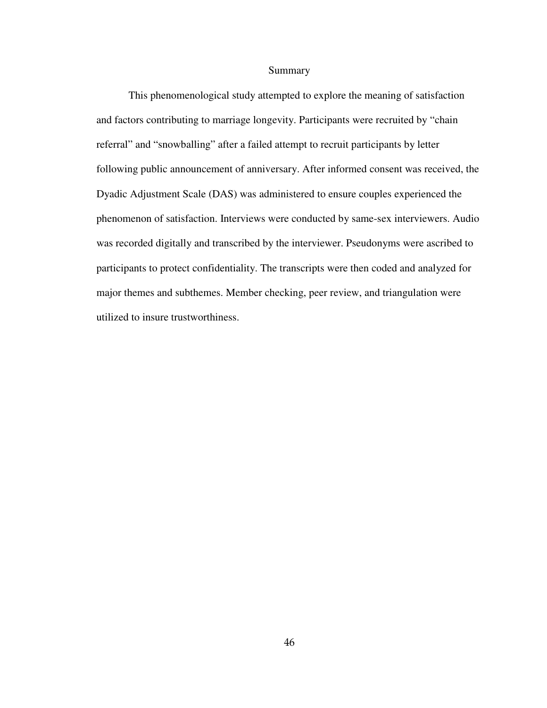### Summary

This phenomenological study attempted to explore the meaning of satisfaction and factors contributing to marriage longevity. Participants were recruited by "chain referral" and "snowballing" after a failed attempt to recruit participants by letter following public announcement of anniversary. After informed consent was received, the Dyadic Adjustment Scale (DAS) was administered to ensure couples experienced the phenomenon of satisfaction. Interviews were conducted by same-sex interviewers. Audio was recorded digitally and transcribed by the interviewer. Pseudonyms were ascribed to participants to protect confidentiality. The transcripts were then coded and analyzed for major themes and subthemes. Member checking, peer review, and triangulation were utilized to insure trustworthiness.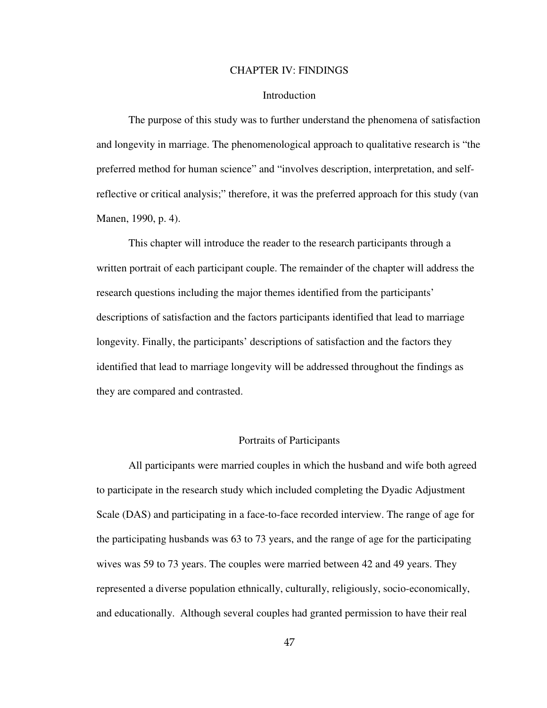# CHAPTER IV: FINDINGS

## Introduction

The purpose of this study was to further understand the phenomena of satisfaction and longevity in marriage. The phenomenological approach to qualitative research is "the preferred method for human science" and "involves description, interpretation, and selfreflective or critical analysis;" therefore, it was the preferred approach for this study (van Manen, 1990, p. 4).

This chapter will introduce the reader to the research participants through a written portrait of each participant couple. The remainder of the chapter will address the research questions including the major themes identified from the participants' descriptions of satisfaction and the factors participants identified that lead to marriage longevity. Finally, the participants' descriptions of satisfaction and the factors they identified that lead to marriage longevity will be addressed throughout the findings as they are compared and contrasted.

# Portraits of Participants

All participants were married couples in which the husband and wife both agreed to participate in the research study which included completing the Dyadic Adjustment Scale (DAS) and participating in a face-to-face recorded interview. The range of age for the participating husbands was 63 to 73 years, and the range of age for the participating wives was 59 to 73 years. The couples were married between 42 and 49 years. They represented a diverse population ethnically, culturally, religiously, socio-economically, and educationally. Although several couples had granted permission to have their real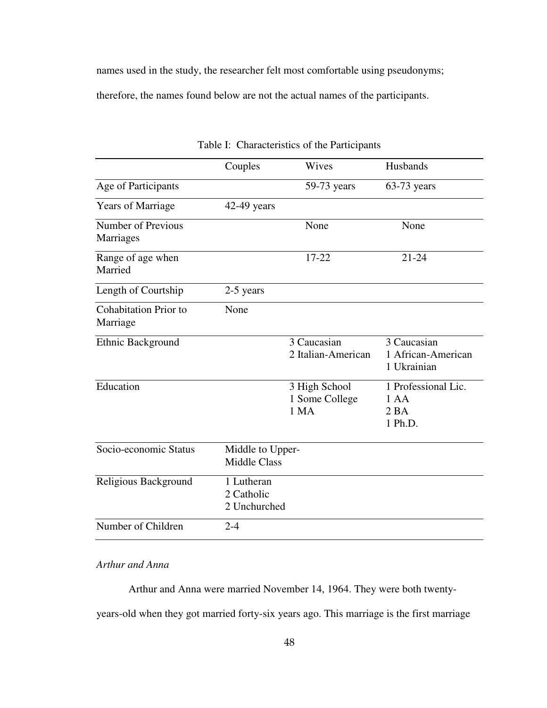names used in the study, the researcher felt most comfortable using pseudonyms;

therefore, the names found below are not the actual names of the participants.

|                                   | Couples                                  | Wives                                   | Husbands                                         |
|-----------------------------------|------------------------------------------|-----------------------------------------|--------------------------------------------------|
| Age of Participants               |                                          | 59-73 years                             | 63-73 years                                      |
| Years of Marriage                 | $42-49$ years                            |                                         |                                                  |
| Number of Previous<br>Marriages   |                                          | None                                    | None                                             |
| Range of age when<br>Married      |                                          | $17 - 22$                               | $21 - 24$                                        |
| Length of Courtship               | 2-5 years                                |                                         |                                                  |
| Cohabitation Prior to<br>Marriage | None                                     |                                         |                                                  |
| Ethnic Background                 |                                          | 3 Caucasian<br>2 Italian-American       | 3 Caucasian<br>1 African-American<br>1 Ukrainian |
| Education                         |                                          | 3 High School<br>1 Some College<br>1 MA | 1 Professional Lic.<br>1AA<br>2BA<br>1 Ph.D.     |
| Socio-economic Status             | Middle to Upper-<br><b>Middle Class</b>  |                                         |                                                  |
| Religious Background              | 1 Lutheran<br>2 Catholic<br>2 Unchurched |                                         |                                                  |
| Number of Children                | 2-4                                      |                                         |                                                  |

Table I: Characteristics of the Participants

*Arthur and Anna* 

Arthur and Anna were married November 14, 1964. They were both twenty-

years-old when they got married forty-six years ago. This marriage is the first marriage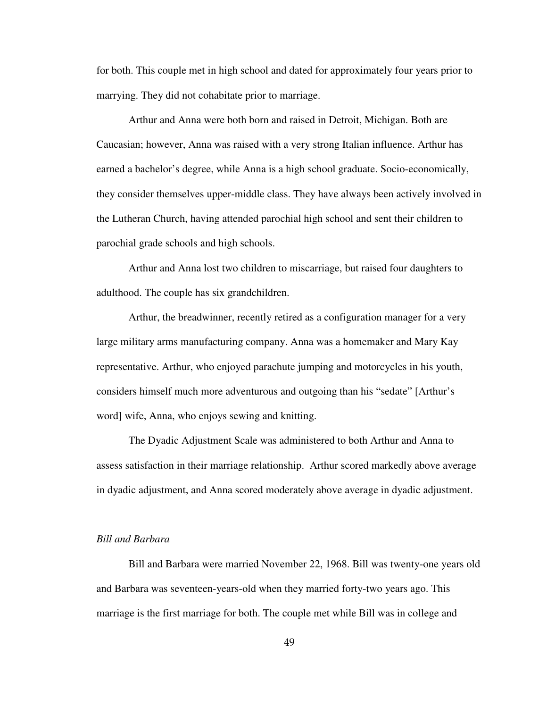for both. This couple met in high school and dated for approximately four years prior to marrying. They did not cohabitate prior to marriage.

Arthur and Anna were both born and raised in Detroit, Michigan. Both are Caucasian; however, Anna was raised with a very strong Italian influence. Arthur has earned a bachelor's degree, while Anna is a high school graduate. Socio-economically, they consider themselves upper-middle class. They have always been actively involved in the Lutheran Church, having attended parochial high school and sent their children to parochial grade schools and high schools.

Arthur and Anna lost two children to miscarriage, but raised four daughters to adulthood. The couple has six grandchildren.

Arthur, the breadwinner, recently retired as a configuration manager for a very large military arms manufacturing company. Anna was a homemaker and Mary Kay representative. Arthur, who enjoyed parachute jumping and motorcycles in his youth, considers himself much more adventurous and outgoing than his "sedate" [Arthur's word] wife, Anna, who enjoys sewing and knitting.

The Dyadic Adjustment Scale was administered to both Arthur and Anna to assess satisfaction in their marriage relationship. Arthur scored markedly above average in dyadic adjustment, and Anna scored moderately above average in dyadic adjustment.

# *Bill and Barbara*

Bill and Barbara were married November 22, 1968. Bill was twenty-one years old and Barbara was seventeen-years-old when they married forty-two years ago. This marriage is the first marriage for both. The couple met while Bill was in college and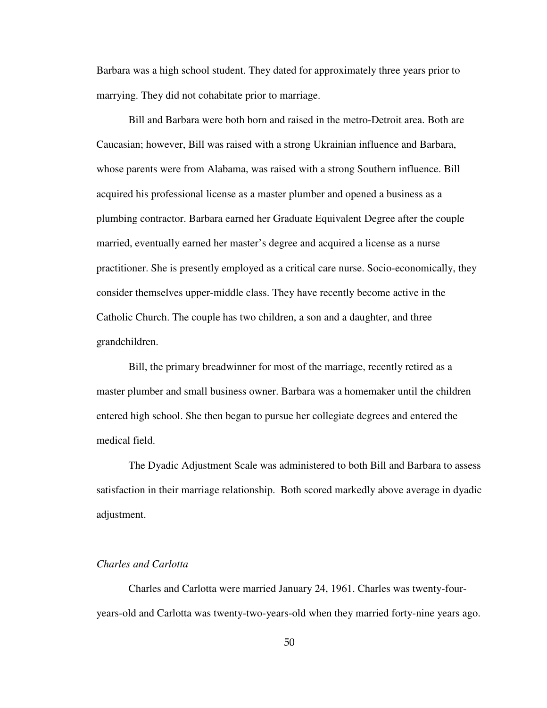Barbara was a high school student. They dated for approximately three years prior to marrying. They did not cohabitate prior to marriage.

Bill and Barbara were both born and raised in the metro-Detroit area. Both are Caucasian; however, Bill was raised with a strong Ukrainian influence and Barbara, whose parents were from Alabama, was raised with a strong Southern influence. Bill acquired his professional license as a master plumber and opened a business as a plumbing contractor. Barbara earned her Graduate Equivalent Degree after the couple married, eventually earned her master's degree and acquired a license as a nurse practitioner. She is presently employed as a critical care nurse. Socio-economically, they consider themselves upper-middle class. They have recently become active in the Catholic Church. The couple has two children, a son and a daughter, and three grandchildren.

Bill, the primary breadwinner for most of the marriage, recently retired as a master plumber and small business owner. Barbara was a homemaker until the children entered high school. She then began to pursue her collegiate degrees and entered the medical field.

The Dyadic Adjustment Scale was administered to both Bill and Barbara to assess satisfaction in their marriage relationship. Both scored markedly above average in dyadic adjustment.

## *Charles and Carlotta*

Charles and Carlotta were married January 24, 1961. Charles was twenty-fouryears-old and Carlotta was twenty-two-years-old when they married forty-nine years ago.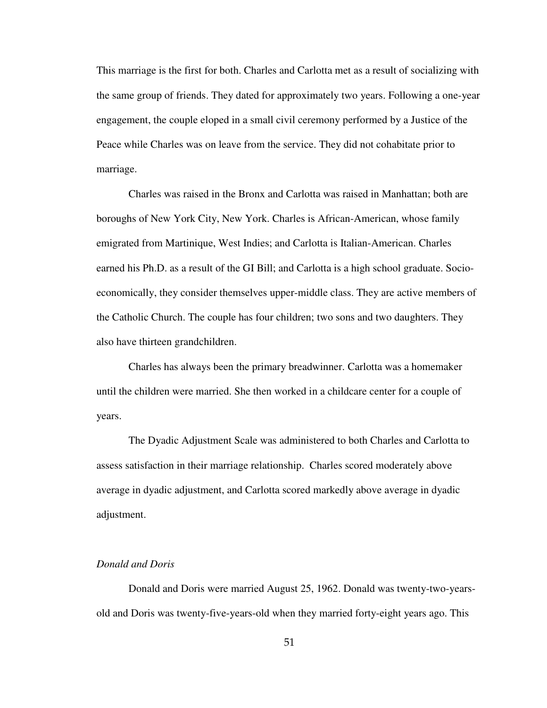This marriage is the first for both. Charles and Carlotta met as a result of socializing with the same group of friends. They dated for approximately two years. Following a one-year engagement, the couple eloped in a small civil ceremony performed by a Justice of the Peace while Charles was on leave from the service. They did not cohabitate prior to marriage.

Charles was raised in the Bronx and Carlotta was raised in Manhattan; both are boroughs of New York City, New York. Charles is African-American, whose family emigrated from Martinique, West Indies; and Carlotta is Italian-American. Charles earned his Ph.D. as a result of the GI Bill; and Carlotta is a high school graduate. Socioeconomically, they consider themselves upper-middle class. They are active members of the Catholic Church. The couple has four children; two sons and two daughters. They also have thirteen grandchildren.

Charles has always been the primary breadwinner. Carlotta was a homemaker until the children were married. She then worked in a childcare center for a couple of years.

The Dyadic Adjustment Scale was administered to both Charles and Carlotta to assess satisfaction in their marriage relationship. Charles scored moderately above average in dyadic adjustment, and Carlotta scored markedly above average in dyadic adjustment.

### *Donald and Doris*

Donald and Doris were married August 25, 1962. Donald was twenty-two-yearsold and Doris was twenty-five-years-old when they married forty-eight years ago. This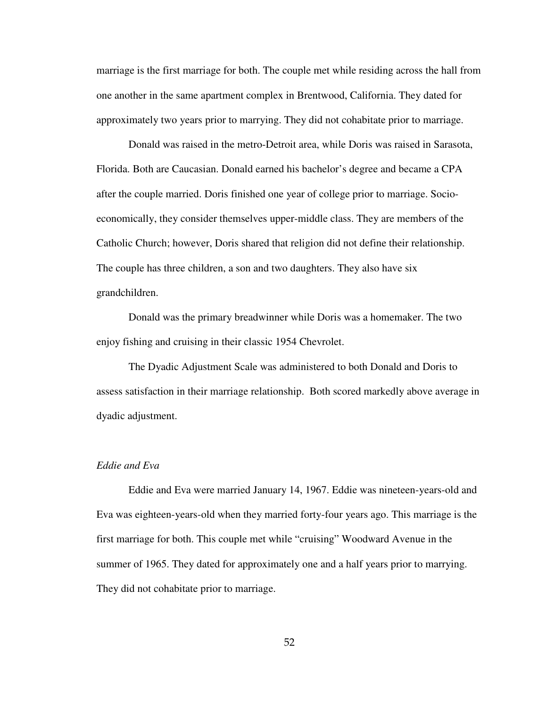marriage is the first marriage for both. The couple met while residing across the hall from one another in the same apartment complex in Brentwood, California. They dated for approximately two years prior to marrying. They did not cohabitate prior to marriage.

Donald was raised in the metro-Detroit area, while Doris was raised in Sarasota, Florida. Both are Caucasian. Donald earned his bachelor's degree and became a CPA after the couple married. Doris finished one year of college prior to marriage. Socioeconomically, they consider themselves upper-middle class. They are members of the Catholic Church; however, Doris shared that religion did not define their relationship. The couple has three children, a son and two daughters. They also have six grandchildren.

Donald was the primary breadwinner while Doris was a homemaker. The two enjoy fishing and cruising in their classic 1954 Chevrolet.

The Dyadic Adjustment Scale was administered to both Donald and Doris to assess satisfaction in their marriage relationship. Both scored markedly above average in dyadic adjustment.

## *Eddie and Eva*

Eddie and Eva were married January 14, 1967. Eddie was nineteen-years-old and Eva was eighteen-years-old when they married forty-four years ago. This marriage is the first marriage for both. This couple met while "cruising" Woodward Avenue in the summer of 1965. They dated for approximately one and a half years prior to marrying. They did not cohabitate prior to marriage.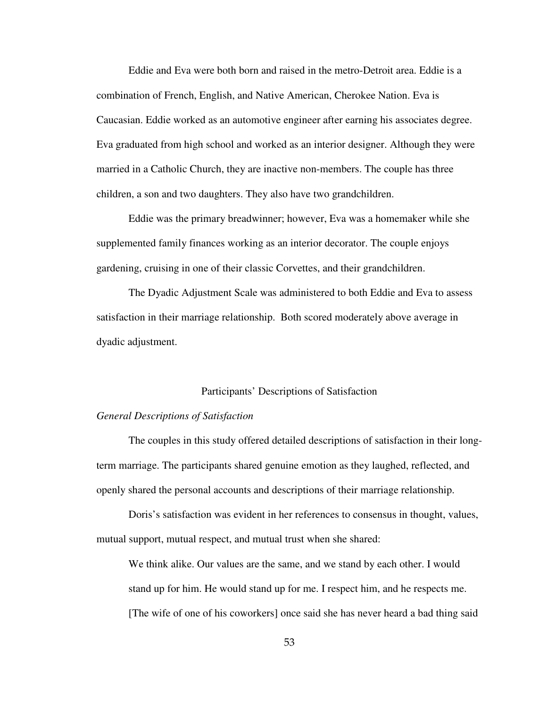Eddie and Eva were both born and raised in the metro-Detroit area. Eddie is a combination of French, English, and Native American, Cherokee Nation. Eva is Caucasian. Eddie worked as an automotive engineer after earning his associates degree. Eva graduated from high school and worked as an interior designer. Although they were married in a Catholic Church, they are inactive non-members. The couple has three children, a son and two daughters. They also have two grandchildren.

Eddie was the primary breadwinner; however, Eva was a homemaker while she supplemented family finances working as an interior decorator. The couple enjoys gardening, cruising in one of their classic Corvettes, and their grandchildren.

The Dyadic Adjustment Scale was administered to both Eddie and Eva to assess satisfaction in their marriage relationship. Both scored moderately above average in dyadic adjustment.

#### Participants' Descriptions of Satisfaction

## *General Descriptions of Satisfaction*

The couples in this study offered detailed descriptions of satisfaction in their longterm marriage. The participants shared genuine emotion as they laughed, reflected, and openly shared the personal accounts and descriptions of their marriage relationship.

Doris's satisfaction was evident in her references to consensus in thought, values, mutual support, mutual respect, and mutual trust when she shared:

We think alike. Our values are the same, and we stand by each other. I would stand up for him. He would stand up for me. I respect him, and he respects me. [The wife of one of his coworkers] once said she has never heard a bad thing said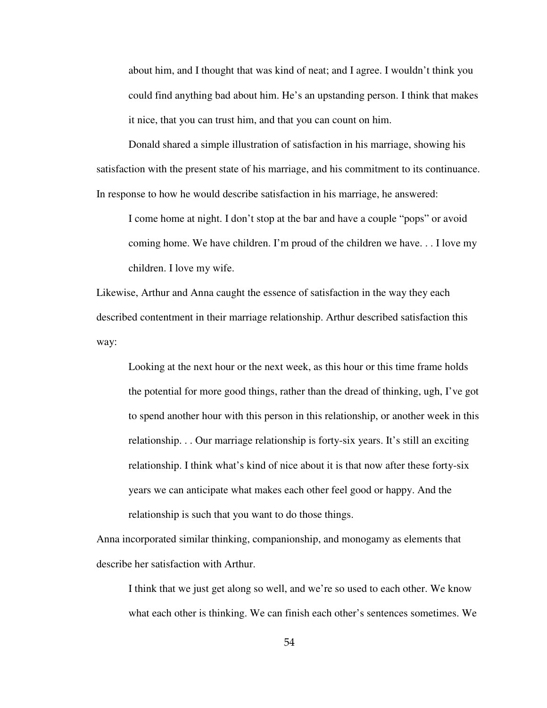about him, and I thought that was kind of neat; and I agree. I wouldn't think you could find anything bad about him. He's an upstanding person. I think that makes it nice, that you can trust him, and that you can count on him.

Donald shared a simple illustration of satisfaction in his marriage, showing his satisfaction with the present state of his marriage, and his commitment to its continuance. In response to how he would describe satisfaction in his marriage, he answered:

I come home at night. I don't stop at the bar and have a couple "pops" or avoid coming home. We have children. I'm proud of the children we have. . . I love my children. I love my wife.

Likewise, Arthur and Anna caught the essence of satisfaction in the way they each described contentment in their marriage relationship. Arthur described satisfaction this way:

Looking at the next hour or the next week, as this hour or this time frame holds the potential for more good things, rather than the dread of thinking, ugh, I've got to spend another hour with this person in this relationship, or another week in this relationship. . . Our marriage relationship is forty-six years. It's still an exciting relationship. I think what's kind of nice about it is that now after these forty-six years we can anticipate what makes each other feel good or happy. And the relationship is such that you want to do those things.

Anna incorporated similar thinking, companionship, and monogamy as elements that describe her satisfaction with Arthur.

I think that we just get along so well, and we're so used to each other. We know what each other is thinking. We can finish each other's sentences sometimes. We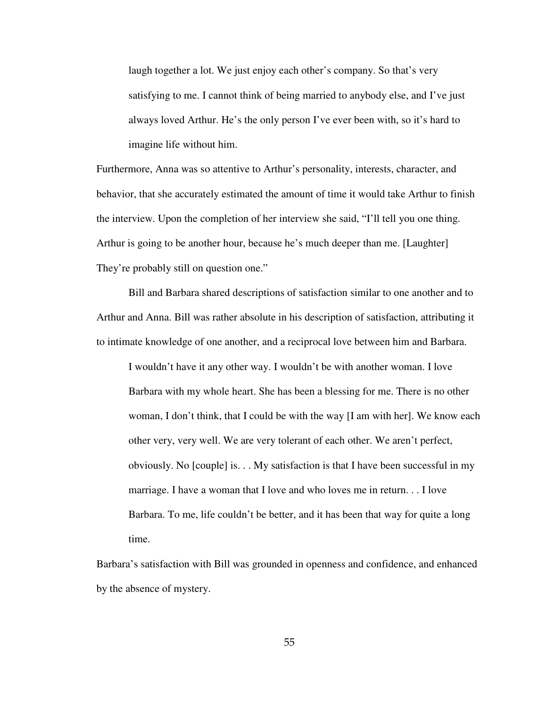laugh together a lot. We just enjoy each other's company. So that's very satisfying to me. I cannot think of being married to anybody else, and I've just always loved Arthur. He's the only person I've ever been with, so it's hard to imagine life without him.

Furthermore, Anna was so attentive to Arthur's personality, interests, character, and behavior, that she accurately estimated the amount of time it would take Arthur to finish the interview. Upon the completion of her interview she said, "I'll tell you one thing. Arthur is going to be another hour, because he's much deeper than me. [Laughter] They're probably still on question one."

Bill and Barbara shared descriptions of satisfaction similar to one another and to Arthur and Anna. Bill was rather absolute in his description of satisfaction, attributing it to intimate knowledge of one another, and a reciprocal love between him and Barbara.

I wouldn't have it any other way. I wouldn't be with another woman. I love Barbara with my whole heart. She has been a blessing for me. There is no other woman, I don't think, that I could be with the way [I am with her]. We know each other very, very well. We are very tolerant of each other. We aren't perfect, obviously. No [couple] is. . . My satisfaction is that I have been successful in my marriage. I have a woman that I love and who loves me in return. . . I love Barbara. To me, life couldn't be better, and it has been that way for quite a long time.

Barbara's satisfaction with Bill was grounded in openness and confidence, and enhanced by the absence of mystery.

55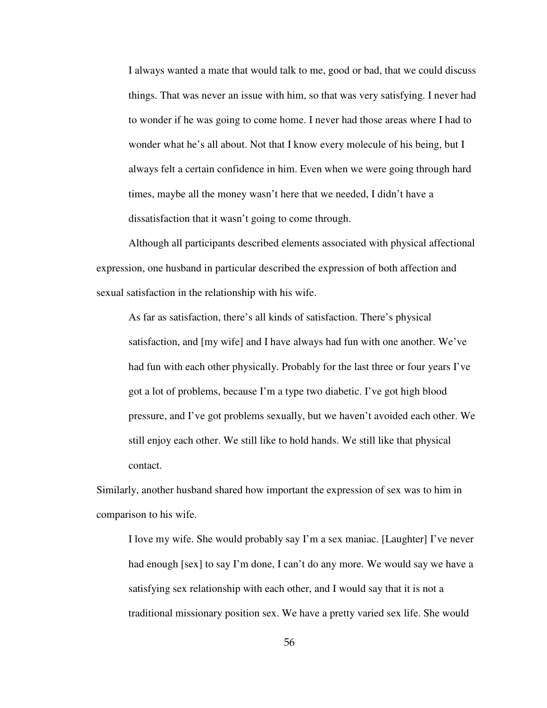I always wanted a mate that would talk to me, good or bad, that we could discuss things. That was never an issue with him, so that was very satisfying. I never had to wonder if he was going to come home. I never had those areas where I had to wonder what he's all about. Not that I know every molecule of his being, but I always felt a certain confidence in him. Even when we were going through hard times, maybe all the money wasn't here that we needed, I didn't have a dissatisfaction that it wasn't going to come through.

Although all participants described elements associated with physical affectional expression, one husband in particular described the expression of both affection and sexual satisfaction in the relationship with his wife.

As far as satisfaction, there's all kinds of satisfaction. There's physical satisfaction, and [my wife] and I have always had fun with one another. We've had fun with each other physically. Probably for the last three or four years I've got a lot of problems, because I'm a type two diabetic. I've got high blood pressure, and I've got problems sexually, but we haven't avoided each other. We still enjoy each other. We still like to hold hands. We still like that physical contact.

Similarly, another husband shared how important the expression of sex was to him in comparison to his wife.

I love my wife. She would probably say I'm a sex maniac. [Laughter] I've never had enough [sex] to say I'm done, I can't do any more. We would say we have a satisfying sex relationship with each other, and I would say that it is not a traditional missionary position sex. We have a pretty varied sex life. She would

56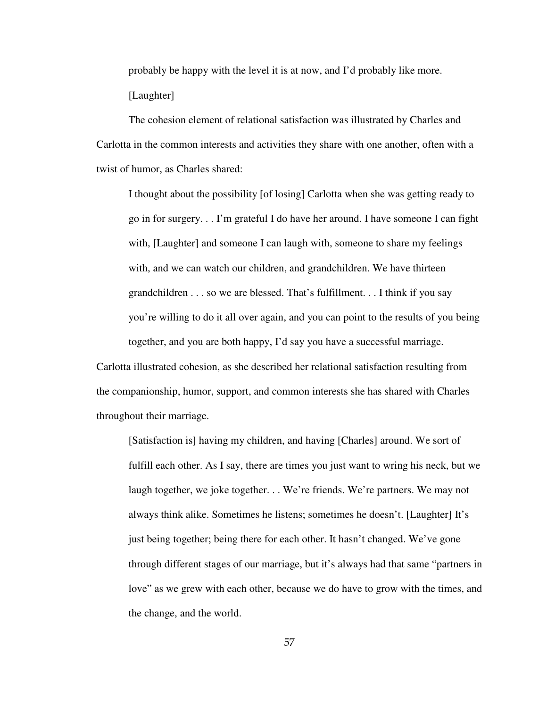probably be happy with the level it is at now, and I'd probably like more. [Laughter]

The cohesion element of relational satisfaction was illustrated by Charles and Carlotta in the common interests and activities they share with one another, often with a twist of humor, as Charles shared:

I thought about the possibility [of losing] Carlotta when she was getting ready to go in for surgery. . . I'm grateful I do have her around. I have someone I can fight with, [Laughter] and someone I can laugh with, someone to share my feelings with, and we can watch our children, and grandchildren. We have thirteen grandchildren . . . so we are blessed. That's fulfillment. . . I think if you say you're willing to do it all over again, and you can point to the results of you being together, and you are both happy, I'd say you have a successful marriage.

Carlotta illustrated cohesion, as she described her relational satisfaction resulting from the companionship, humor, support, and common interests she has shared with Charles throughout their marriage.

[Satisfaction is] having my children, and having [Charles] around. We sort of fulfill each other. As I say, there are times you just want to wring his neck, but we laugh together, we joke together. . . We're friends. We're partners. We may not always think alike. Sometimes he listens; sometimes he doesn't. [Laughter] It's just being together; being there for each other. It hasn't changed. We've gone through different stages of our marriage, but it's always had that same "partners in love" as we grew with each other, because we do have to grow with the times, and the change, and the world.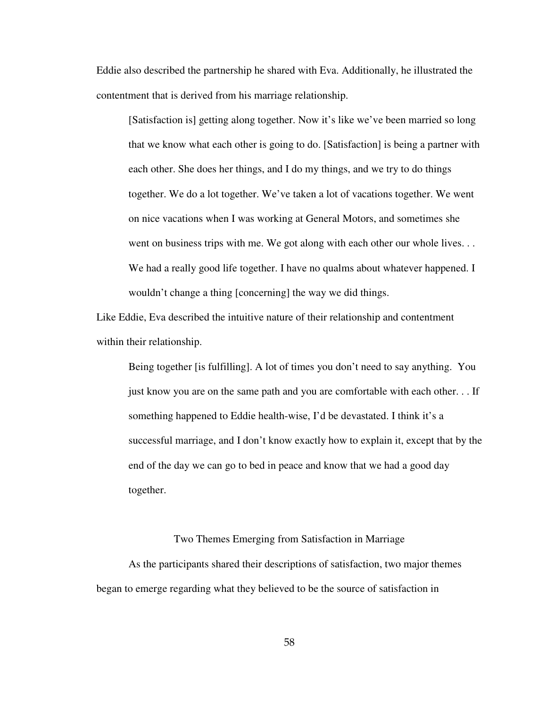Eddie also described the partnership he shared with Eva. Additionally, he illustrated the contentment that is derived from his marriage relationship.

[Satisfaction is] getting along together. Now it's like we've been married so long that we know what each other is going to do. [Satisfaction] is being a partner with each other. She does her things, and I do my things, and we try to do things together. We do a lot together. We've taken a lot of vacations together. We went on nice vacations when I was working at General Motors, and sometimes she went on business trips with me. We got along with each other our whole lives. . . We had a really good life together. I have no qualms about whatever happened. I wouldn't change a thing [concerning] the way we did things.

Like Eddie, Eva described the intuitive nature of their relationship and contentment within their relationship.

Being together [is fulfilling]. A lot of times you don't need to say anything. You just know you are on the same path and you are comfortable with each other. . . If something happened to Eddie health-wise, I'd be devastated. I think it's a successful marriage, and I don't know exactly how to explain it, except that by the end of the day we can go to bed in peace and know that we had a good day together.

### Two Themes Emerging from Satisfaction in Marriage

As the participants shared their descriptions of satisfaction, two major themes began to emerge regarding what they believed to be the source of satisfaction in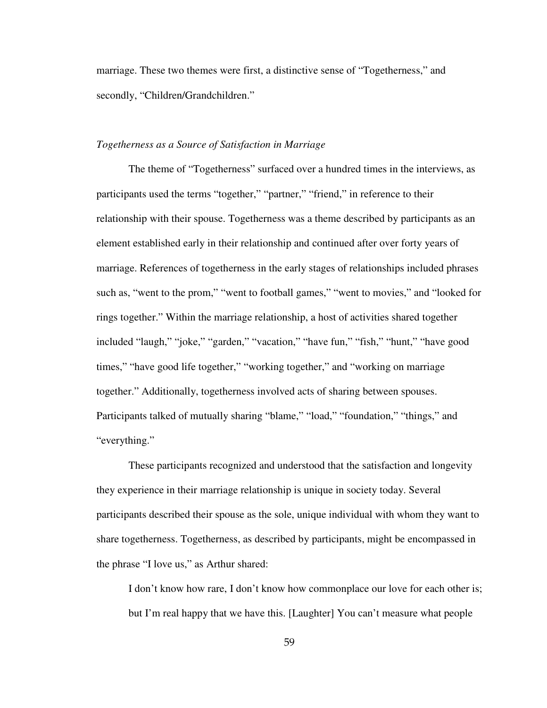marriage. These two themes were first, a distinctive sense of "Togetherness," and secondly, "Children/Grandchildren."

# *Togetherness as a Source of Satisfaction in Marriage*

The theme of "Togetherness" surfaced over a hundred times in the interviews, as participants used the terms "together," "partner," "friend," in reference to their relationship with their spouse. Togetherness was a theme described by participants as an element established early in their relationship and continued after over forty years of marriage. References of togetherness in the early stages of relationships included phrases such as, "went to the prom," "went to football games," "went to movies," and "looked for rings together." Within the marriage relationship, a host of activities shared together included "laugh," "joke," "garden," "vacation," "have fun," "fish," "hunt," "have good times," "have good life together," "working together," and "working on marriage together." Additionally, togetherness involved acts of sharing between spouses. Participants talked of mutually sharing "blame," "load," "foundation," "things," and "everything."

These participants recognized and understood that the satisfaction and longevity they experience in their marriage relationship is unique in society today. Several participants described their spouse as the sole, unique individual with whom they want to share togetherness. Togetherness, as described by participants, might be encompassed in the phrase "I love us," as Arthur shared:

I don't know how rare, I don't know how commonplace our love for each other is; but I'm real happy that we have this. [Laughter] You can't measure what people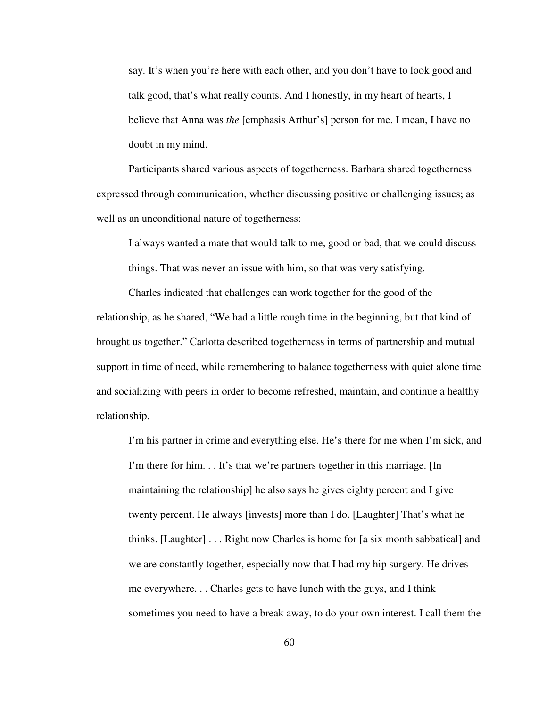say. It's when you're here with each other, and you don't have to look good and talk good, that's what really counts. And I honestly, in my heart of hearts, I believe that Anna was *the* [emphasis Arthur's] person for me. I mean, I have no doubt in my mind.

Participants shared various aspects of togetherness. Barbara shared togetherness expressed through communication, whether discussing positive or challenging issues; as well as an unconditional nature of togetherness:

I always wanted a mate that would talk to me, good or bad, that we could discuss things. That was never an issue with him, so that was very satisfying.

Charles indicated that challenges can work together for the good of the relationship, as he shared, "We had a little rough time in the beginning, but that kind of brought us together." Carlotta described togetherness in terms of partnership and mutual support in time of need, while remembering to balance togetherness with quiet alone time and socializing with peers in order to become refreshed, maintain, and continue a healthy relationship.

I'm his partner in crime and everything else. He's there for me when I'm sick, and I'm there for him. . . It's that we're partners together in this marriage. [In maintaining the relationship] he also says he gives eighty percent and I give twenty percent. He always [invests] more than I do. [Laughter] That's what he thinks. [Laughter] . . . Right now Charles is home for [a six month sabbatical] and we are constantly together, especially now that I had my hip surgery. He drives me everywhere. . . Charles gets to have lunch with the guys, and I think sometimes you need to have a break away, to do your own interest. I call them the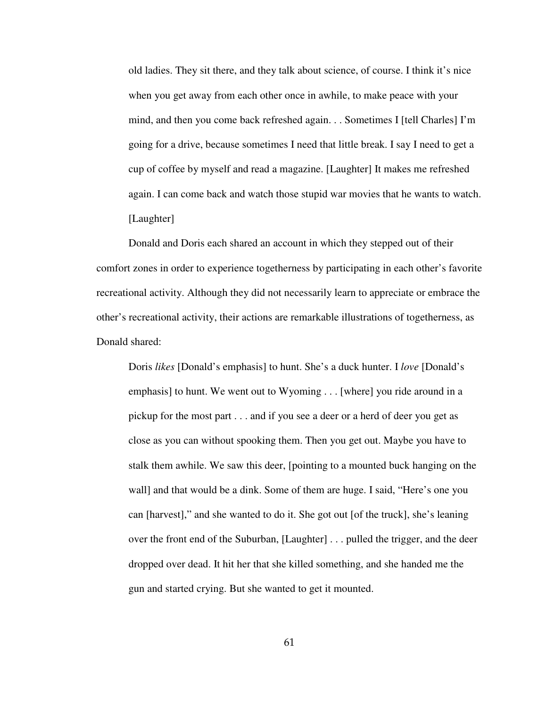old ladies. They sit there, and they talk about science, of course. I think it's nice when you get away from each other once in awhile, to make peace with your mind, and then you come back refreshed again. . . Sometimes I [tell Charles] I'm going for a drive, because sometimes I need that little break. I say I need to get a cup of coffee by myself and read a magazine. [Laughter] It makes me refreshed again. I can come back and watch those stupid war movies that he wants to watch. [Laughter]

Donald and Doris each shared an account in which they stepped out of their comfort zones in order to experience togetherness by participating in each other's favorite recreational activity. Although they did not necessarily learn to appreciate or embrace the other's recreational activity, their actions are remarkable illustrations of togetherness, as Donald shared:

Doris *likes* [Donald's emphasis] to hunt. She's a duck hunter. I *love* [Donald's emphasis] to hunt. We went out to Wyoming . . . [where] you ride around in a pickup for the most part . . . and if you see a deer or a herd of deer you get as close as you can without spooking them. Then you get out. Maybe you have to stalk them awhile. We saw this deer, [pointing to a mounted buck hanging on the wall] and that would be a dink. Some of them are huge. I said, "Here's one you can [harvest]," and she wanted to do it. She got out [of the truck], she's leaning over the front end of the Suburban, [Laughter] . . . pulled the trigger, and the deer dropped over dead. It hit her that she killed something, and she handed me the gun and started crying. But she wanted to get it mounted.

61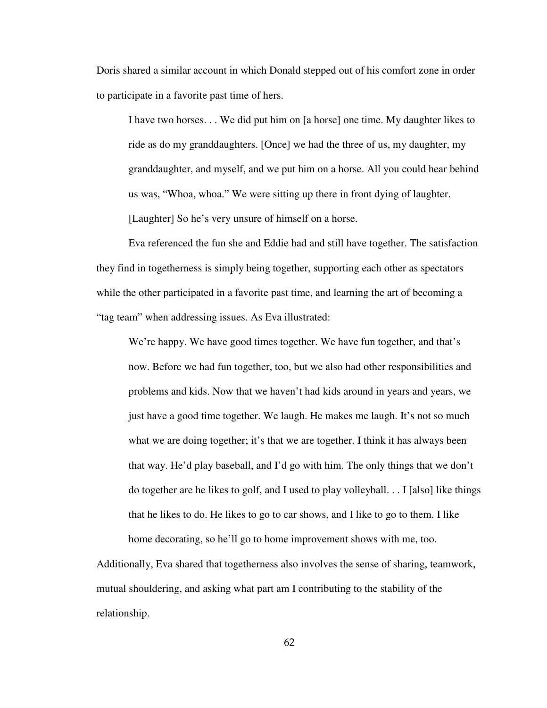Doris shared a similar account in which Donald stepped out of his comfort zone in order to participate in a favorite past time of hers.

I have two horses. . . We did put him on [a horse] one time. My daughter likes to ride as do my granddaughters. [Once] we had the three of us, my daughter, my granddaughter, and myself, and we put him on a horse. All you could hear behind us was, "Whoa, whoa." We were sitting up there in front dying of laughter. [Laughter] So he's very unsure of himself on a horse.

Eva referenced the fun she and Eddie had and still have together. The satisfaction they find in togetherness is simply being together, supporting each other as spectators while the other participated in a favorite past time, and learning the art of becoming a "tag team" when addressing issues. As Eva illustrated:

We're happy. We have good times together. We have fun together, and that's now. Before we had fun together, too, but we also had other responsibilities and problems and kids. Now that we haven't had kids around in years and years, we just have a good time together. We laugh. He makes me laugh. It's not so much what we are doing together; it's that we are together. I think it has always been that way. He'd play baseball, and I'd go with him. The only things that we don't do together are he likes to golf, and I used to play volleyball. . . I [also] like things that he likes to do. He likes to go to car shows, and I like to go to them. I like home decorating, so he'll go to home improvement shows with me, too.

Additionally, Eva shared that togetherness also involves the sense of sharing, teamwork, mutual shouldering, and asking what part am I contributing to the stability of the relationship.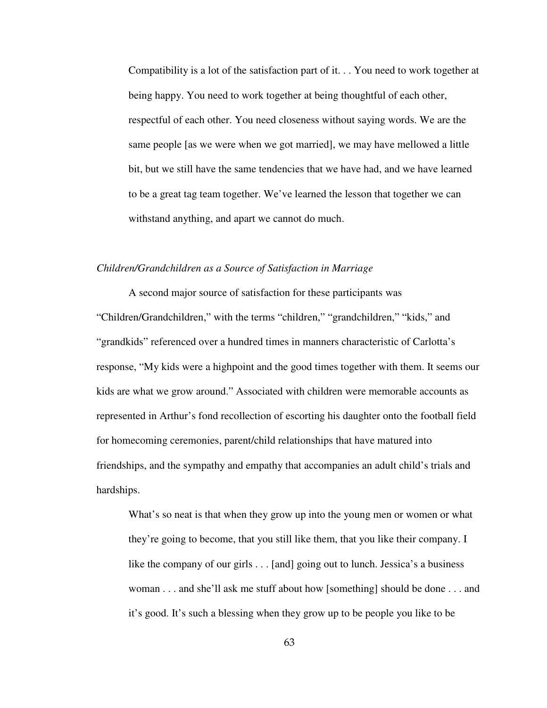Compatibility is a lot of the satisfaction part of it. . . You need to work together at being happy. You need to work together at being thoughtful of each other, respectful of each other. You need closeness without saying words. We are the same people [as we were when we got married], we may have mellowed a little bit, but we still have the same tendencies that we have had, and we have learned to be a great tag team together. We've learned the lesson that together we can withstand anything, and apart we cannot do much.

# *Children/Grandchildren as a Source of Satisfaction in Marriage*

A second major source of satisfaction for these participants was "Children/Grandchildren," with the terms "children," "grandchildren," "kids," and "grandkids" referenced over a hundred times in manners characteristic of Carlotta's response, "My kids were a highpoint and the good times together with them. It seems our kids are what we grow around." Associated with children were memorable accounts as represented in Arthur's fond recollection of escorting his daughter onto the football field for homecoming ceremonies, parent/child relationships that have matured into friendships, and the sympathy and empathy that accompanies an adult child's trials and hardships.

What's so neat is that when they grow up into the young men or women or what they're going to become, that you still like them, that you like their company. I like the company of our girls . . . [and] going out to lunch. Jessica's a business woman . . . and she'll ask me stuff about how [something] should be done . . . and it's good. It's such a blessing when they grow up to be people you like to be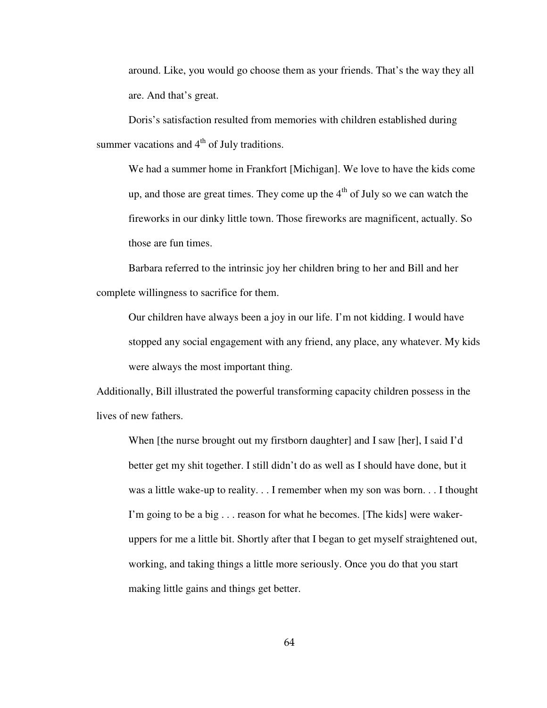around. Like, you would go choose them as your friends. That's the way they all are. And that's great.

Doris's satisfaction resulted from memories with children established during summer vacations and  $4<sup>th</sup>$  of July traditions.

We had a summer home in Frankfort [Michigan]. We love to have the kids come up, and those are great times. They come up the  $4<sup>th</sup>$  of July so we can watch the fireworks in our dinky little town. Those fireworks are magnificent, actually. So those are fun times.

Barbara referred to the intrinsic joy her children bring to her and Bill and her complete willingness to sacrifice for them.

Our children have always been a joy in our life. I'm not kidding. I would have stopped any social engagement with any friend, any place, any whatever. My kids were always the most important thing.

Additionally, Bill illustrated the powerful transforming capacity children possess in the lives of new fathers.

When [the nurse brought out my firstborn daughter] and I saw [her], I said I'd better get my shit together. I still didn't do as well as I should have done, but it was a little wake-up to reality. . . I remember when my son was born. . . I thought I'm going to be a big . . . reason for what he becomes. [The kids] were wakeruppers for me a little bit. Shortly after that I began to get myself straightened out, working, and taking things a little more seriously. Once you do that you start making little gains and things get better.

64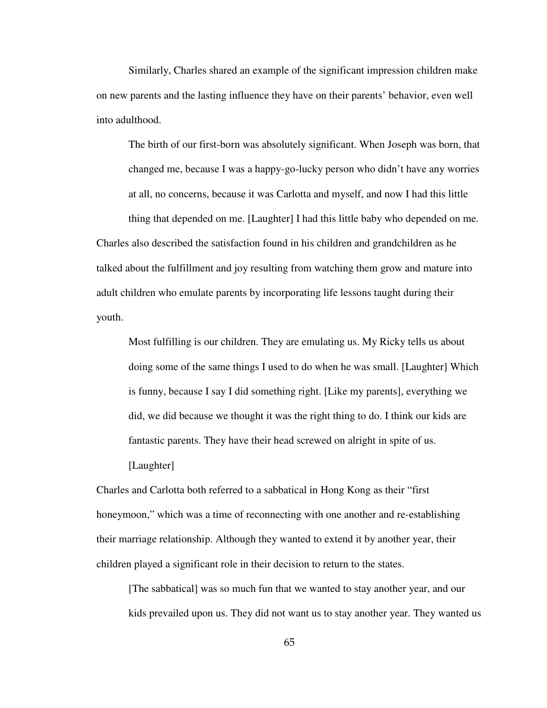Similarly, Charles shared an example of the significant impression children make on new parents and the lasting influence they have on their parents' behavior, even well into adulthood.

The birth of our first-born was absolutely significant. When Joseph was born, that changed me, because I was a happy-go-lucky person who didn't have any worries at all, no concerns, because it was Carlotta and myself, and now I had this little

thing that depended on me. [Laughter] I had this little baby who depended on me. Charles also described the satisfaction found in his children and grandchildren as he talked about the fulfillment and joy resulting from watching them grow and mature into adult children who emulate parents by incorporating life lessons taught during their youth.

Most fulfilling is our children. They are emulating us. My Ricky tells us about doing some of the same things I used to do when he was small. [Laughter] Which is funny, because I say I did something right. [Like my parents], everything we did, we did because we thought it was the right thing to do. I think our kids are fantastic parents. They have their head screwed on alright in spite of us. [Laughter]

Charles and Carlotta both referred to a sabbatical in Hong Kong as their "first honeymoon," which was a time of reconnecting with one another and re-establishing their marriage relationship. Although they wanted to extend it by another year, their children played a significant role in their decision to return to the states.

[The sabbatical] was so much fun that we wanted to stay another year, and our kids prevailed upon us. They did not want us to stay another year. They wanted us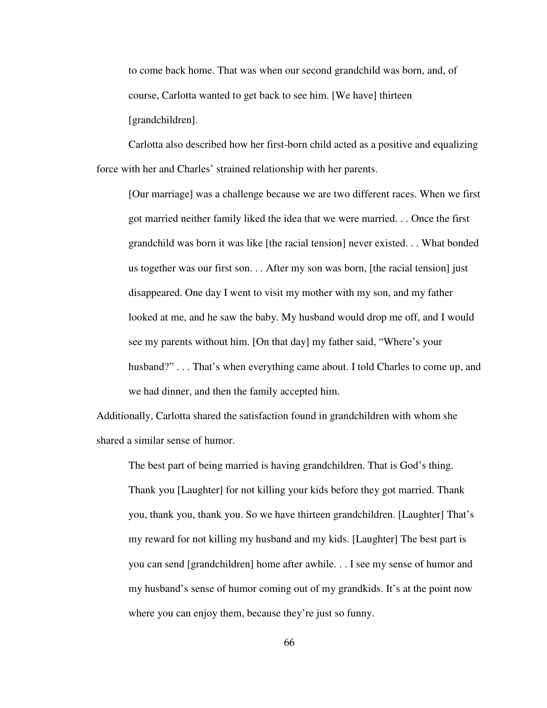to come back home. That was when our second grandchild was born, and, of course, Carlotta wanted to get back to see him. [We have] thirteen [grandchildren].

Carlotta also described how her first-born child acted as a positive and equalizing force with her and Charles' strained relationship with her parents.

[Our marriage] was a challenge because we are two different races. When we first got married neither family liked the idea that we were married. . . Once the first grandchild was born it was like [the racial tension] never existed. . . What bonded us together was our first son. . . After my son was born, [the racial tension] just disappeared. One day I went to visit my mother with my son, and my father looked at me, and he saw the baby. My husband would drop me off, and I would see my parents without him. [On that day] my father said, "Where's your husband?" . . . That's when everything came about. I told Charles to come up, and we had dinner, and then the family accepted him.

Additionally, Carlotta shared the satisfaction found in grandchildren with whom she shared a similar sense of humor.

The best part of being married is having grandchildren. That is God's thing. Thank you [Laughter] for not killing your kids before they got married. Thank you, thank you, thank you. So we have thirteen grandchildren. [Laughter] That's my reward for not killing my husband and my kids. [Laughter] The best part is you can send [grandchildren] home after awhile. . . I see my sense of humor and my husband's sense of humor coming out of my grandkids. It's at the point now where you can enjoy them, because they're just so funny.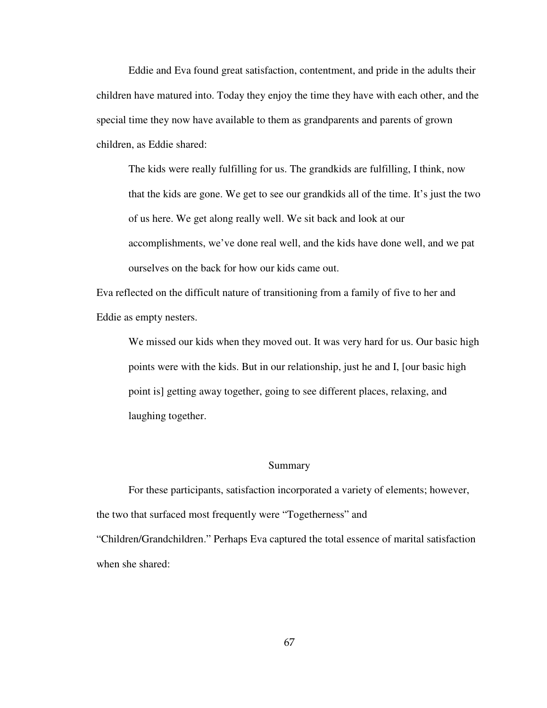Eddie and Eva found great satisfaction, contentment, and pride in the adults their children have matured into. Today they enjoy the time they have with each other, and the special time they now have available to them as grandparents and parents of grown children, as Eddie shared:

The kids were really fulfilling for us. The grandkids are fulfilling, I think, now that the kids are gone. We get to see our grandkids all of the time. It's just the two of us here. We get along really well. We sit back and look at our accomplishments, we've done real well, and the kids have done well, and we pat ourselves on the back for how our kids came out.

Eva reflected on the difficult nature of transitioning from a family of five to her and Eddie as empty nesters.

We missed our kids when they moved out. It was very hard for us. Our basic high points were with the kids. But in our relationship, just he and I, [our basic high point is] getting away together, going to see different places, relaxing, and laughing together.

#### Summary

For these participants, satisfaction incorporated a variety of elements; however, the two that surfaced most frequently were "Togetherness" and "Children/Grandchildren." Perhaps Eva captured the total essence of marital satisfaction when she shared: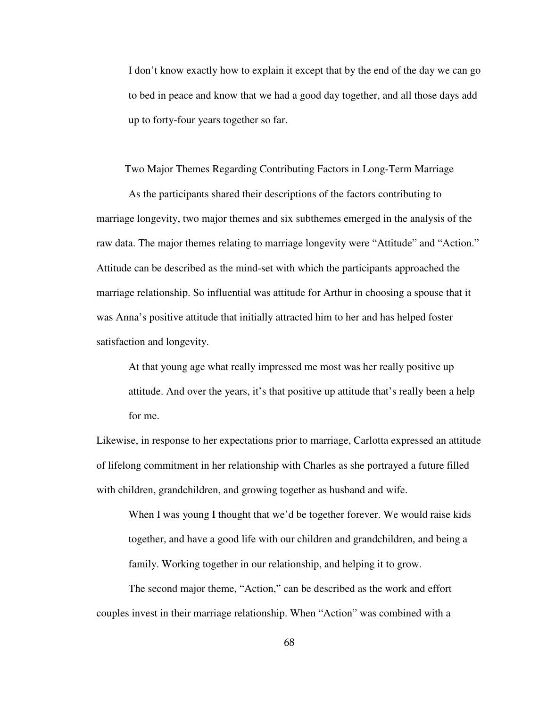I don't know exactly how to explain it except that by the end of the day we can go to bed in peace and know that we had a good day together, and all those days add up to forty-four years together so far.

Two Major Themes Regarding Contributing Factors in Long-Term Marriage

As the participants shared their descriptions of the factors contributing to marriage longevity, two major themes and six subthemes emerged in the analysis of the raw data. The major themes relating to marriage longevity were "Attitude" and "Action." Attitude can be described as the mind-set with which the participants approached the marriage relationship. So influential was attitude for Arthur in choosing a spouse that it was Anna's positive attitude that initially attracted him to her and has helped foster satisfaction and longevity.

At that young age what really impressed me most was her really positive up attitude. And over the years, it's that positive up attitude that's really been a help for me.

Likewise, in response to her expectations prior to marriage, Carlotta expressed an attitude of lifelong commitment in her relationship with Charles as she portrayed a future filled with children, grandchildren, and growing together as husband and wife.

When I was young I thought that we'd be together forever. We would raise kids together, and have a good life with our children and grandchildren, and being a family. Working together in our relationship, and helping it to grow.

The second major theme, "Action," can be described as the work and effort couples invest in their marriage relationship. When "Action" was combined with a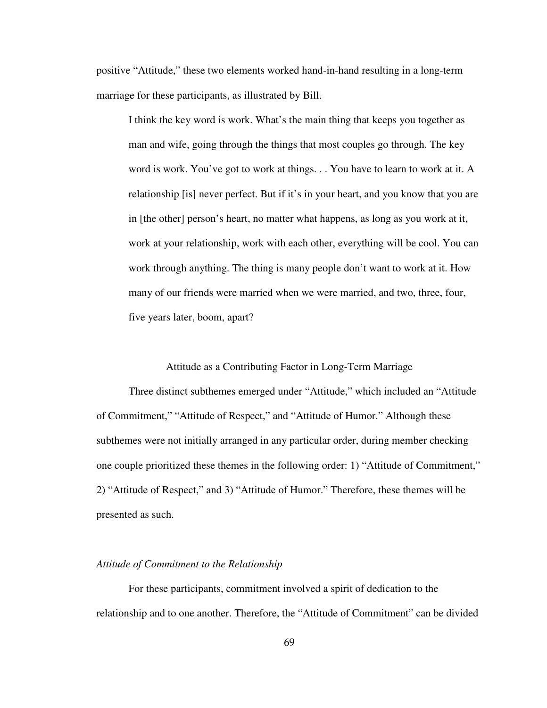positive "Attitude," these two elements worked hand-in-hand resulting in a long-term marriage for these participants, as illustrated by Bill.

I think the key word is work. What's the main thing that keeps you together as man and wife, going through the things that most couples go through. The key word is work. You've got to work at things. . . You have to learn to work at it. A relationship [is] never perfect. But if it's in your heart, and you know that you are in [the other] person's heart, no matter what happens, as long as you work at it, work at your relationship, work with each other, everything will be cool. You can work through anything. The thing is many people don't want to work at it. How many of our friends were married when we were married, and two, three, four, five years later, boom, apart?

Attitude as a Contributing Factor in Long-Term Marriage

Three distinct subthemes emerged under "Attitude," which included an "Attitude of Commitment," "Attitude of Respect," and "Attitude of Humor." Although these subthemes were not initially arranged in any particular order, during member checking one couple prioritized these themes in the following order: 1) "Attitude of Commitment," 2) "Attitude of Respect," and 3) "Attitude of Humor." Therefore, these themes will be presented as such.

#### *Attitude of Commitment to the Relationship*

For these participants, commitment involved a spirit of dedication to the relationship and to one another. Therefore, the "Attitude of Commitment" can be divided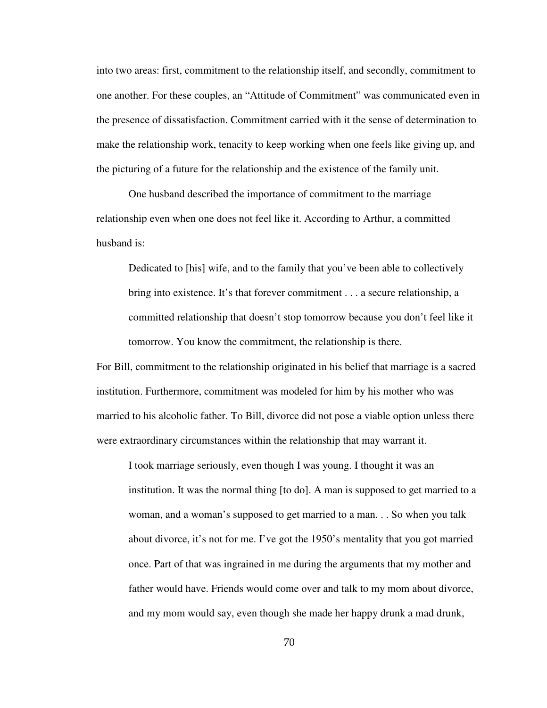into two areas: first, commitment to the relationship itself, and secondly, commitment to one another. For these couples, an "Attitude of Commitment" was communicated even in the presence of dissatisfaction. Commitment carried with it the sense of determination to make the relationship work, tenacity to keep working when one feels like giving up, and the picturing of a future for the relationship and the existence of the family unit.

One husband described the importance of commitment to the marriage relationship even when one does not feel like it. According to Arthur, a committed husband is:

Dedicated to [his] wife, and to the family that you've been able to collectively bring into existence. It's that forever commitment . . . a secure relationship, a committed relationship that doesn't stop tomorrow because you don't feel like it tomorrow. You know the commitment, the relationship is there.

For Bill, commitment to the relationship originated in his belief that marriage is a sacred institution. Furthermore, commitment was modeled for him by his mother who was married to his alcoholic father. To Bill, divorce did not pose a viable option unless there were extraordinary circumstances within the relationship that may warrant it.

I took marriage seriously, even though I was young. I thought it was an institution. It was the normal thing [to do]. A man is supposed to get married to a woman, and a woman's supposed to get married to a man. . . So when you talk about divorce, it's not for me. I've got the 1950's mentality that you got married once. Part of that was ingrained in me during the arguments that my mother and father would have. Friends would come over and talk to my mom about divorce, and my mom would say, even though she made her happy drunk a mad drunk,

70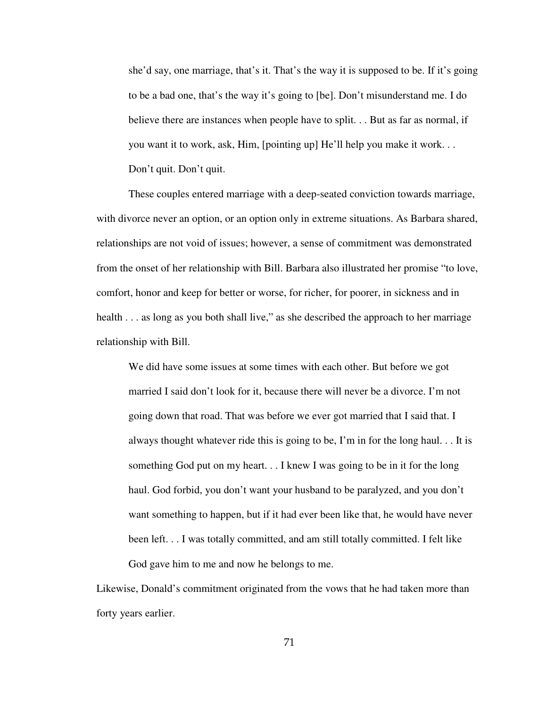she'd say, one marriage, that's it. That's the way it is supposed to be. If it's going to be a bad one, that's the way it's going to [be]. Don't misunderstand me. I do believe there are instances when people have to split. . . But as far as normal, if you want it to work, ask, Him, [pointing up] He'll help you make it work. . . Don't quit. Don't quit.

These couples entered marriage with a deep-seated conviction towards marriage, with divorce never an option, or an option only in extreme situations. As Barbara shared, relationships are not void of issues; however, a sense of commitment was demonstrated from the onset of her relationship with Bill. Barbara also illustrated her promise "to love, comfort, honor and keep for better or worse, for richer, for poorer, in sickness and in health . . . as long as you both shall live," as she described the approach to her marriage relationship with Bill.

We did have some issues at some times with each other. But before we got married I said don't look for it, because there will never be a divorce. I'm not going down that road. That was before we ever got married that I said that. I always thought whatever ride this is going to be, I'm in for the long haul. . . It is something God put on my heart. . . I knew I was going to be in it for the long haul. God forbid, you don't want your husband to be paralyzed, and you don't want something to happen, but if it had ever been like that, he would have never been left. . . I was totally committed, and am still totally committed. I felt like God gave him to me and now he belongs to me.

Likewise, Donald's commitment originated from the vows that he had taken more than forty years earlier.

71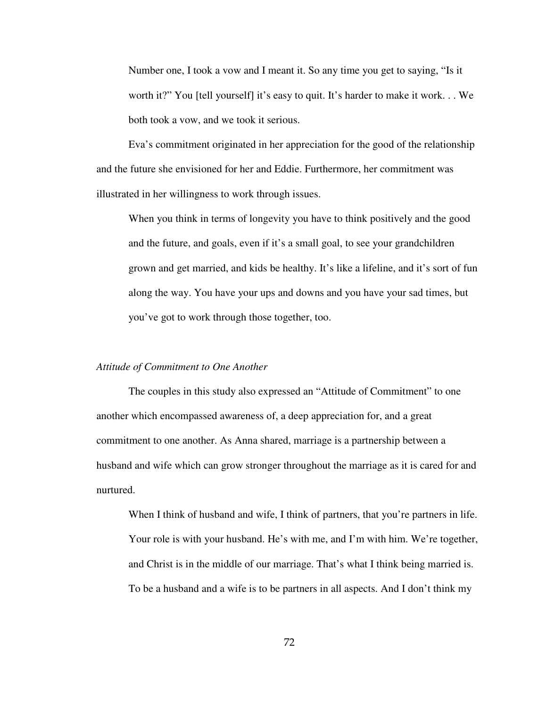Number one, I took a vow and I meant it. So any time you get to saying, "Is it worth it?" You [tell yourself] it's easy to quit. It's harder to make it work... We both took a vow, and we took it serious.

Eva's commitment originated in her appreciation for the good of the relationship and the future she envisioned for her and Eddie. Furthermore, her commitment was illustrated in her willingness to work through issues.

When you think in terms of longevity you have to think positively and the good and the future, and goals, even if it's a small goal, to see your grandchildren grown and get married, and kids be healthy. It's like a lifeline, and it's sort of fun along the way. You have your ups and downs and you have your sad times, but you've got to work through those together, too.

# *Attitude of Commitment to One Another*

The couples in this study also expressed an "Attitude of Commitment" to one another which encompassed awareness of, a deep appreciation for, and a great commitment to one another. As Anna shared, marriage is a partnership between a husband and wife which can grow stronger throughout the marriage as it is cared for and nurtured.

When I think of husband and wife, I think of partners, that you're partners in life. Your role is with your husband. He's with me, and I'm with him. We're together, and Christ is in the middle of our marriage. That's what I think being married is. To be a husband and a wife is to be partners in all aspects. And I don't think my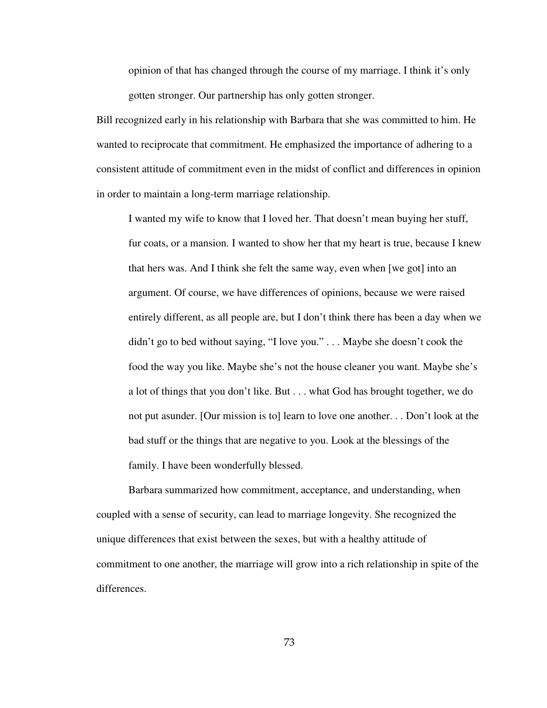opinion of that has changed through the course of my marriage. I think it's only gotten stronger. Our partnership has only gotten stronger.

Bill recognized early in his relationship with Barbara that she was committed to him. He wanted to reciprocate that commitment. He emphasized the importance of adhering to a consistent attitude of commitment even in the midst of conflict and differences in opinion in order to maintain a long-term marriage relationship.

I wanted my wife to know that I loved her. That doesn't mean buying her stuff, fur coats, or a mansion. I wanted to show her that my heart is true, because I knew that hers was. And I think she felt the same way, even when [we got] into an argument. Of course, we have differences of opinions, because we were raised entirely different, as all people are, but I don't think there has been a day when we didn't go to bed without saying, "I love you." . . . Maybe she doesn't cook the food the way you like. Maybe she's not the house cleaner you want. Maybe she's a lot of things that you don't like. But . . . what God has brought together, we do not put asunder. [Our mission is to] learn to love one another. . . Don't look at the bad stuff or the things that are negative to you. Look at the blessings of the family. I have been wonderfully blessed.

Barbara summarized how commitment, acceptance, and understanding, when coupled with a sense of security, can lead to marriage longevity. She recognized the unique differences that exist between the sexes, but with a healthy attitude of commitment to one another, the marriage will grow into a rich relationship in spite of the differences.

73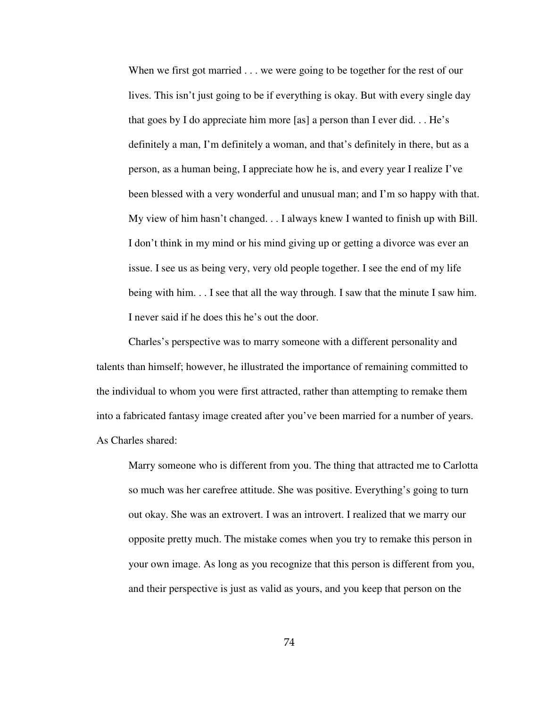When we first got married . . . we were going to be together for the rest of our lives. This isn't just going to be if everything is okay. But with every single day that goes by I do appreciate him more [as] a person than I ever did. . . He's definitely a man, I'm definitely a woman, and that's definitely in there, but as a person, as a human being, I appreciate how he is, and every year I realize I've been blessed with a very wonderful and unusual man; and I'm so happy with that. My view of him hasn't changed. . . I always knew I wanted to finish up with Bill. I don't think in my mind or his mind giving up or getting a divorce was ever an issue. I see us as being very, very old people together. I see the end of my life being with him. . . I see that all the way through. I saw that the minute I saw him. I never said if he does this he's out the door.

Charles's perspective was to marry someone with a different personality and talents than himself; however, he illustrated the importance of remaining committed to the individual to whom you were first attracted, rather than attempting to remake them into a fabricated fantasy image created after you've been married for a number of years. As Charles shared:

Marry someone who is different from you. The thing that attracted me to Carlotta so much was her carefree attitude. She was positive. Everything's going to turn out okay. She was an extrovert. I was an introvert. I realized that we marry our opposite pretty much. The mistake comes when you try to remake this person in your own image. As long as you recognize that this person is different from you, and their perspective is just as valid as yours, and you keep that person on the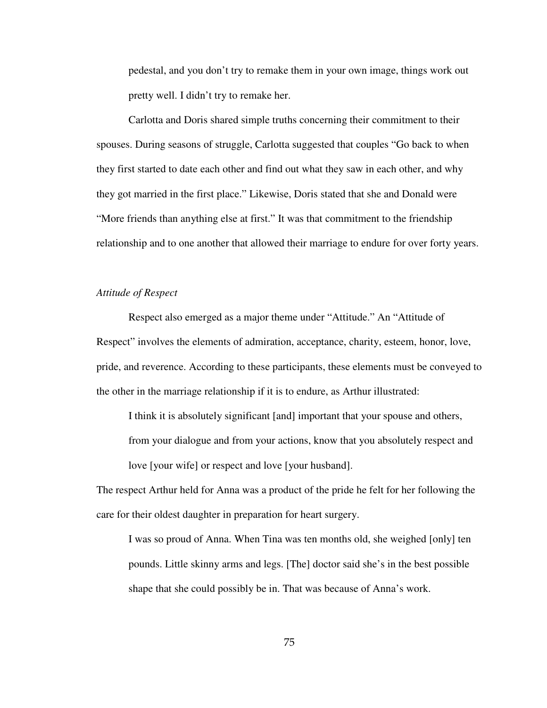pedestal, and you don't try to remake them in your own image, things work out pretty well. I didn't try to remake her.

Carlotta and Doris shared simple truths concerning their commitment to their spouses. During seasons of struggle, Carlotta suggested that couples "Go back to when they first started to date each other and find out what they saw in each other, and why they got married in the first place." Likewise, Doris stated that she and Donald were "More friends than anything else at first." It was that commitment to the friendship relationship and to one another that allowed their marriage to endure for over forty years.

## *Attitude of Respect*

Respect also emerged as a major theme under "Attitude." An "Attitude of Respect" involves the elements of admiration, acceptance, charity, esteem, honor, love, pride, and reverence. According to these participants, these elements must be conveyed to the other in the marriage relationship if it is to endure, as Arthur illustrated:

I think it is absolutely significant [and] important that your spouse and others, from your dialogue and from your actions, know that you absolutely respect and love [your wife] or respect and love [your husband].

The respect Arthur held for Anna was a product of the pride he felt for her following the care for their oldest daughter in preparation for heart surgery.

I was so proud of Anna. When Tina was ten months old, she weighed [only] ten pounds. Little skinny arms and legs. [The] doctor said she's in the best possible shape that she could possibly be in. That was because of Anna's work.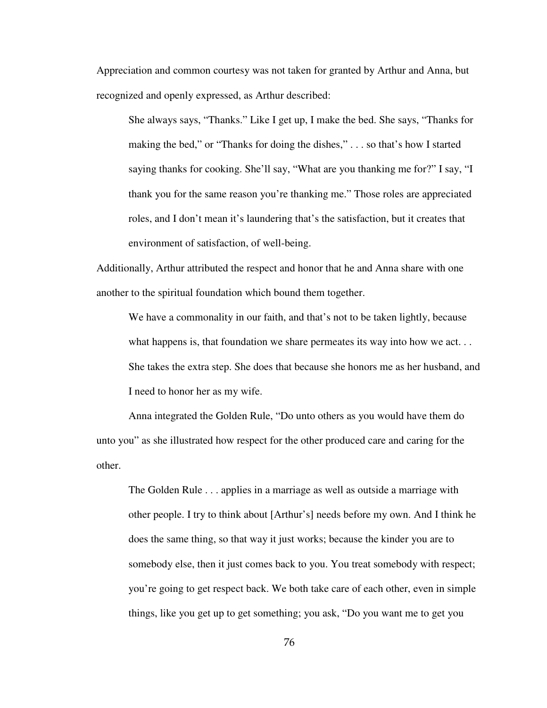Appreciation and common courtesy was not taken for granted by Arthur and Anna, but recognized and openly expressed, as Arthur described:

She always says, "Thanks." Like I get up, I make the bed. She says, "Thanks for making the bed," or "Thanks for doing the dishes," . . . so that's how I started saying thanks for cooking. She'll say, "What are you thanking me for?" I say, "I thank you for the same reason you're thanking me." Those roles are appreciated roles, and I don't mean it's laundering that's the satisfaction, but it creates that environment of satisfaction, of well-being.

Additionally, Arthur attributed the respect and honor that he and Anna share with one another to the spiritual foundation which bound them together.

We have a commonality in our faith, and that's not to be taken lightly, because what happens is, that foundation we share permeates its way into how we act... She takes the extra step. She does that because she honors me as her husband, and I need to honor her as my wife.

Anna integrated the Golden Rule, "Do unto others as you would have them do unto you" as she illustrated how respect for the other produced care and caring for the other.

The Golden Rule . . . applies in a marriage as well as outside a marriage with other people. I try to think about [Arthur's] needs before my own. And I think he does the same thing, so that way it just works; because the kinder you are to somebody else, then it just comes back to you. You treat somebody with respect; you're going to get respect back. We both take care of each other, even in simple things, like you get up to get something; you ask, "Do you want me to get you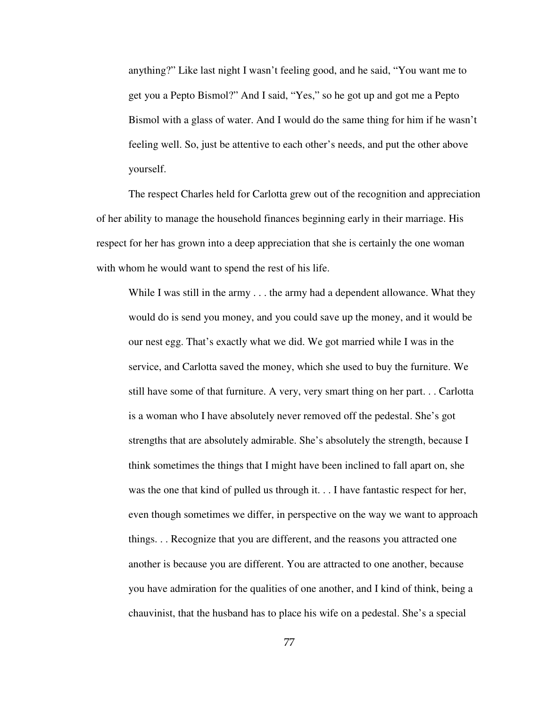anything?" Like last night I wasn't feeling good, and he said, "You want me to get you a Pepto Bismol?" And I said, "Yes," so he got up and got me a Pepto Bismol with a glass of water. And I would do the same thing for him if he wasn't feeling well. So, just be attentive to each other's needs, and put the other above yourself.

The respect Charles held for Carlotta grew out of the recognition and appreciation of her ability to manage the household finances beginning early in their marriage. His respect for her has grown into a deep appreciation that she is certainly the one woman with whom he would want to spend the rest of his life.

While I was still in the army . . . the army had a dependent allowance. What they would do is send you money, and you could save up the money, and it would be our nest egg. That's exactly what we did. We got married while I was in the service, and Carlotta saved the money, which she used to buy the furniture. We still have some of that furniture. A very, very smart thing on her part. . . Carlotta is a woman who I have absolutely never removed off the pedestal. She's got strengths that are absolutely admirable. She's absolutely the strength, because I think sometimes the things that I might have been inclined to fall apart on, she was the one that kind of pulled us through it. . . I have fantastic respect for her, even though sometimes we differ, in perspective on the way we want to approach things. . . Recognize that you are different, and the reasons you attracted one another is because you are different. You are attracted to one another, because you have admiration for the qualities of one another, and I kind of think, being a chauvinist, that the husband has to place his wife on a pedestal. She's a special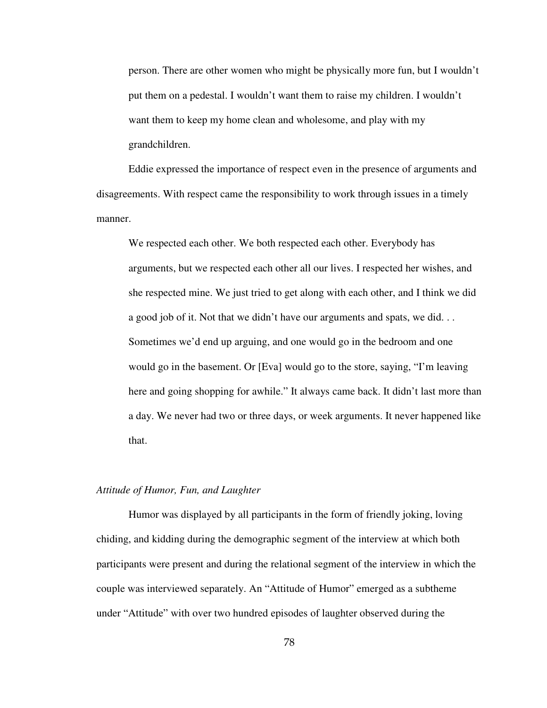person. There are other women who might be physically more fun, but I wouldn't put them on a pedestal. I wouldn't want them to raise my children. I wouldn't want them to keep my home clean and wholesome, and play with my grandchildren.

Eddie expressed the importance of respect even in the presence of arguments and disagreements. With respect came the responsibility to work through issues in a timely manner.

We respected each other. We both respected each other. Everybody has arguments, but we respected each other all our lives. I respected her wishes, and she respected mine. We just tried to get along with each other, and I think we did a good job of it. Not that we didn't have our arguments and spats, we did. . . Sometimes we'd end up arguing, and one would go in the bedroom and one would go in the basement. Or [Eva] would go to the store, saying, "I'm leaving here and going shopping for awhile." It always came back. It didn't last more than a day. We never had two or three days, or week arguments. It never happened like that.

#### *Attitude of Humor, Fun, and Laughter*

Humor was displayed by all participants in the form of friendly joking, loving chiding, and kidding during the demographic segment of the interview at which both participants were present and during the relational segment of the interview in which the couple was interviewed separately. An "Attitude of Humor" emerged as a subtheme under "Attitude" with over two hundred episodes of laughter observed during the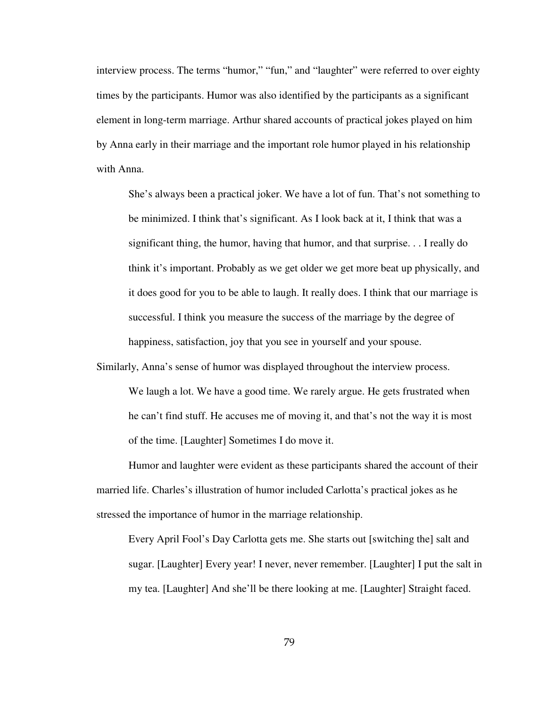interview process. The terms "humor," "fun," and "laughter" were referred to over eighty times by the participants. Humor was also identified by the participants as a significant element in long-term marriage. Arthur shared accounts of practical jokes played on him by Anna early in their marriage and the important role humor played in his relationship with Anna.

She's always been a practical joker. We have a lot of fun. That's not something to be minimized. I think that's significant. As I look back at it, I think that was a significant thing, the humor, having that humor, and that surprise. . . I really do think it's important. Probably as we get older we get more beat up physically, and it does good for you to be able to laugh. It really does. I think that our marriage is successful. I think you measure the success of the marriage by the degree of happiness, satisfaction, joy that you see in yourself and your spouse.

Similarly, Anna's sense of humor was displayed throughout the interview process.

We laugh a lot. We have a good time. We rarely argue. He gets frustrated when he can't find stuff. He accuses me of moving it, and that's not the way it is most of the time. [Laughter] Sometimes I do move it.

Humor and laughter were evident as these participants shared the account of their married life. Charles's illustration of humor included Carlotta's practical jokes as he stressed the importance of humor in the marriage relationship.

Every April Fool's Day Carlotta gets me. She starts out [switching the] salt and sugar. [Laughter] Every year! I never, never remember. [Laughter] I put the salt in my tea. [Laughter] And she'll be there looking at me. [Laughter] Straight faced.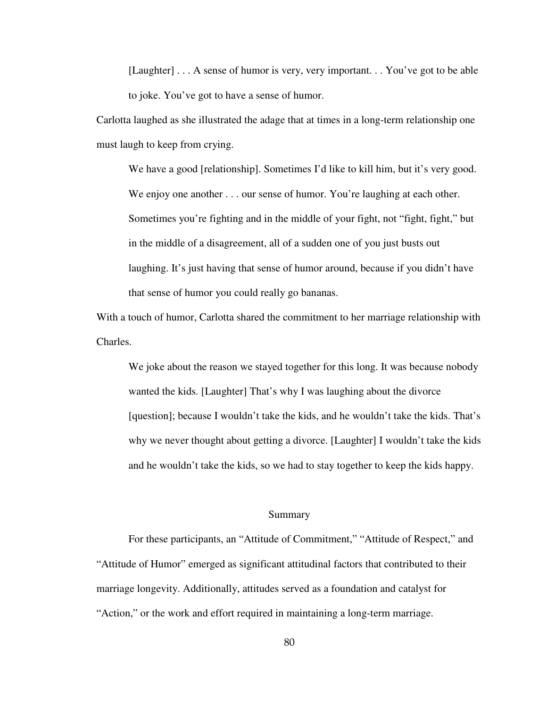[Laughter] . . . A sense of humor is very, very important. . . You've got to be able to joke. You've got to have a sense of humor.

Carlotta laughed as she illustrated the adage that at times in a long-term relationship one must laugh to keep from crying.

We have a good [relationship]. Sometimes I'd like to kill him, but it's very good. We enjoy one another . . . our sense of humor. You're laughing at each other. Sometimes you're fighting and in the middle of your fight, not "fight, fight," but in the middle of a disagreement, all of a sudden one of you just busts out laughing. It's just having that sense of humor around, because if you didn't have that sense of humor you could really go bananas.

With a touch of humor, Carlotta shared the commitment to her marriage relationship with Charles.

We joke about the reason we stayed together for this long. It was because nobody wanted the kids. [Laughter] That's why I was laughing about the divorce [question]; because I wouldn't take the kids, and he wouldn't take the kids. That's why we never thought about getting a divorce. [Laughter] I wouldn't take the kids and he wouldn't take the kids, so we had to stay together to keep the kids happy.

#### Summary

For these participants, an "Attitude of Commitment," "Attitude of Respect," and "Attitude of Humor" emerged as significant attitudinal factors that contributed to their marriage longevity. Additionally, attitudes served as a foundation and catalyst for "Action," or the work and effort required in maintaining a long-term marriage.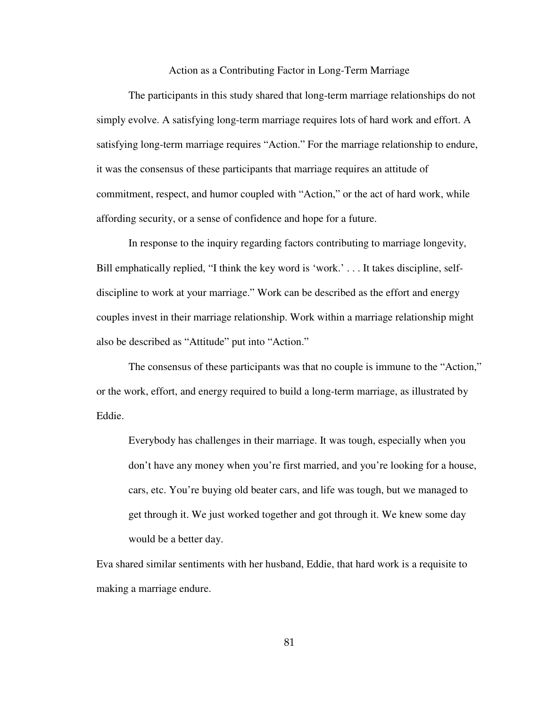Action as a Contributing Factor in Long-Term Marriage

The participants in this study shared that long-term marriage relationships do not simply evolve. A satisfying long-term marriage requires lots of hard work and effort. A satisfying long-term marriage requires "Action." For the marriage relationship to endure, it was the consensus of these participants that marriage requires an attitude of commitment, respect, and humor coupled with "Action," or the act of hard work, while affording security, or a sense of confidence and hope for a future.

In response to the inquiry regarding factors contributing to marriage longevity, Bill emphatically replied, "I think the key word is 'work.' . . . It takes discipline, selfdiscipline to work at your marriage." Work can be described as the effort and energy couples invest in their marriage relationship. Work within a marriage relationship might also be described as "Attitude" put into "Action."

The consensus of these participants was that no couple is immune to the "Action," or the work, effort, and energy required to build a long-term marriage, as illustrated by Eddie.

Everybody has challenges in their marriage. It was tough, especially when you don't have any money when you're first married, and you're looking for a house, cars, etc. You're buying old beater cars, and life was tough, but we managed to get through it. We just worked together and got through it. We knew some day would be a better day.

Eva shared similar sentiments with her husband, Eddie, that hard work is a requisite to making a marriage endure.

81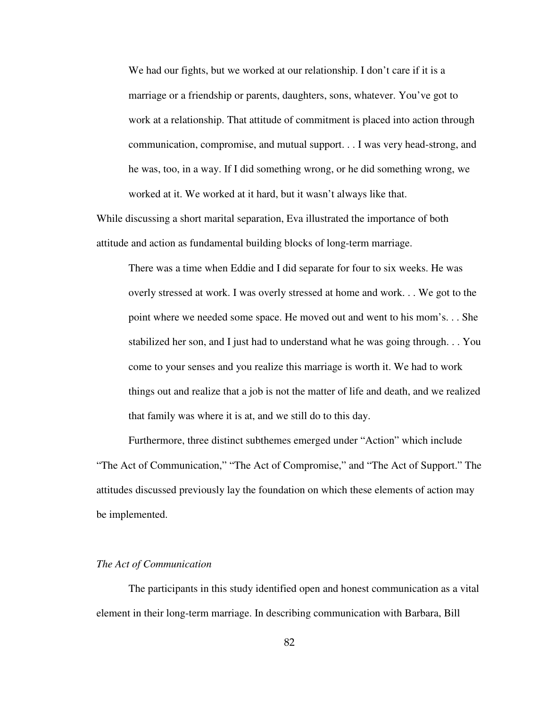We had our fights, but we worked at our relationship. I don't care if it is a marriage or a friendship or parents, daughters, sons, whatever. You've got to work at a relationship. That attitude of commitment is placed into action through communication, compromise, and mutual support. . . I was very head-strong, and he was, too, in a way. If I did something wrong, or he did something wrong, we worked at it. We worked at it hard, but it wasn't always like that.

While discussing a short marital separation, Eva illustrated the importance of both attitude and action as fundamental building blocks of long-term marriage.

There was a time when Eddie and I did separate for four to six weeks. He was overly stressed at work. I was overly stressed at home and work. . . We got to the point where we needed some space. He moved out and went to his mom's. . . She stabilized her son, and I just had to understand what he was going through. . . You come to your senses and you realize this marriage is worth it. We had to work things out and realize that a job is not the matter of life and death, and we realized that family was where it is at, and we still do to this day.

Furthermore, three distinct subthemes emerged under "Action" which include "The Act of Communication," "The Act of Compromise," and "The Act of Support." The attitudes discussed previously lay the foundation on which these elements of action may be implemented.

#### *The Act of Communication*

The participants in this study identified open and honest communication as a vital element in their long-term marriage. In describing communication with Barbara, Bill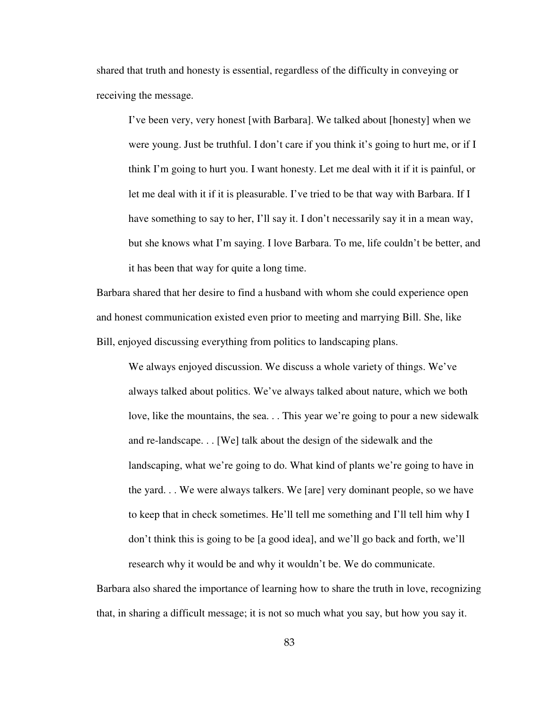shared that truth and honesty is essential, regardless of the difficulty in conveying or receiving the message.

I've been very, very honest [with Barbara]. We talked about [honesty] when we were young. Just be truthful. I don't care if you think it's going to hurt me, or if I think I'm going to hurt you. I want honesty. Let me deal with it if it is painful, or let me deal with it if it is pleasurable. I've tried to be that way with Barbara. If I have something to say to her, I'll say it. I don't necessarily say it in a mean way, but she knows what I'm saying. I love Barbara. To me, life couldn't be better, and it has been that way for quite a long time.

Barbara shared that her desire to find a husband with whom she could experience open and honest communication existed even prior to meeting and marrying Bill. She, like Bill, enjoyed discussing everything from politics to landscaping plans.

We always enjoyed discussion. We discuss a whole variety of things. We've always talked about politics. We've always talked about nature, which we both love, like the mountains, the sea. . . This year we're going to pour a new sidewalk and re-landscape. . . [We] talk about the design of the sidewalk and the landscaping, what we're going to do. What kind of plants we're going to have in the yard. . . We were always talkers. We [are] very dominant people, so we have to keep that in check sometimes. He'll tell me something and I'll tell him why I don't think this is going to be [a good idea], and we'll go back and forth, we'll research why it would be and why it wouldn't be. We do communicate.

Barbara also shared the importance of learning how to share the truth in love, recognizing that, in sharing a difficult message; it is not so much what you say, but how you say it.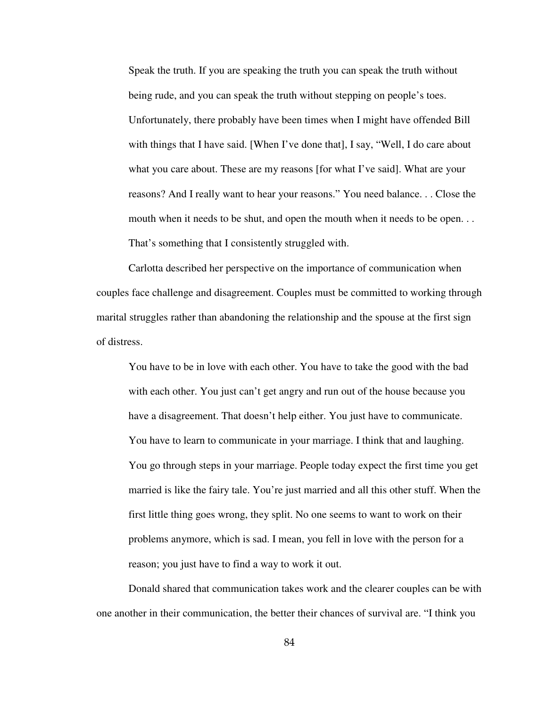Speak the truth. If you are speaking the truth you can speak the truth without being rude, and you can speak the truth without stepping on people's toes. Unfortunately, there probably have been times when I might have offended Bill with things that I have said. [When I've done that], I say, "Well, I do care about what you care about. These are my reasons [for what I've said]. What are your reasons? And I really want to hear your reasons." You need balance. . . Close the mouth when it needs to be shut, and open the mouth when it needs to be open... That's something that I consistently struggled with.

Carlotta described her perspective on the importance of communication when couples face challenge and disagreement. Couples must be committed to working through marital struggles rather than abandoning the relationship and the spouse at the first sign of distress.

You have to be in love with each other. You have to take the good with the bad with each other. You just can't get angry and run out of the house because you have a disagreement. That doesn't help either. You just have to communicate. You have to learn to communicate in your marriage. I think that and laughing. You go through steps in your marriage. People today expect the first time you get married is like the fairy tale. You're just married and all this other stuff. When the first little thing goes wrong, they split. No one seems to want to work on their problems anymore, which is sad. I mean, you fell in love with the person for a reason; you just have to find a way to work it out.

Donald shared that communication takes work and the clearer couples can be with one another in their communication, the better their chances of survival are. "I think you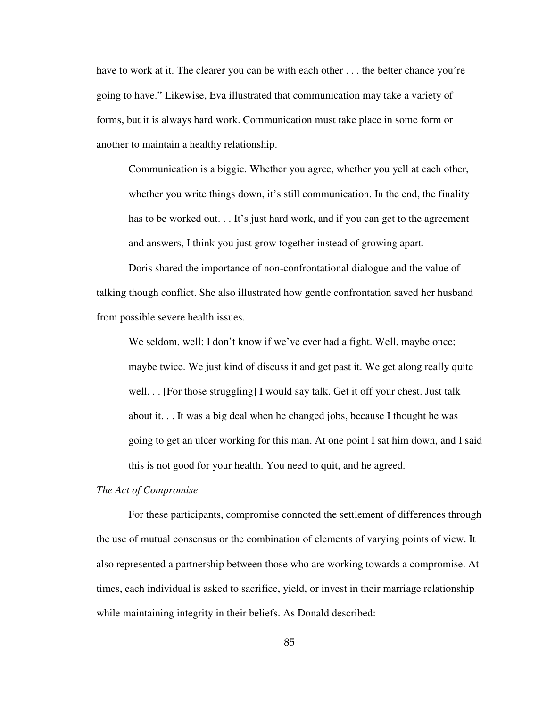have to work at it. The clearer you can be with each other ... the better chance you're going to have." Likewise, Eva illustrated that communication may take a variety of forms, but it is always hard work. Communication must take place in some form or another to maintain a healthy relationship.

Communication is a biggie. Whether you agree, whether you yell at each other, whether you write things down, it's still communication. In the end, the finality has to be worked out. . . It's just hard work, and if you can get to the agreement and answers, I think you just grow together instead of growing apart.

Doris shared the importance of non-confrontational dialogue and the value of talking though conflict. She also illustrated how gentle confrontation saved her husband from possible severe health issues.

We seldom, well; I don't know if we've ever had a fight. Well, maybe once; maybe twice. We just kind of discuss it and get past it. We get along really quite well. . . [For those struggling] I would say talk. Get it off your chest. Just talk about it. . . It was a big deal when he changed jobs, because I thought he was going to get an ulcer working for this man. At one point I sat him down, and I said this is not good for your health. You need to quit, and he agreed.

#### *The Act of Compromise*

For these participants, compromise connoted the settlement of differences through the use of mutual consensus or the combination of elements of varying points of view. It also represented a partnership between those who are working towards a compromise. At times, each individual is asked to sacrifice, yield, or invest in their marriage relationship while maintaining integrity in their beliefs. As Donald described: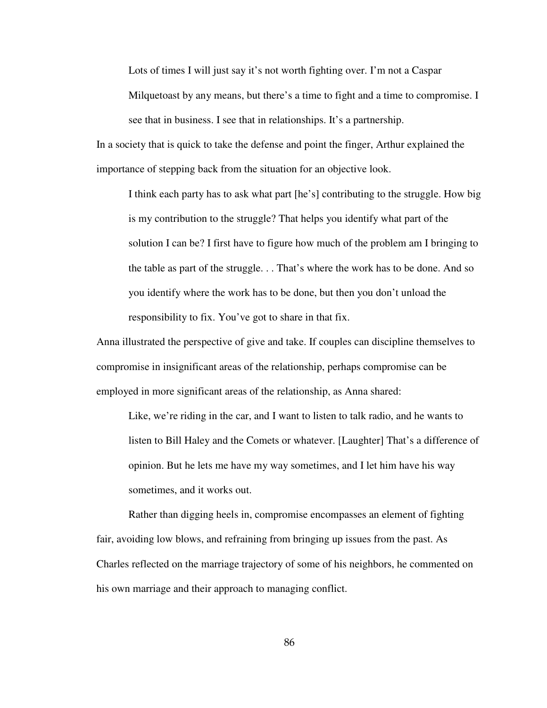Lots of times I will just say it's not worth fighting over. I'm not a Caspar Milquetoast by any means, but there's a time to fight and a time to compromise. I see that in business. I see that in relationships. It's a partnership.

In a society that is quick to take the defense and point the finger, Arthur explained the importance of stepping back from the situation for an objective look.

I think each party has to ask what part [he's] contributing to the struggle. How big is my contribution to the struggle? That helps you identify what part of the solution I can be? I first have to figure how much of the problem am I bringing to the table as part of the struggle. . . That's where the work has to be done. And so you identify where the work has to be done, but then you don't unload the responsibility to fix. You've got to share in that fix.

Anna illustrated the perspective of give and take. If couples can discipline themselves to compromise in insignificant areas of the relationship, perhaps compromise can be employed in more significant areas of the relationship, as Anna shared:

Like, we're riding in the car, and I want to listen to talk radio, and he wants to listen to Bill Haley and the Comets or whatever. [Laughter] That's a difference of opinion. But he lets me have my way sometimes, and I let him have his way sometimes, and it works out.

Rather than digging heels in, compromise encompasses an element of fighting fair, avoiding low blows, and refraining from bringing up issues from the past. As Charles reflected on the marriage trajectory of some of his neighbors, he commented on his own marriage and their approach to managing conflict.

86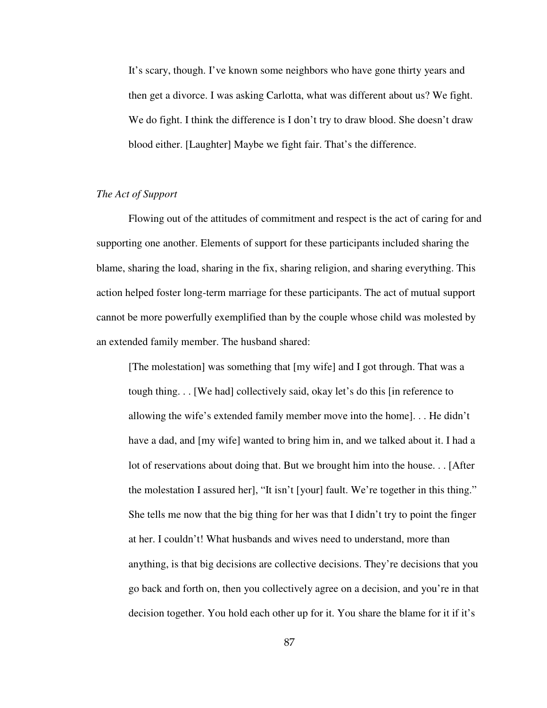It's scary, though. I've known some neighbors who have gone thirty years and then get a divorce. I was asking Carlotta, what was different about us? We fight. We do fight. I think the difference is I don't try to draw blood. She doesn't draw blood either. [Laughter] Maybe we fight fair. That's the difference.

# *The Act of Support*

Flowing out of the attitudes of commitment and respect is the act of caring for and supporting one another. Elements of support for these participants included sharing the blame, sharing the load, sharing in the fix, sharing religion, and sharing everything. This action helped foster long-term marriage for these participants. The act of mutual support cannot be more powerfully exemplified than by the couple whose child was molested by an extended family member. The husband shared:

[The molestation] was something that [my wife] and I got through. That was a tough thing. . . [We had] collectively said, okay let's do this [in reference to allowing the wife's extended family member move into the home]. . . He didn't have a dad, and [my wife] wanted to bring him in, and we talked about it. I had a lot of reservations about doing that. But we brought him into the house. . . [After the molestation I assured her], "It isn't [your] fault. We're together in this thing." She tells me now that the big thing for her was that I didn't try to point the finger at her. I couldn't! What husbands and wives need to understand, more than anything, is that big decisions are collective decisions. They're decisions that you go back and forth on, then you collectively agree on a decision, and you're in that decision together. You hold each other up for it. You share the blame for it if it's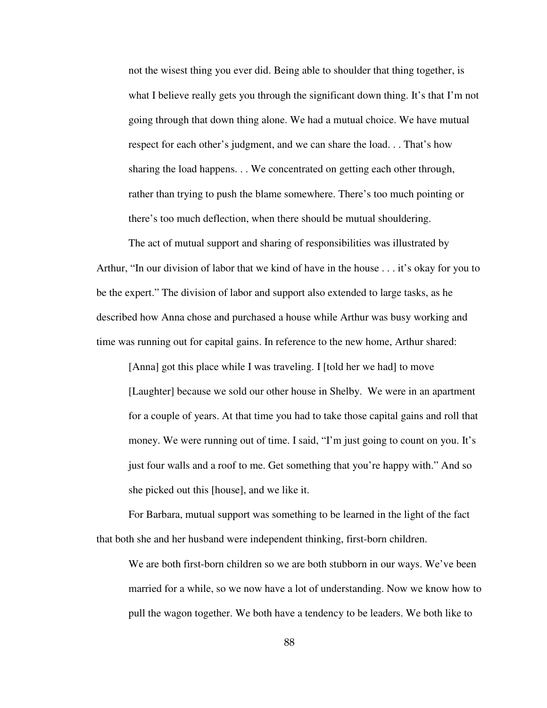not the wisest thing you ever did. Being able to shoulder that thing together, is what I believe really gets you through the significant down thing. It's that I'm not going through that down thing alone. We had a mutual choice. We have mutual respect for each other's judgment, and we can share the load. . . That's how sharing the load happens. . . We concentrated on getting each other through, rather than trying to push the blame somewhere. There's too much pointing or there's too much deflection, when there should be mutual shouldering.

The act of mutual support and sharing of responsibilities was illustrated by Arthur, "In our division of labor that we kind of have in the house . . . it's okay for you to be the expert." The division of labor and support also extended to large tasks, as he described how Anna chose and purchased a house while Arthur was busy working and time was running out for capital gains. In reference to the new home, Arthur shared:

[Anna] got this place while I was traveling. I [told her we had] to move [Laughter] because we sold our other house in Shelby. We were in an apartment for a couple of years. At that time you had to take those capital gains and roll that money. We were running out of time. I said, "I'm just going to count on you. It's just four walls and a roof to me. Get something that you're happy with." And so she picked out this [house], and we like it.

For Barbara, mutual support was something to be learned in the light of the fact that both she and her husband were independent thinking, first-born children.

We are both first-born children so we are both stubborn in our ways. We've been married for a while, so we now have a lot of understanding. Now we know how to pull the wagon together. We both have a tendency to be leaders. We both like to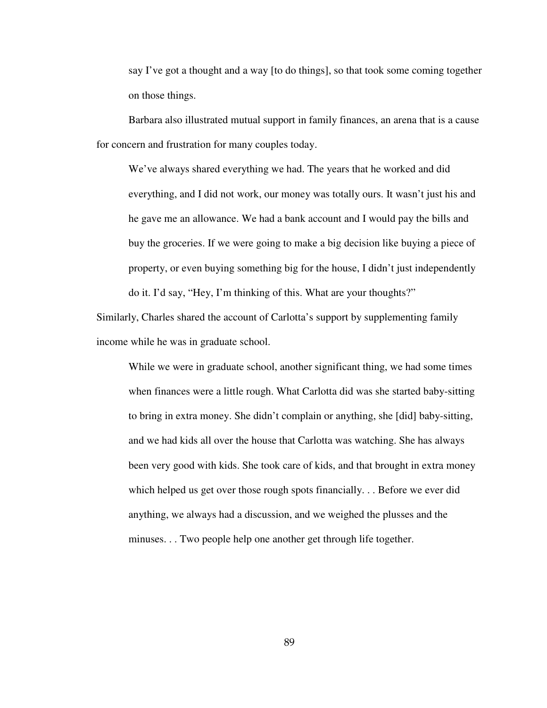say I've got a thought and a way [to do things], so that took some coming together on those things.

Barbara also illustrated mutual support in family finances, an arena that is a cause for concern and frustration for many couples today.

We've always shared everything we had. The years that he worked and did everything, and I did not work, our money was totally ours. It wasn't just his and he gave me an allowance. We had a bank account and I would pay the bills and buy the groceries. If we were going to make a big decision like buying a piece of property, or even buying something big for the house, I didn't just independently do it. I'd say, "Hey, I'm thinking of this. What are your thoughts?"

Similarly, Charles shared the account of Carlotta's support by supplementing family income while he was in graduate school.

While we were in graduate school, another significant thing, we had some times when finances were a little rough. What Carlotta did was she started baby-sitting to bring in extra money. She didn't complain or anything, she [did] baby-sitting, and we had kids all over the house that Carlotta was watching. She has always been very good with kids. She took care of kids, and that brought in extra money which helped us get over those rough spots financially. . . Before we ever did anything, we always had a discussion, and we weighed the plusses and the minuses. . . Two people help one another get through life together.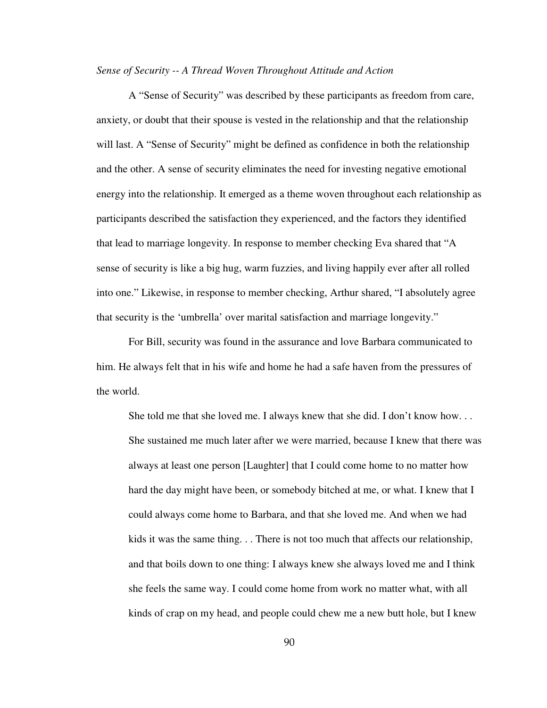## *Sense of Security -- A Thread Woven Throughout Attitude and Action*

A "Sense of Security" was described by these participants as freedom from care, anxiety, or doubt that their spouse is vested in the relationship and that the relationship will last. A "Sense of Security" might be defined as confidence in both the relationship and the other. A sense of security eliminates the need for investing negative emotional energy into the relationship. It emerged as a theme woven throughout each relationship as participants described the satisfaction they experienced, and the factors they identified that lead to marriage longevity. In response to member checking Eva shared that "A sense of security is like a big hug, warm fuzzies, and living happily ever after all rolled into one." Likewise, in response to member checking, Arthur shared, "I absolutely agree that security is the 'umbrella' over marital satisfaction and marriage longevity."

For Bill, security was found in the assurance and love Barbara communicated to him. He always felt that in his wife and home he had a safe haven from the pressures of the world.

She told me that she loved me. I always knew that she did. I don't know how. . . She sustained me much later after we were married, because I knew that there was always at least one person [Laughter] that I could come home to no matter how hard the day might have been, or somebody bitched at me, or what. I knew that I could always come home to Barbara, and that she loved me. And when we had kids it was the same thing. . . There is not too much that affects our relationship, and that boils down to one thing: I always knew she always loved me and I think she feels the same way. I could come home from work no matter what, with all kinds of crap on my head, and people could chew me a new butt hole, but I knew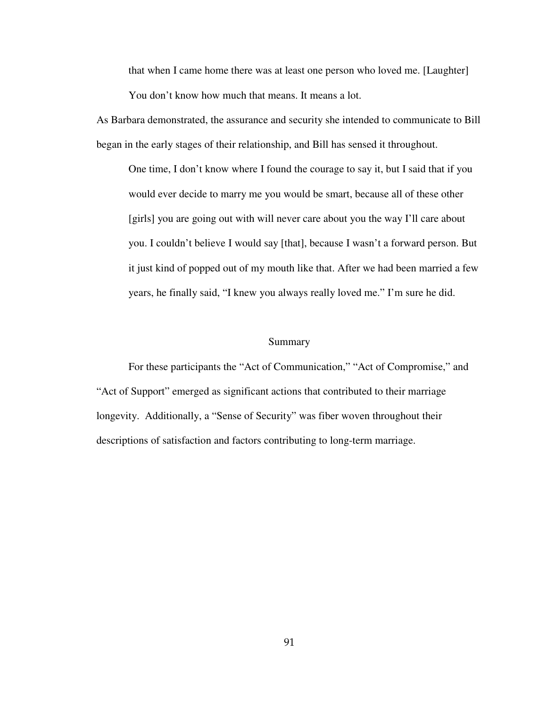that when I came home there was at least one person who loved me. [Laughter] You don't know how much that means. It means a lot.

As Barbara demonstrated, the assurance and security she intended to communicate to Bill began in the early stages of their relationship, and Bill has sensed it throughout.

One time, I don't know where I found the courage to say it, but I said that if you would ever decide to marry me you would be smart, because all of these other [girls] you are going out with will never care about you the way I'll care about you. I couldn't believe I would say [that], because I wasn't a forward person. But it just kind of popped out of my mouth like that. After we had been married a few years, he finally said, "I knew you always really loved me." I'm sure he did.

# Summary

For these participants the "Act of Communication," "Act of Compromise," and "Act of Support" emerged as significant actions that contributed to their marriage longevity. Additionally, a "Sense of Security" was fiber woven throughout their descriptions of satisfaction and factors contributing to long-term marriage.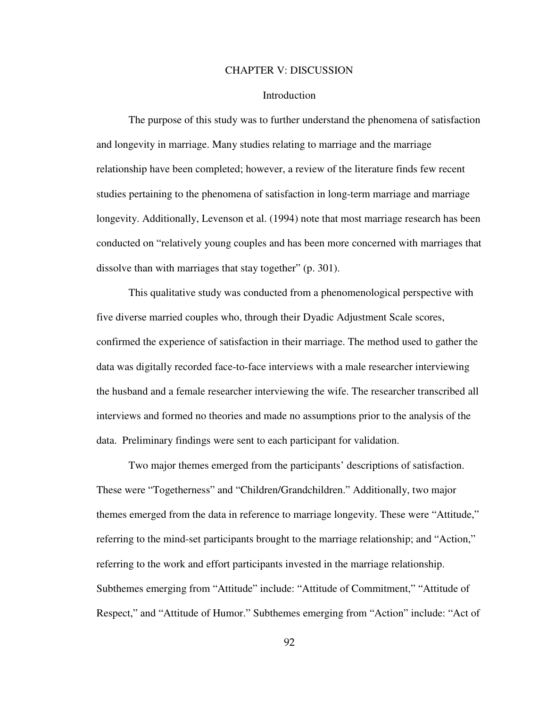# CHAPTER V: DISCUSSION

## Introduction

The purpose of this study was to further understand the phenomena of satisfaction and longevity in marriage. Many studies relating to marriage and the marriage relationship have been completed; however, a review of the literature finds few recent studies pertaining to the phenomena of satisfaction in long-term marriage and marriage longevity. Additionally, Levenson et al. (1994) note that most marriage research has been conducted on "relatively young couples and has been more concerned with marriages that dissolve than with marriages that stay together" (p. 301).

This qualitative study was conducted from a phenomenological perspective with five diverse married couples who, through their Dyadic Adjustment Scale scores, confirmed the experience of satisfaction in their marriage. The method used to gather the data was digitally recorded face-to-face interviews with a male researcher interviewing the husband and a female researcher interviewing the wife. The researcher transcribed all interviews and formed no theories and made no assumptions prior to the analysis of the data. Preliminary findings were sent to each participant for validation.

Two major themes emerged from the participants' descriptions of satisfaction. These were "Togetherness" and "Children/Grandchildren." Additionally, two major themes emerged from the data in reference to marriage longevity. These were "Attitude," referring to the mind-set participants brought to the marriage relationship; and "Action," referring to the work and effort participants invested in the marriage relationship. Subthemes emerging from "Attitude" include: "Attitude of Commitment," "Attitude of Respect," and "Attitude of Humor." Subthemes emerging from "Action" include: "Act of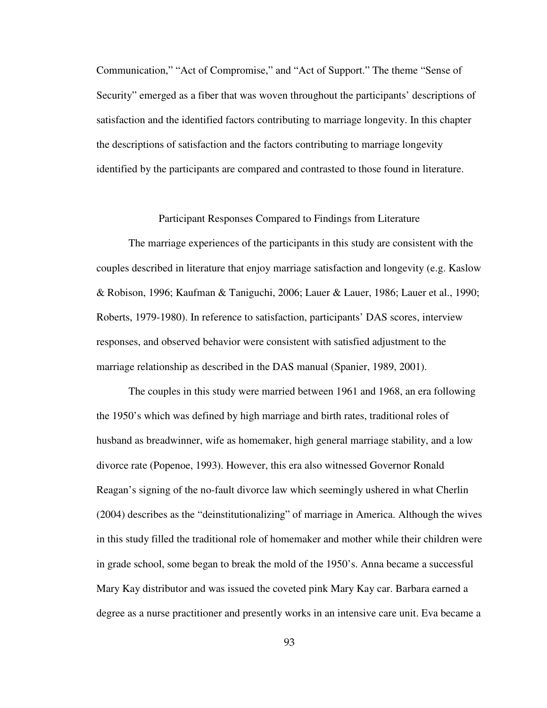Communication," "Act of Compromise," and "Act of Support." The theme "Sense of Security" emerged as a fiber that was woven throughout the participants' descriptions of satisfaction and the identified factors contributing to marriage longevity. In this chapter the descriptions of satisfaction and the factors contributing to marriage longevity identified by the participants are compared and contrasted to those found in literature.

## Participant Responses Compared to Findings from Literature

The marriage experiences of the participants in this study are consistent with the couples described in literature that enjoy marriage satisfaction and longevity (e.g. Kaslow & Robison, 1996; Kaufman & Taniguchi, 2006; Lauer & Lauer, 1986; Lauer et al., 1990; Roberts, 1979-1980). In reference to satisfaction, participants' DAS scores, interview responses, and observed behavior were consistent with satisfied adjustment to the marriage relationship as described in the DAS manual (Spanier, 1989, 2001).

The couples in this study were married between 1961 and 1968, an era following the 1950's which was defined by high marriage and birth rates, traditional roles of husband as breadwinner, wife as homemaker, high general marriage stability, and a low divorce rate (Popenoe, 1993). However, this era also witnessed Governor Ronald Reagan's signing of the no-fault divorce law which seemingly ushered in what Cherlin (2004) describes as the "deinstitutionalizing" of marriage in America. Although the wives in this study filled the traditional role of homemaker and mother while their children were in grade school, some began to break the mold of the 1950's. Anna became a successful Mary Kay distributor and was issued the coveted pink Mary Kay car. Barbara earned a degree as a nurse practitioner and presently works in an intensive care unit. Eva became a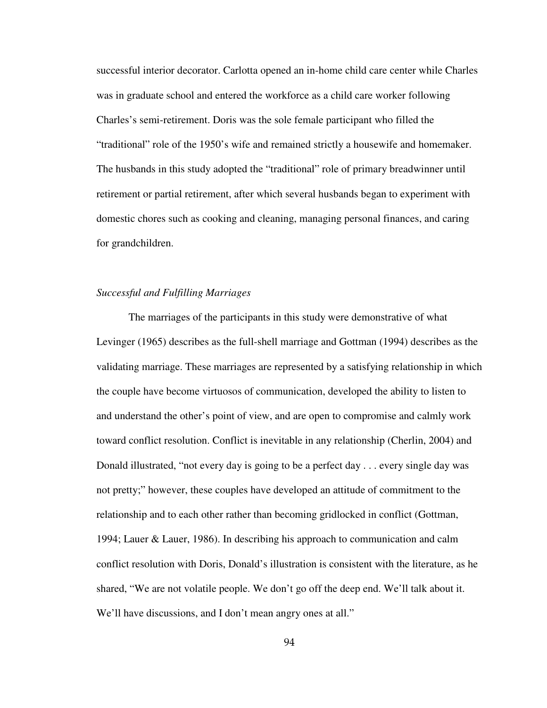successful interior decorator. Carlotta opened an in-home child care center while Charles was in graduate school and entered the workforce as a child care worker following Charles's semi-retirement. Doris was the sole female participant who filled the "traditional" role of the 1950's wife and remained strictly a housewife and homemaker. The husbands in this study adopted the "traditional" role of primary breadwinner until retirement or partial retirement, after which several husbands began to experiment with domestic chores such as cooking and cleaning, managing personal finances, and caring for grandchildren.

# *Successful and Fulfilling Marriages*

The marriages of the participants in this study were demonstrative of what Levinger (1965) describes as the full-shell marriage and Gottman (1994) describes as the validating marriage. These marriages are represented by a satisfying relationship in which the couple have become virtuosos of communication, developed the ability to listen to and understand the other's point of view, and are open to compromise and calmly work toward conflict resolution. Conflict is inevitable in any relationship (Cherlin, 2004) and Donald illustrated, "not every day is going to be a perfect day . . . every single day was not pretty;" however, these couples have developed an attitude of commitment to the relationship and to each other rather than becoming gridlocked in conflict (Gottman, 1994; Lauer & Lauer, 1986). In describing his approach to communication and calm conflict resolution with Doris, Donald's illustration is consistent with the literature, as he shared, "We are not volatile people. We don't go off the deep end. We'll talk about it. We'll have discussions, and I don't mean angry ones at all."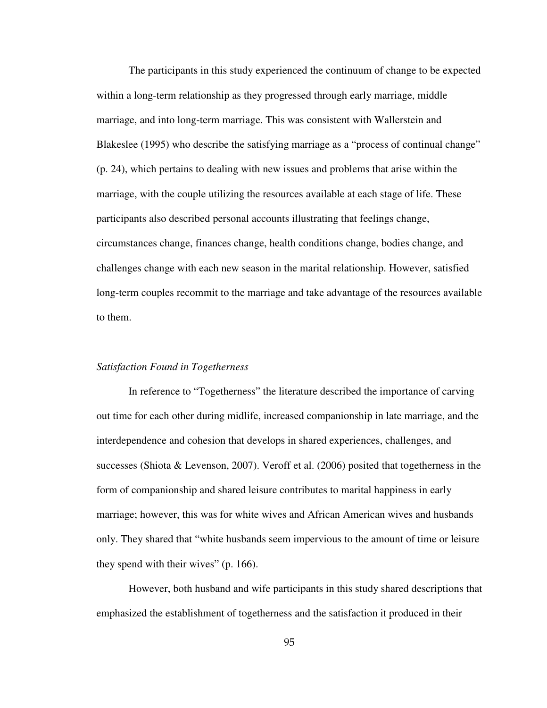The participants in this study experienced the continuum of change to be expected within a long-term relationship as they progressed through early marriage, middle marriage, and into long-term marriage. This was consistent with Wallerstein and Blakeslee (1995) who describe the satisfying marriage as a "process of continual change" (p. 24), which pertains to dealing with new issues and problems that arise within the marriage, with the couple utilizing the resources available at each stage of life. These participants also described personal accounts illustrating that feelings change, circumstances change, finances change, health conditions change, bodies change, and challenges change with each new season in the marital relationship. However, satisfied long-term couples recommit to the marriage and take advantage of the resources available to them.

#### *Satisfaction Found in Togetherness*

In reference to "Togetherness" the literature described the importance of carving out time for each other during midlife, increased companionship in late marriage, and the interdependence and cohesion that develops in shared experiences, challenges, and successes (Shiota & Levenson, 2007). Veroff et al. (2006) posited that togetherness in the form of companionship and shared leisure contributes to marital happiness in early marriage; however, this was for white wives and African American wives and husbands only. They shared that "white husbands seem impervious to the amount of time or leisure they spend with their wives" (p. 166).

However, both husband and wife participants in this study shared descriptions that emphasized the establishment of togetherness and the satisfaction it produced in their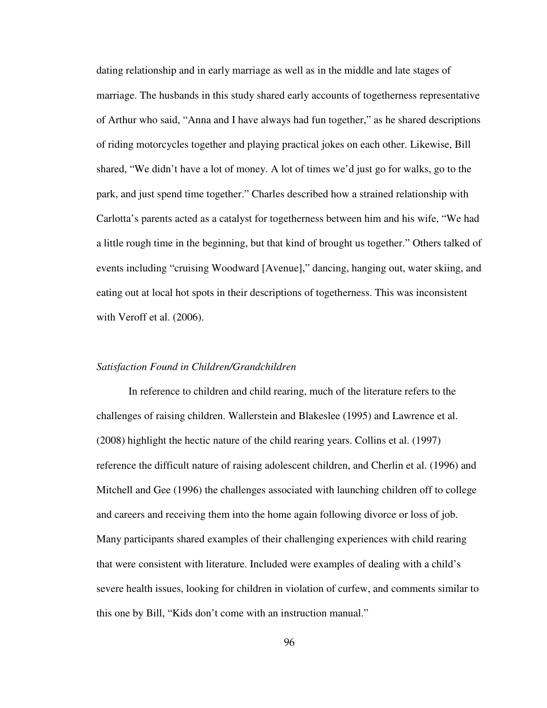dating relationship and in early marriage as well as in the middle and late stages of marriage. The husbands in this study shared early accounts of togetherness representative of Arthur who said, "Anna and I have always had fun together," as he shared descriptions of riding motorcycles together and playing practical jokes on each other. Likewise, Bill shared, "We didn't have a lot of money. A lot of times we'd just go for walks, go to the park, and just spend time together." Charles described how a strained relationship with Carlotta's parents acted as a catalyst for togetherness between him and his wife, "We had a little rough time in the beginning, but that kind of brought us together." Others talked of events including "cruising Woodward [Avenue]," dancing, hanging out, water skiing, and eating out at local hot spots in their descriptions of togetherness. This was inconsistent with Veroff et al. (2006).

# *Satisfaction Found in Children/Grandchildren*

In reference to children and child rearing, much of the literature refers to the challenges of raising children. Wallerstein and Blakeslee (1995) and Lawrence et al. (2008) highlight the hectic nature of the child rearing years. Collins et al. (1997) reference the difficult nature of raising adolescent children, and Cherlin et al. (1996) and Mitchell and Gee (1996) the challenges associated with launching children off to college and careers and receiving them into the home again following divorce or loss of job. Many participants shared examples of their challenging experiences with child rearing that were consistent with literature. Included were examples of dealing with a child's severe health issues, looking for children in violation of curfew, and comments similar to this one by Bill, "Kids don't come with an instruction manual."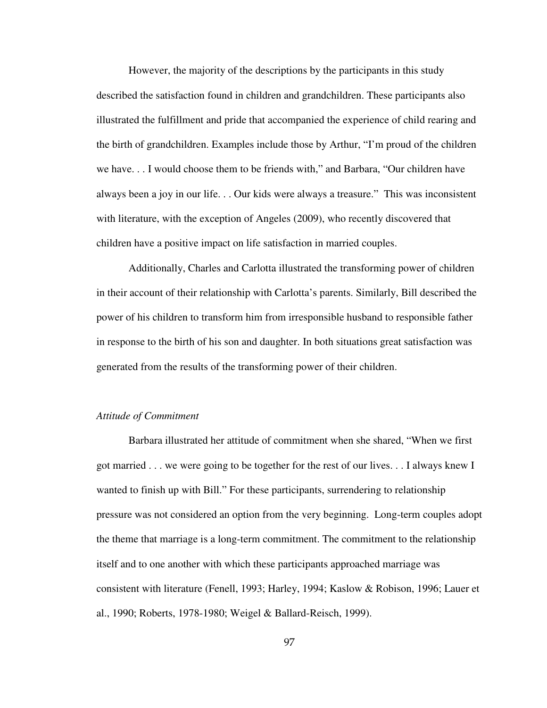However, the majority of the descriptions by the participants in this study described the satisfaction found in children and grandchildren. These participants also illustrated the fulfillment and pride that accompanied the experience of child rearing and the birth of grandchildren. Examples include those by Arthur, "I'm proud of the children we have. . . I would choose them to be friends with," and Barbara, "Our children have always been a joy in our life. . . Our kids were always a treasure." This was inconsistent with literature, with the exception of Angeles (2009), who recently discovered that children have a positive impact on life satisfaction in married couples.

Additionally, Charles and Carlotta illustrated the transforming power of children in their account of their relationship with Carlotta's parents. Similarly, Bill described the power of his children to transform him from irresponsible husband to responsible father in response to the birth of his son and daughter. In both situations great satisfaction was generated from the results of the transforming power of their children.

# *Attitude of Commitment*

Barbara illustrated her attitude of commitment when she shared, "When we first got married . . . we were going to be together for the rest of our lives. . . I always knew I wanted to finish up with Bill." For these participants, surrendering to relationship pressure was not considered an option from the very beginning. Long-term couples adopt the theme that marriage is a long-term commitment. The commitment to the relationship itself and to one another with which these participants approached marriage was consistent with literature (Fenell, 1993; Harley, 1994; Kaslow & Robison, 1996; Lauer et al., 1990; Roberts, 1978-1980; Weigel & Ballard-Reisch, 1999).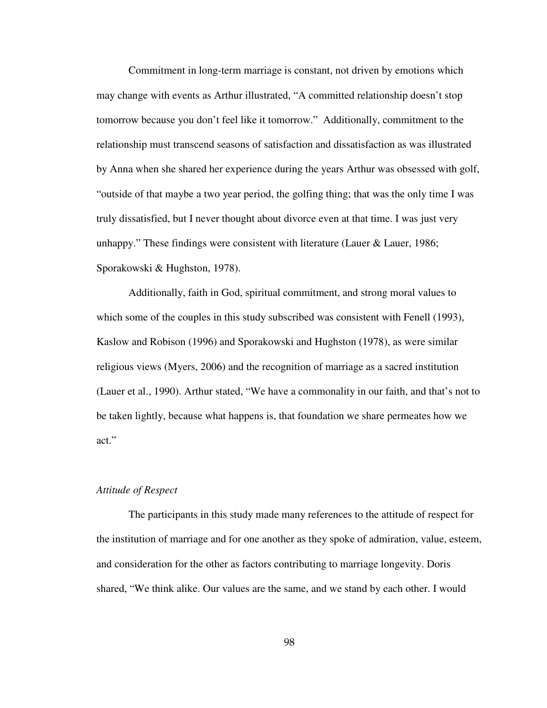Commitment in long-term marriage is constant, not driven by emotions which may change with events as Arthur illustrated, "A committed relationship doesn't stop tomorrow because you don't feel like it tomorrow." Additionally, commitment to the relationship must transcend seasons of satisfaction and dissatisfaction as was illustrated by Anna when she shared her experience during the years Arthur was obsessed with golf, "outside of that maybe a two year period, the golfing thing; that was the only time I was truly dissatisfied, but I never thought about divorce even at that time. I was just very unhappy." These findings were consistent with literature (Lauer  $\&$  Lauer, 1986; Sporakowski & Hughston, 1978).

Additionally, faith in God, spiritual commitment, and strong moral values to which some of the couples in this study subscribed was consistent with Fenell (1993), Kaslow and Robison (1996) and Sporakowski and Hughston (1978), as were similar religious views (Myers, 2006) and the recognition of marriage as a sacred institution (Lauer et al., 1990). Arthur stated, "We have a commonality in our faith, and that's not to be taken lightly, because what happens is, that foundation we share permeates how we act."

## *Attitude of Respect*

The participants in this study made many references to the attitude of respect for the institution of marriage and for one another as they spoke of admiration, value, esteem, and consideration for the other as factors contributing to marriage longevity. Doris shared, "We think alike. Our values are the same, and we stand by each other. I would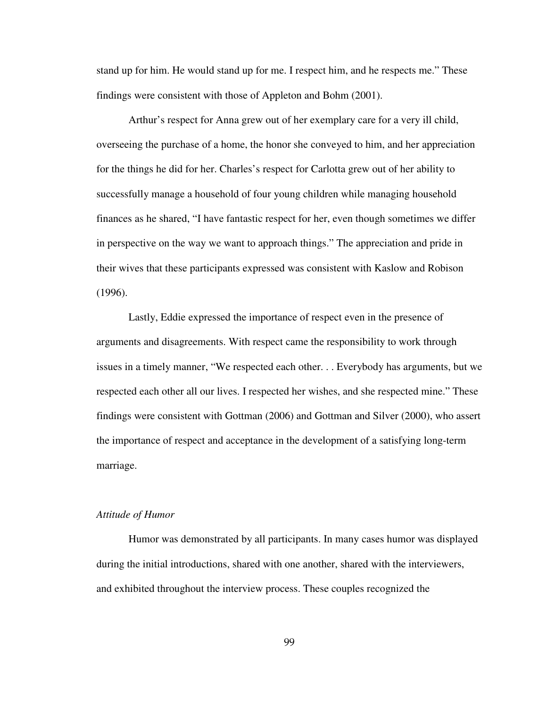stand up for him. He would stand up for me. I respect him, and he respects me." These findings were consistent with those of Appleton and Bohm (2001).

Arthur's respect for Anna grew out of her exemplary care for a very ill child, overseeing the purchase of a home, the honor she conveyed to him, and her appreciation for the things he did for her. Charles's respect for Carlotta grew out of her ability to successfully manage a household of four young children while managing household finances as he shared, "I have fantastic respect for her, even though sometimes we differ in perspective on the way we want to approach things." The appreciation and pride in their wives that these participants expressed was consistent with Kaslow and Robison (1996).

Lastly, Eddie expressed the importance of respect even in the presence of arguments and disagreements. With respect came the responsibility to work through issues in a timely manner, "We respected each other. . . Everybody has arguments, but we respected each other all our lives. I respected her wishes, and she respected mine." These findings were consistent with Gottman (2006) and Gottman and Silver (2000), who assert the importance of respect and acceptance in the development of a satisfying long-term marriage.

#### *Attitude of Humor*

Humor was demonstrated by all participants. In many cases humor was displayed during the initial introductions, shared with one another, shared with the interviewers, and exhibited throughout the interview process. These couples recognized the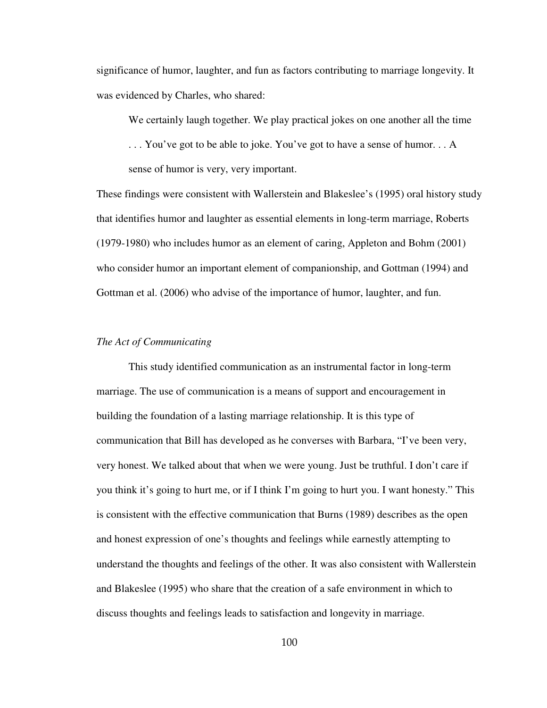significance of humor, laughter, and fun as factors contributing to marriage longevity. It was evidenced by Charles, who shared:

We certainly laugh together. We play practical jokes on one another all the time

. . . You've got to be able to joke. You've got to have a sense of humor. . . A sense of humor is very, very important.

These findings were consistent with Wallerstein and Blakeslee's (1995) oral history study that identifies humor and laughter as essential elements in long-term marriage, Roberts (1979-1980) who includes humor as an element of caring, Appleton and Bohm (2001) who consider humor an important element of companionship, and Gottman (1994) and Gottman et al. (2006) who advise of the importance of humor, laughter, and fun.

## *The Act of Communicating*

This study identified communication as an instrumental factor in long-term marriage. The use of communication is a means of support and encouragement in building the foundation of a lasting marriage relationship. It is this type of communication that Bill has developed as he converses with Barbara, "I've been very, very honest. We talked about that when we were young. Just be truthful. I don't care if you think it's going to hurt me, or if I think I'm going to hurt you. I want honesty." This is consistent with the effective communication that Burns (1989) describes as the open and honest expression of one's thoughts and feelings while earnestly attempting to understand the thoughts and feelings of the other. It was also consistent with Wallerstein and Blakeslee (1995) who share that the creation of a safe environment in which to discuss thoughts and feelings leads to satisfaction and longevity in marriage.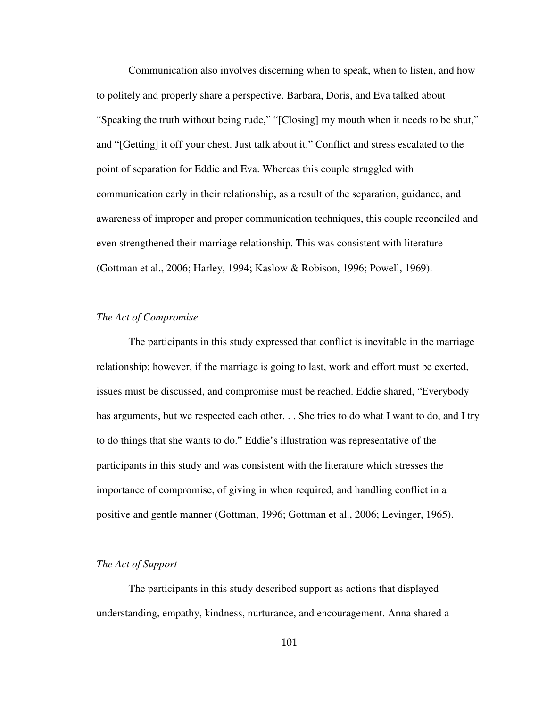Communication also involves discerning when to speak, when to listen, and how to politely and properly share a perspective. Barbara, Doris, and Eva talked about "Speaking the truth without being rude," "[Closing] my mouth when it needs to be shut," and "[Getting] it off your chest. Just talk about it." Conflict and stress escalated to the point of separation for Eddie and Eva. Whereas this couple struggled with communication early in their relationship, as a result of the separation, guidance, and awareness of improper and proper communication techniques, this couple reconciled and even strengthened their marriage relationship. This was consistent with literature (Gottman et al., 2006; Harley, 1994; Kaslow & Robison, 1996; Powell, 1969).

#### *The Act of Compromise*

The participants in this study expressed that conflict is inevitable in the marriage relationship; however, if the marriage is going to last, work and effort must be exerted, issues must be discussed, and compromise must be reached. Eddie shared, "Everybody has arguments, but we respected each other. . . She tries to do what I want to do, and I try to do things that she wants to do." Eddie's illustration was representative of the participants in this study and was consistent with the literature which stresses the importance of compromise, of giving in when required, and handling conflict in a positive and gentle manner (Gottman, 1996; Gottman et al., 2006; Levinger, 1965).

#### *The Act of Support*

The participants in this study described support as actions that displayed understanding, empathy, kindness, nurturance, and encouragement. Anna shared a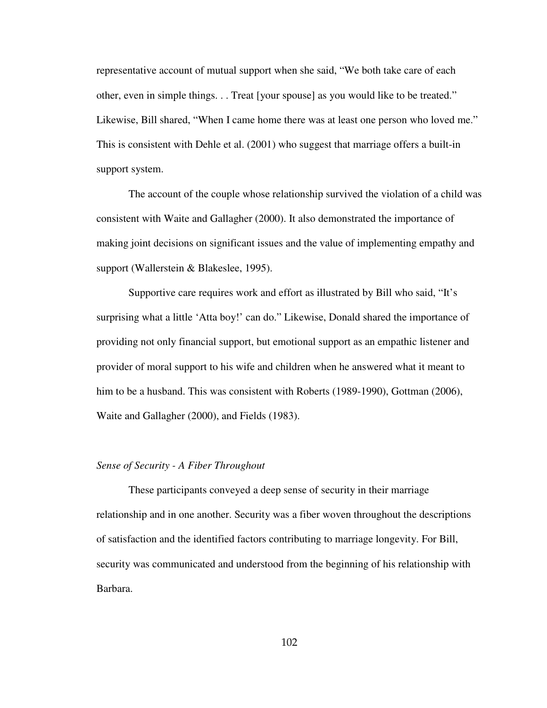representative account of mutual support when she said, "We both take care of each other, even in simple things. . . Treat [your spouse] as you would like to be treated." Likewise, Bill shared, "When I came home there was at least one person who loved me." This is consistent with Dehle et al. (2001) who suggest that marriage offers a built-in support system.

The account of the couple whose relationship survived the violation of a child was consistent with Waite and Gallagher (2000). It also demonstrated the importance of making joint decisions on significant issues and the value of implementing empathy and support (Wallerstein & Blakeslee, 1995).

Supportive care requires work and effort as illustrated by Bill who said, "It's surprising what a little 'Atta boy!' can do." Likewise, Donald shared the importance of providing not only financial support, but emotional support as an empathic listener and provider of moral support to his wife and children when he answered what it meant to him to be a husband. This was consistent with Roberts (1989-1990), Gottman (2006), Waite and Gallagher (2000), and Fields (1983).

#### *Sense of Security - A Fiber Throughout*

These participants conveyed a deep sense of security in their marriage relationship and in one another. Security was a fiber woven throughout the descriptions of satisfaction and the identified factors contributing to marriage longevity. For Bill, security was communicated and understood from the beginning of his relationship with Barbara.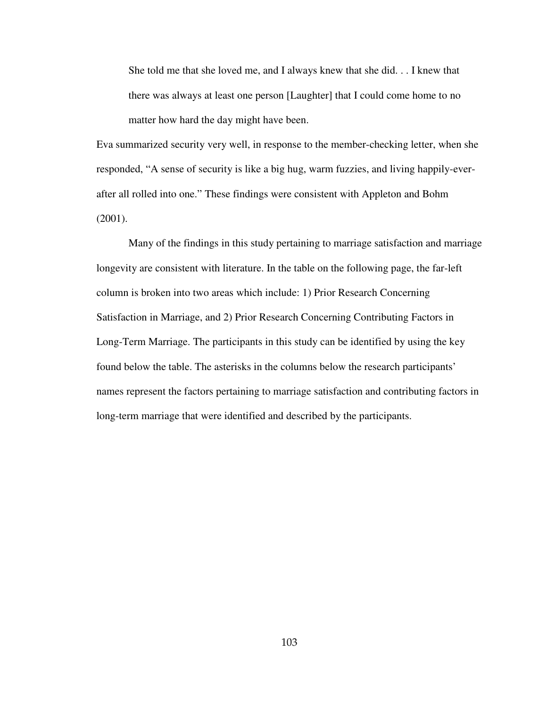She told me that she loved me, and I always knew that she did. . . I knew that there was always at least one person [Laughter] that I could come home to no matter how hard the day might have been.

Eva summarized security very well, in response to the member-checking letter, when she responded, "A sense of security is like a big hug, warm fuzzies, and living happily-everafter all rolled into one." These findings were consistent with Appleton and Bohm (2001).

Many of the findings in this study pertaining to marriage satisfaction and marriage longevity are consistent with literature. In the table on the following page, the far-left column is broken into two areas which include: 1) Prior Research Concerning Satisfaction in Marriage, and 2) Prior Research Concerning Contributing Factors in Long-Term Marriage. The participants in this study can be identified by using the key found below the table. The asterisks in the columns below the research participants' names represent the factors pertaining to marriage satisfaction and contributing factors in long-term marriage that were identified and described by the participants.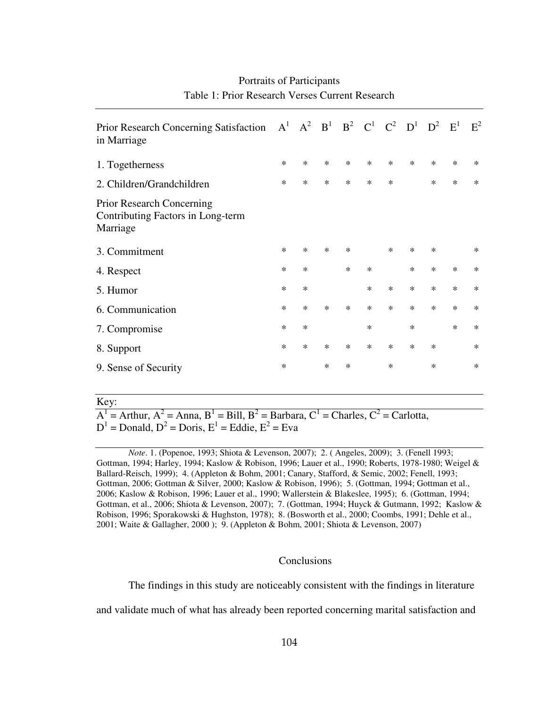| Prior Research Concerning Satisfaction $A^1$ $A^2$ $B^1$ $B^2$ $C^1$ $C^2$ $D^1$ $D^2$ $E^1$<br>in Marriage |        |        |        |        |        |        |        |        |        | $E^2$  |
|-------------------------------------------------------------------------------------------------------------|--------|--------|--------|--------|--------|--------|--------|--------|--------|--------|
| 1. Togetherness                                                                                             | $\ast$ | $\ast$ | $\ast$ | $\ast$ | $\ast$ | $\ast$ | $\ast$ | $\ast$ | $\ast$ | $\ast$ |
| 2. Children/Grandchildren                                                                                   | $\ast$ | $\ast$ | $\ast$ | $\ast$ | $\ast$ | $\ast$ |        | $\ast$ | $\ast$ | $\ast$ |
| <b>Prior Research Concerning</b><br>Contributing Factors in Long-term<br>Marriage                           |        |        |        |        |        |        |        |        |        |        |
| 3. Commitment                                                                                               | $\ast$ | $\ast$ | $\ast$ | $*$    |        | $\ast$ | $\ast$ | $\ast$ |        | $\ast$ |
| 4. Respect                                                                                                  | $\ast$ | $\ast$ |        | $\ast$ | $\ast$ |        | $\ast$ | $\ast$ | $\ast$ | $\ast$ |
| 5. Humor                                                                                                    | $\ast$ | $\ast$ |        |        | $\ast$ | $\ast$ | $\ast$ | $\ast$ | $\ast$ | $\ast$ |
| 6. Communication                                                                                            | $\ast$ | $\ast$ | $\ast$ | $\ast$ | $\ast$ | $\ast$ | $\ast$ | $\ast$ | $\ast$ | $\ast$ |
| 7. Compromise                                                                                               | $\ast$ | $\ast$ |        |        | $\ast$ |        | $\ast$ |        | $\ast$ | $\ast$ |
| 8. Support                                                                                                  | $\ast$ | $\ast$ | $\ast$ | $\ast$ | $\ast$ | $\ast$ | $\ast$ | $\ast$ |        | $\ast$ |
| 9. Sense of Security                                                                                        | $\ast$ |        | $\ast$ | *      |        | $\ast$ |        | $\ast$ |        | $\ast$ |

## Portraits of Participants Table 1: Prior Research Verses Current Research

#### Key:

 $A<sup>1</sup>$  = Arthur,  $A<sup>2</sup>$  = Anna,  $B<sup>1</sup>$  = Bill,  $B<sup>2</sup>$  = Barbara,  $C<sup>1</sup>$  = Charles,  $C<sup>2</sup>$  = Carlotta,  $D^1$  = Donald,  $D^2$  = Doris,  $E^1$  = Eddie,  $E^2$  = Eva

*Note*. 1. (Popenoe, 1993; Shiota & Levenson, 2007); 2. ( Angeles, 2009); 3. (Fenell 1993; Gottman, 1994; Harley, 1994; Kaslow & Robison, 1996; Lauer et al., 1990; Roberts, 1978-1980; Weigel & Ballard-Reisch, 1999); 4. (Appleton & Bohm, 2001; Canary, Stafford, & Semic, 2002; Fenell, 1993; Gottman, 2006; Gottman & Silver, 2000; Kaslow & Robison, 1996); 5. (Gottman, 1994; Gottman et al., 2006; Kaslow & Robison, 1996; Lauer et al., 1990; Wallerstein & Blakeslee, 1995); 6. (Gottman, 1994; Gottman, et al., 2006; Shiota & Levenson, 2007); 7. (Gottman, 1994; Huyck & Gutmann, 1992; Kaslow & Robison, 1996; Sporakowski & Hughston, 1978); 8. (Bosworth et al., 2000; Coombs, 1991; Dehle et al., 2001; Waite & Gallagher, 2000 ); 9. (Appleton & Bohm, 2001; Shiota & Levenson, 2007)

#### **Conclusions**

The findings in this study are noticeably consistent with the findings in literature

and validate much of what has already been reported concerning marital satisfaction and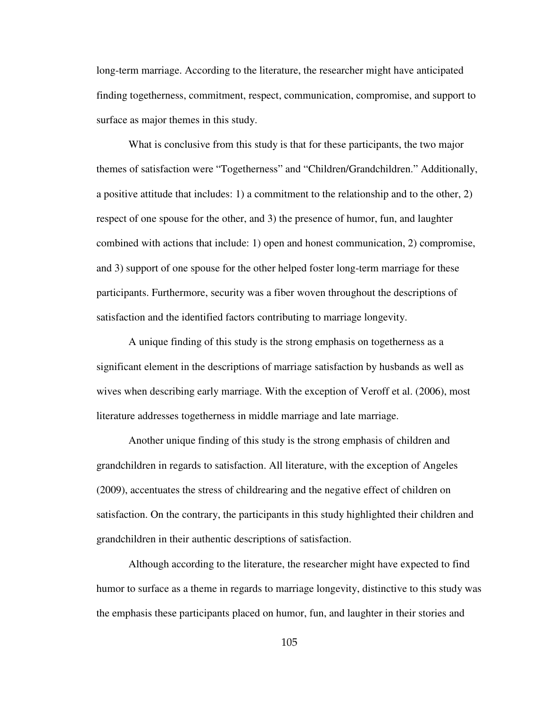long-term marriage. According to the literature, the researcher might have anticipated finding togetherness, commitment, respect, communication, compromise, and support to surface as major themes in this study.

What is conclusive from this study is that for these participants, the two major themes of satisfaction were "Togetherness" and "Children/Grandchildren." Additionally, a positive attitude that includes: 1) a commitment to the relationship and to the other, 2) respect of one spouse for the other, and 3) the presence of humor, fun, and laughter combined with actions that include: 1) open and honest communication, 2) compromise, and 3) support of one spouse for the other helped foster long-term marriage for these participants. Furthermore, security was a fiber woven throughout the descriptions of satisfaction and the identified factors contributing to marriage longevity.

A unique finding of this study is the strong emphasis on togetherness as a significant element in the descriptions of marriage satisfaction by husbands as well as wives when describing early marriage. With the exception of Veroff et al. (2006), most literature addresses togetherness in middle marriage and late marriage.

Another unique finding of this study is the strong emphasis of children and grandchildren in regards to satisfaction. All literature, with the exception of Angeles (2009), accentuates the stress of childrearing and the negative effect of children on satisfaction. On the contrary, the participants in this study highlighted their children and grandchildren in their authentic descriptions of satisfaction.

Although according to the literature, the researcher might have expected to find humor to surface as a theme in regards to marriage longevity, distinctive to this study was the emphasis these participants placed on humor, fun, and laughter in their stories and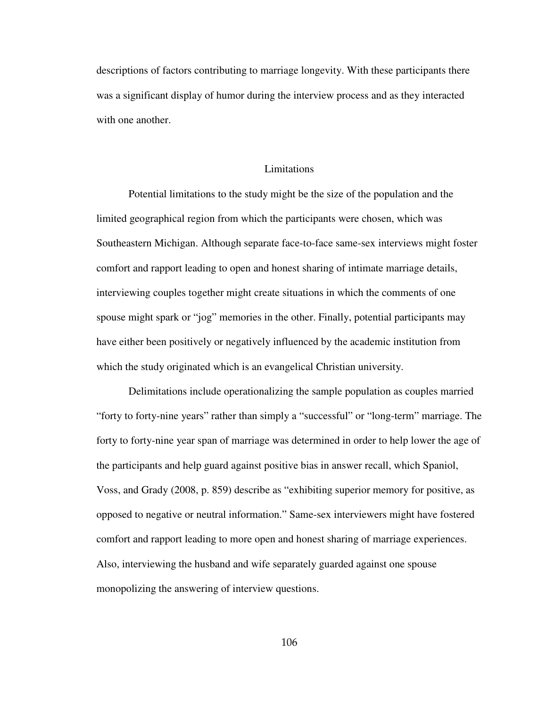descriptions of factors contributing to marriage longevity. With these participants there was a significant display of humor during the interview process and as they interacted with one another.

#### Limitations

Potential limitations to the study might be the size of the population and the limited geographical region from which the participants were chosen, which was Southeastern Michigan. Although separate face-to-face same-sex interviews might foster comfort and rapport leading to open and honest sharing of intimate marriage details, interviewing couples together might create situations in which the comments of one spouse might spark or "jog" memories in the other. Finally, potential participants may have either been positively or negatively influenced by the academic institution from which the study originated which is an evangelical Christian university.

Delimitations include operationalizing the sample population as couples married "forty to forty-nine years" rather than simply a "successful" or "long-term" marriage. The forty to forty-nine year span of marriage was determined in order to help lower the age of the participants and help guard against positive bias in answer recall, which Spaniol, Voss, and Grady (2008, p. 859) describe as "exhibiting superior memory for positive, as opposed to negative or neutral information." Same-sex interviewers might have fostered comfort and rapport leading to more open and honest sharing of marriage experiences. Also, interviewing the husband and wife separately guarded against one spouse monopolizing the answering of interview questions.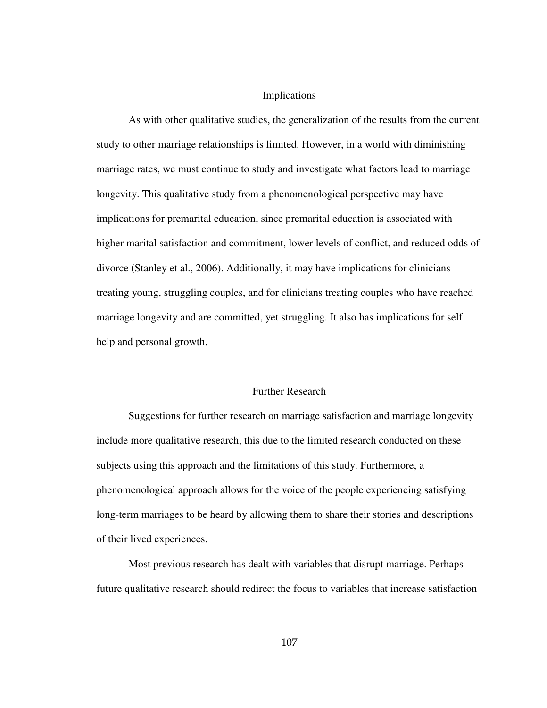#### Implications

As with other qualitative studies, the generalization of the results from the current study to other marriage relationships is limited. However, in a world with diminishing marriage rates, we must continue to study and investigate what factors lead to marriage longevity. This qualitative study from a phenomenological perspective may have implications for premarital education, since premarital education is associated with higher marital satisfaction and commitment, lower levels of conflict, and reduced odds of divorce (Stanley et al., 2006). Additionally, it may have implications for clinicians treating young, struggling couples, and for clinicians treating couples who have reached marriage longevity and are committed, yet struggling. It also has implications for self help and personal growth.

#### Further Research

Suggestions for further research on marriage satisfaction and marriage longevity include more qualitative research, this due to the limited research conducted on these subjects using this approach and the limitations of this study. Furthermore, a phenomenological approach allows for the voice of the people experiencing satisfying long-term marriages to be heard by allowing them to share their stories and descriptions of their lived experiences.

Most previous research has dealt with variables that disrupt marriage. Perhaps future qualitative research should redirect the focus to variables that increase satisfaction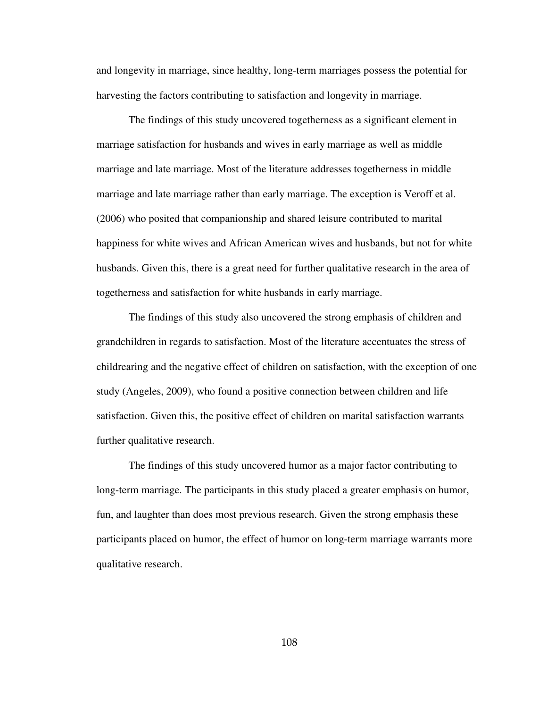and longevity in marriage, since healthy, long-term marriages possess the potential for harvesting the factors contributing to satisfaction and longevity in marriage.

The findings of this study uncovered togetherness as a significant element in marriage satisfaction for husbands and wives in early marriage as well as middle marriage and late marriage. Most of the literature addresses togetherness in middle marriage and late marriage rather than early marriage. The exception is Veroff et al. (2006) who posited that companionship and shared leisure contributed to marital happiness for white wives and African American wives and husbands, but not for white husbands. Given this, there is a great need for further qualitative research in the area of togetherness and satisfaction for white husbands in early marriage.

The findings of this study also uncovered the strong emphasis of children and grandchildren in regards to satisfaction. Most of the literature accentuates the stress of childrearing and the negative effect of children on satisfaction, with the exception of one study (Angeles, 2009), who found a positive connection between children and life satisfaction. Given this, the positive effect of children on marital satisfaction warrants further qualitative research.

The findings of this study uncovered humor as a major factor contributing to long-term marriage. The participants in this study placed a greater emphasis on humor, fun, and laughter than does most previous research. Given the strong emphasis these participants placed on humor, the effect of humor on long-term marriage warrants more qualitative research.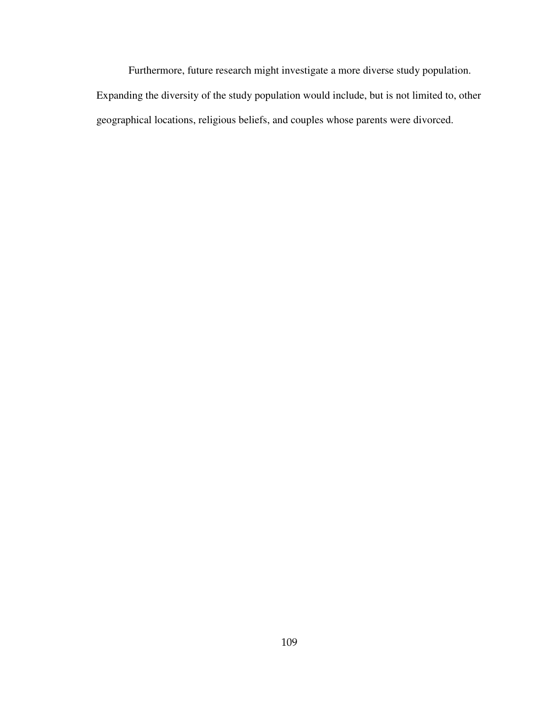Furthermore, future research might investigate a more diverse study population. Expanding the diversity of the study population would include, but is not limited to, other geographical locations, religious beliefs, and couples whose parents were divorced.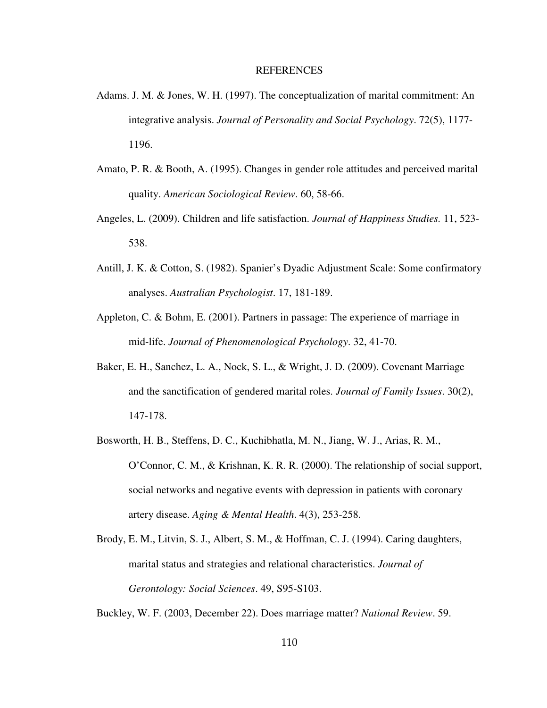#### REFERENCES

- Adams. J. M. & Jones, W. H. (1997). The conceptualization of marital commitment: An integrative analysis. *Journal of Personality and Social Psychology*. 72(5), 1177- 1196.
- Amato, P. R. & Booth, A. (1995). Changes in gender role attitudes and perceived marital quality. *American Sociological Review*. 60, 58-66.
- Angeles, L. (2009). Children and life satisfaction. *Journal of Happiness Studies.* 11, 523- 538.
- Antill, J. K. & Cotton, S. (1982). Spanier's Dyadic Adjustment Scale: Some confirmatory analyses. *Australian Psychologist*. 17, 181-189.
- Appleton, C. & Bohm, E. (2001). Partners in passage: The experience of marriage in mid-life. *Journal of Phenomenological Psychology*. 32, 41-70.
- Baker, E. H., Sanchez, L. A., Nock, S. L., & Wright, J. D. (2009). Covenant Marriage and the sanctification of gendered marital roles. *Journal of Family Issues*. 30(2), 147-178.
- Bosworth, H. B., Steffens, D. C., Kuchibhatla, M. N., Jiang, W. J., Arias, R. M., O'Connor, C. M., & Krishnan, K. R. R. (2000). The relationship of social support, social networks and negative events with depression in patients with coronary artery disease. *Aging & Mental Health*. 4(3), 253-258.
- Brody, E. M., Litvin, S. J., Albert, S. M., & Hoffman, C. J. (1994). Caring daughters, marital status and strategies and relational characteristics. *Journal of Gerontology: Social Sciences*. 49, S95-S103.

Buckley, W. F. (2003, December 22). Does marriage matter? *National Review*. 59.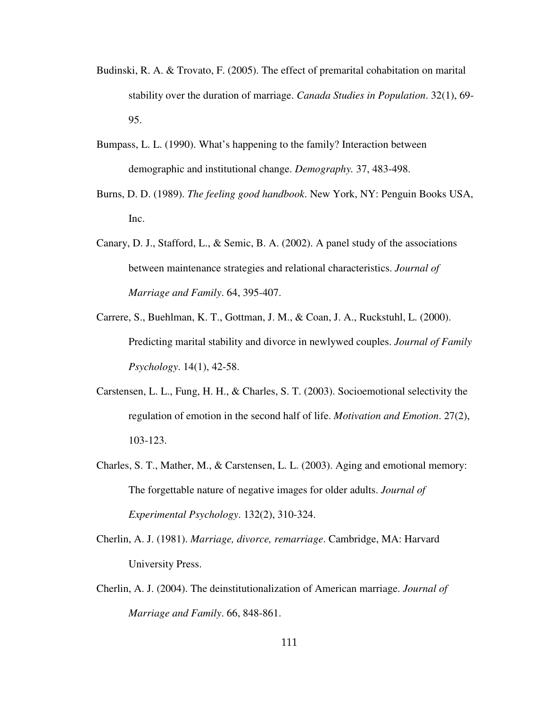- Budinski, R. A. & Trovato, F. (2005). The effect of premarital cohabitation on marital stability over the duration of marriage. *Canada Studies in Population*. 32(1), 69- 95.
- Bumpass, L. L. (1990). What's happening to the family? Interaction between demographic and institutional change. *Demography.* 37, 483-498.
- Burns, D. D. (1989). *The feeling good handbook*. New York, NY: Penguin Books USA, Inc.
- Canary, D. J., Stafford, L., & Semic, B. A. (2002). A panel study of the associations between maintenance strategies and relational characteristics. *Journal of Marriage and Family*. 64, 395-407.
- Carrere, S., Buehlman, K. T., Gottman, J. M., & Coan, J. A., Ruckstuhl, L. (2000). Predicting marital stability and divorce in newlywed couples. *Journal of Family Psychology*. 14(1), 42-58.
- Carstensen, L. L., Fung, H. H., & Charles, S. T. (2003). Socioemotional selectivity the regulation of emotion in the second half of life. *Motivation and Emotion*. 27(2), 103-123.
- Charles, S. T., Mather, M., & Carstensen, L. L. (2003). Aging and emotional memory: The forgettable nature of negative images for older adults. *Journal of Experimental Psychology*. 132(2), 310-324.
- Cherlin, A. J. (1981). *Marriage, divorce, remarriage*. Cambridge, MA: Harvard University Press.
- Cherlin, A. J. (2004). The deinstitutionalization of American marriage. *Journal of Marriage and Family*. 66, 848-861.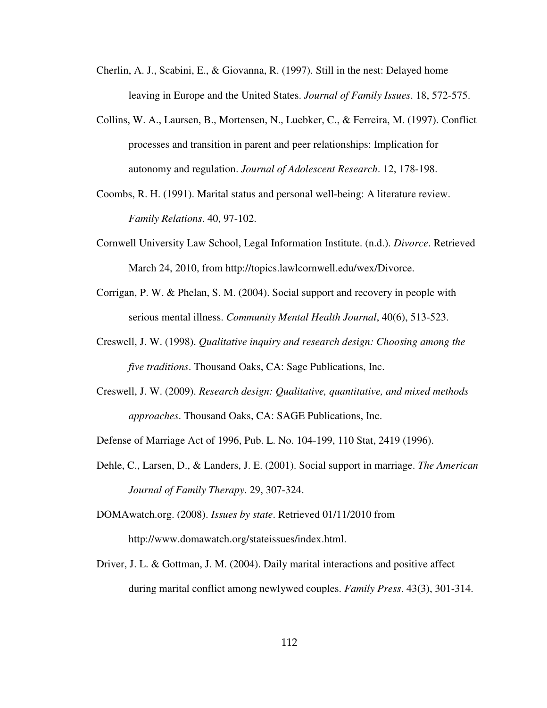- Cherlin, A. J., Scabini, E., & Giovanna, R. (1997). Still in the nest: Delayed home leaving in Europe and the United States. *Journal of Family Issues*. 18, 572-575.
- Collins, W. A., Laursen, B., Mortensen, N., Luebker, C., & Ferreira, M. (1997). Conflict processes and transition in parent and peer relationships: Implication for autonomy and regulation. *Journal of Adolescent Research*. 12, 178-198.
- Coombs, R. H. (1991). Marital status and personal well-being: A literature review. *Family Relations*. 40, 97-102.
- Cornwell University Law School, Legal Information Institute. (n.d.). *Divorce*. Retrieved March 24, 2010, from http://topics.lawlcornwell.edu/wex/Divorce.
- Corrigan, P. W. & Phelan, S. M. (2004). Social support and recovery in people with serious mental illness. *Community Mental Health Journal*, 40(6), 513-523.
- Creswell, J. W. (1998). *Qualitative inquiry and research design: Choosing among the five traditions*. Thousand Oaks, CA: Sage Publications, Inc.
- Creswell, J. W. (2009). *Research design: Qualitative, quantitative, and mixed methods approaches*. Thousand Oaks, CA: SAGE Publications, Inc.

Defense of Marriage Act of 1996, Pub. L. No. 104-199, 110 Stat, 2419 (1996).

- Dehle, C., Larsen, D., & Landers, J. E. (2001). Social support in marriage. *The American Journal of Family Therapy*. 29, 307-324.
- DOMAwatch.org. (2008). *Issues by state*. Retrieved 01/11/2010 from http://www.domawatch.org/stateissues/index.html.
- Driver, J. L. & Gottman, J. M. (2004). Daily marital interactions and positive affect during marital conflict among newlywed couples. *Family Press*. 43(3), 301-314.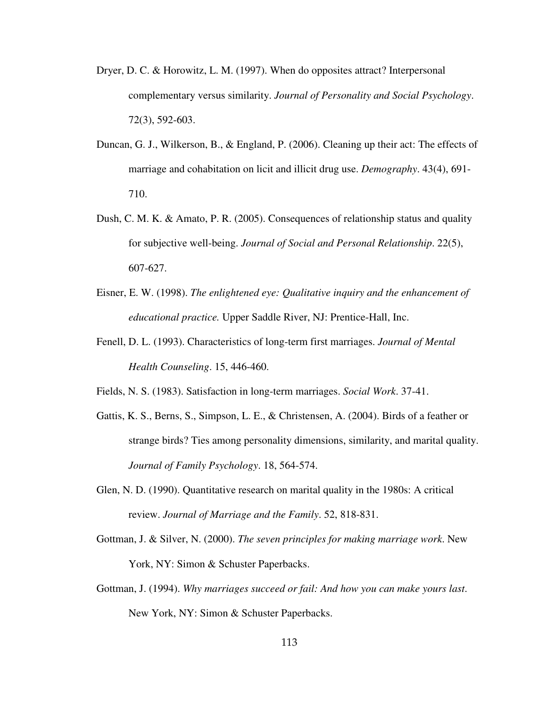- Dryer, D. C. & Horowitz, L. M. (1997). When do opposites attract? Interpersonal complementary versus similarity. *Journal of Personality and Social Psychology*. 72(3), 592-603.
- Duncan, G. J., Wilkerson, B., & England, P. (2006). Cleaning up their act: The effects of marriage and cohabitation on licit and illicit drug use. *Demography*. 43(4), 691- 710.
- Dush, C. M. K. & Amato, P. R. (2005). Consequences of relationship status and quality for subjective well-being. *Journal of Social and Personal Relationship*. 22(5), 607-627.
- Eisner, E. W. (1998). *The enlightened eye: Qualitative inquiry and the enhancement of educational practice.* Upper Saddle River, NJ: Prentice-Hall, Inc.
- Fenell, D. L. (1993). Characteristics of long-term first marriages. *Journal of Mental Health Counseling*. 15, 446-460.
- Fields, N. S. (1983). Satisfaction in long-term marriages. *Social Work*. 37-41.
- Gattis, K. S., Berns, S., Simpson, L. E., & Christensen, A. (2004). Birds of a feather or strange birds? Ties among personality dimensions, similarity, and marital quality. *Journal of Family Psychology*. 18, 564-574.
- Glen, N. D. (1990). Quantitative research on marital quality in the 1980s: A critical review. *Journal of Marriage and the Family*. 52, 818-831.
- Gottman, J. & Silver, N. (2000). *The seven principles for making marriage work*. New York, NY: Simon & Schuster Paperbacks.
- Gottman, J. (1994). *Why marriages succeed or fail: And how you can make yours last*. New York, NY: Simon & Schuster Paperbacks.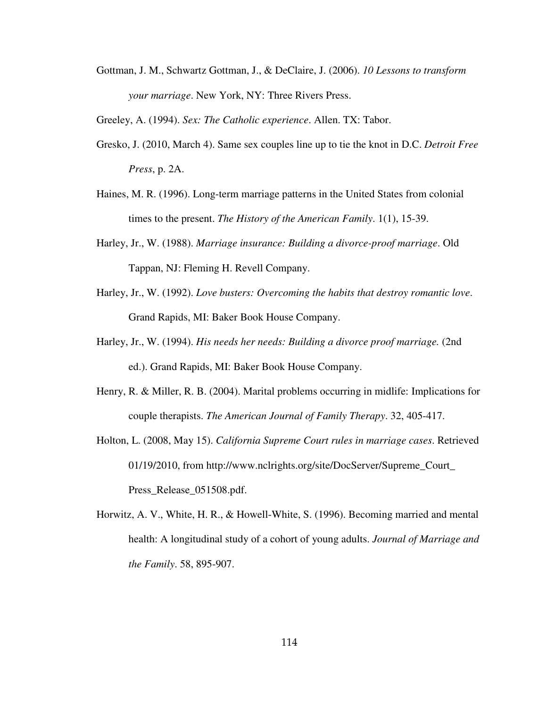Gottman, J. M., Schwartz Gottman, J., & DeClaire, J. (2006). *10 Lessons to transform your marriage*. New York, NY: Three Rivers Press.

Greeley, A. (1994). *Sex: The Catholic experience*. Allen. TX: Tabor.

- Gresko, J. (2010, March 4). Same sex couples line up to tie the knot in D.C. *Detroit Free Press*, p. 2A.
- Haines, M. R. (1996). Long-term marriage patterns in the United States from colonial times to the present. *The History of the American Family*. 1(1), 15-39.
- Harley, Jr., W. (1988). *Marriage insurance: Building a divorce-proof marriage*. Old Tappan, NJ: Fleming H. Revell Company.
- Harley, Jr., W. (1992). *Love busters: Overcoming the habits that destroy romantic love*. Grand Rapids, MI: Baker Book House Company.
- Harley, Jr., W. (1994). *His needs her needs: Building a divorce proof marriage.* (2nd ed.). Grand Rapids, MI: Baker Book House Company.
- Henry, R. & Miller, R. B. (2004). Marital problems occurring in midlife: Implications for couple therapists. *The American Journal of Family Therapy*. 32, 405-417.
- Holton, L. (2008, May 15). *California Supreme Court rules in marriage cases*. Retrieved 01/19/2010, from http://www.nclrights.org/site/DocServer/Supreme\_Court\_ Press\_Release\_051508.pdf.
- Horwitz, A. V., White, H. R., & Howell-White, S. (1996). Becoming married and mental health: A longitudinal study of a cohort of young adults. *Journal of Marriage and the Family*. 58, 895-907.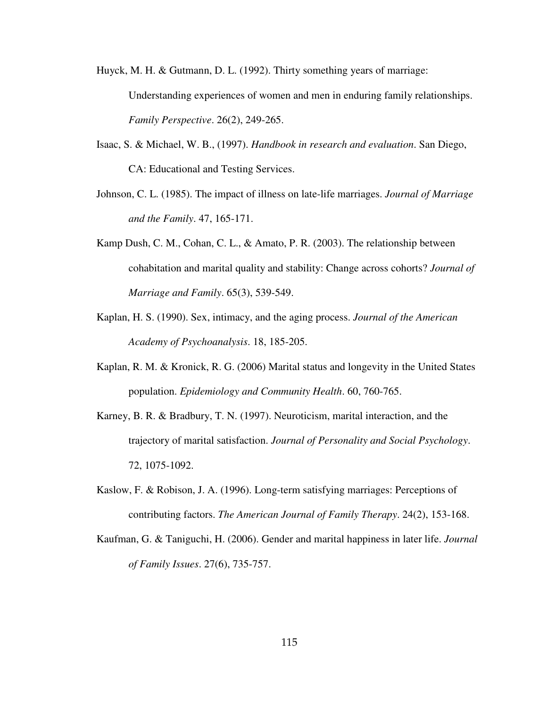Huyck, M. H. & Gutmann, D. L. (1992). Thirty something years of marriage: Understanding experiences of women and men in enduring family relationships. *Family Perspective*. 26(2), 249-265.

- Isaac, S. & Michael, W. B., (1997). *Handbook in research and evaluation*. San Diego, CA: Educational and Testing Services.
- Johnson, C. L. (1985). The impact of illness on late-life marriages. *Journal of Marriage and the Family*. 47, 165-171.
- Kamp Dush, C. M., Cohan, C. L., & Amato, P. R. (2003). The relationship between cohabitation and marital quality and stability: Change across cohorts? *Journal of Marriage and Family*. 65(3), 539-549.
- Kaplan, H. S. (1990). Sex, intimacy, and the aging process. *Journal of the American Academy of Psychoanalysis*. 18, 185-205.
- Kaplan, R. M. & Kronick, R. G. (2006) Marital status and longevity in the United States population. *Epidemiology and Community Health*. 60, 760-765.
- Karney, B. R. & Bradbury, T. N. (1997). Neuroticism, marital interaction, and the trajectory of marital satisfaction. *Journal of Personality and Social Psychology*. 72, 1075-1092.
- Kaslow, F. & Robison, J. A. (1996). Long-term satisfying marriages: Perceptions of contributing factors. *The American Journal of Family Therapy*. 24(2), 153-168.
- Kaufman, G. & Taniguchi, H. (2006). Gender and marital happiness in later life. *Journal of Family Issues*. 27(6), 735-757.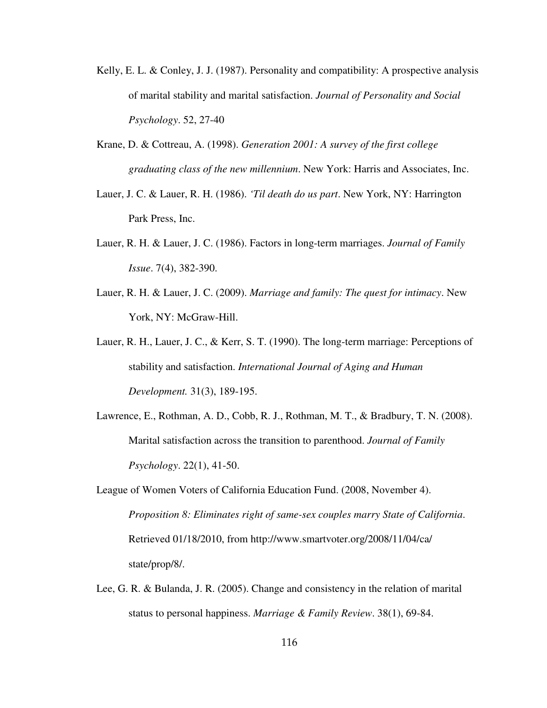- Kelly, E. L. & Conley, J. J. (1987). Personality and compatibility: A prospective analysis of marital stability and marital satisfaction. *Journal of Personality and Social Psychology*. 52, 27-40
- Krane, D. & Cottreau, A. (1998). *Generation 2001: A survey of the first college graduating class of the new millennium*. New York: Harris and Associates, Inc.
- Lauer, J. C. & Lauer, R. H. (1986). *'Til death do us part*. New York, NY: Harrington Park Press, Inc.
- Lauer, R. H. & Lauer, J. C. (1986). Factors in long-term marriages. *Journal of Family Issue*. 7(4), 382-390.
- Lauer, R. H. & Lauer, J. C. (2009). *Marriage and family: The quest for intimacy*. New York, NY: McGraw-Hill.
- Lauer, R. H., Lauer, J. C., & Kerr, S. T. (1990). The long-term marriage: Perceptions of stability and satisfaction. *International Journal of Aging and Human Development.* 31(3), 189-195.
- Lawrence, E., Rothman, A. D., Cobb, R. J., Rothman, M. T., & Bradbury, T. N. (2008). Marital satisfaction across the transition to parenthood. *Journal of Family Psychology*. 22(1), 41-50.
- League of Women Voters of California Education Fund. (2008, November 4). *Proposition 8: Eliminates right of same-sex couples marry State of California*. Retrieved 01/18/2010, from http://www.smartvoter.org/2008/11/04/ca/ state/prop/8/.
- Lee, G. R. & Bulanda, J. R. (2005). Change and consistency in the relation of marital status to personal happiness. *Marriage & Family Review*. 38(1), 69-84.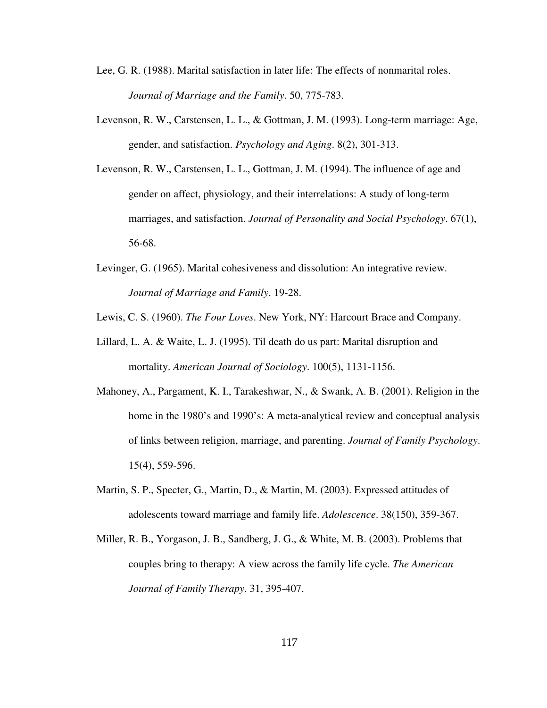- Lee, G. R. (1988). Marital satisfaction in later life: The effects of nonmarital roles. *Journal of Marriage and the Family*. 50, 775-783.
- Levenson, R. W., Carstensen, L. L., & Gottman, J. M. (1993). Long-term marriage: Age, gender, and satisfaction. *Psychology and Aging*. 8(2), 301-313.
- Levenson, R. W., Carstensen, L. L., Gottman, J. M. (1994). The influence of age and gender on affect, physiology, and their interrelations: A study of long-term marriages, and satisfaction. *Journal of Personality and Social Psychology*. 67(1), 56-68.
- Levinger, G. (1965). Marital cohesiveness and dissolution: An integrative review. *Journal of Marriage and Family*. 19-28.
- Lewis, C. S. (1960). *The Four Loves*. New York, NY: Harcourt Brace and Company.
- Lillard, L. A. & Waite, L. J. (1995). Til death do us part: Marital disruption and mortality. *American Journal of Sociology*. 100(5), 1131-1156.
- Mahoney, A., Pargament, K. I., Tarakeshwar, N., & Swank, A. B. (2001). Religion in the home in the 1980's and 1990's: A meta-analytical review and conceptual analysis of links between religion, marriage, and parenting. *Journal of Family Psychology*. 15(4), 559-596.
- Martin, S. P., Specter, G., Martin, D., & Martin, M. (2003). Expressed attitudes of adolescents toward marriage and family life. *Adolescence*. 38(150), 359-367.
- Miller, R. B., Yorgason, J. B., Sandberg, J. G., & White, M. B. (2003). Problems that couples bring to therapy: A view across the family life cycle. *The American Journal of Family Therapy*. 31, 395-407.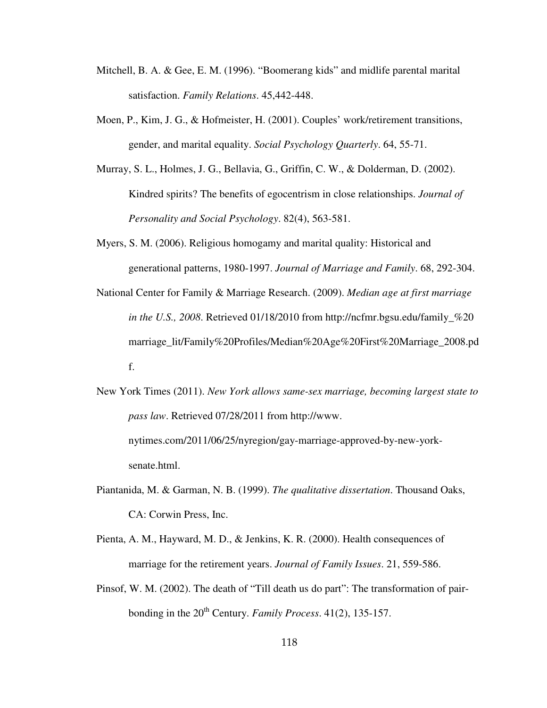- Mitchell, B. A. & Gee, E. M. (1996). "Boomerang kids" and midlife parental marital satisfaction. *Family Relations*. 45,442-448.
- Moen, P., Kim, J. G., & Hofmeister, H. (2001). Couples' work/retirement transitions, gender, and marital equality. *Social Psychology Quarterly*. 64, 55-71.
- Murray, S. L., Holmes, J. G., Bellavia, G., Griffin, C. W., & Dolderman, D. (2002). Kindred spirits? The benefits of egocentrism in close relationships. *Journal of Personality and Social Psychology*. 82(4), 563-581.
- Myers, S. M. (2006). Religious homogamy and marital quality: Historical and generational patterns, 1980-1997. *Journal of Marriage and Family*. 68, 292-304.
- National Center for Family & Marriage Research. (2009). *Median age at first marriage in the U.S., 2008*. Retrieved 01/18/2010 from http://ncfmr.bgsu.edu/family\_%20 marriage\_lit/Family%20Profiles/Median%20Age%20First%20Marriage\_2008.pd f.
- New York Times (2011). *New York allows same-sex marriage, becoming largest state to pass law*. Retrieved 07/28/2011 from http://www. nytimes.com/2011/06/25/nyregion/gay-marriage-approved-by-new-yorksenate.html.
- Piantanida, M. & Garman, N. B. (1999). *The qualitative dissertation*. Thousand Oaks, CA: Corwin Press, Inc.
- Pienta, A. M., Hayward, M. D., & Jenkins, K. R. (2000). Health consequences of marriage for the retirement years. *Journal of Family Issues*. 21, 559-586.
- Pinsof, W. M. (2002). The death of "Till death us do part": The transformation of pairbonding in the 20<sup>th</sup> Century. *Family Process*. 41(2), 135-157.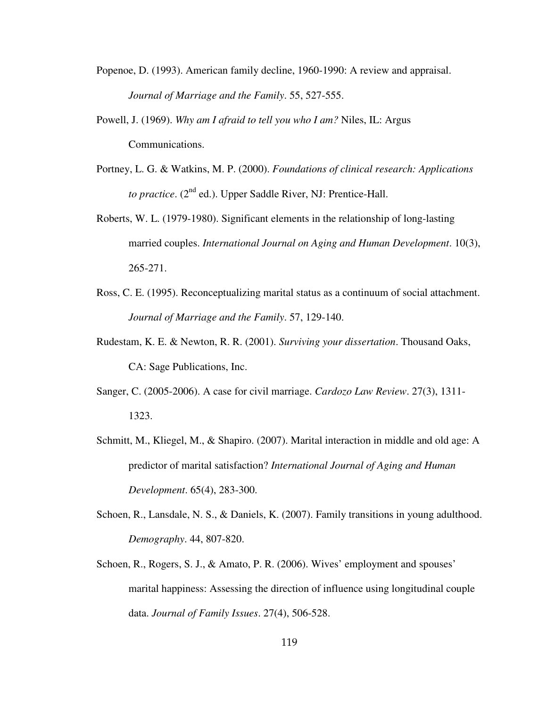- Popenoe, D. (1993). American family decline, 1960-1990: A review and appraisal. *Journal of Marriage and the Family*. 55, 527-555.
- Powell, J. (1969). *Why am I afraid to tell you who I am?* Niles, IL: Argus Communications.
- Portney, L. G. & Watkins, M. P. (2000). *Foundations of clinical research: Applications to practice*. (2<sup>nd</sup> ed.). Upper Saddle River, NJ: Prentice-Hall.
- Roberts, W. L. (1979-1980). Significant elements in the relationship of long-lasting married couples. *International Journal on Aging and Human Development*. 10(3), 265-271.
- Ross, C. E. (1995). Reconceptualizing marital status as a continuum of social attachment. *Journal of Marriage and the Family*. 57, 129-140.
- Rudestam, K. E. & Newton, R. R. (2001). *Surviving your dissertation*. Thousand Oaks, CA: Sage Publications, Inc.
- Sanger, C. (2005-2006). A case for civil marriage. *Cardozo Law Review*. 27(3), 1311- 1323.
- Schmitt, M., Kliegel, M., & Shapiro. (2007). Marital interaction in middle and old age: A predictor of marital satisfaction? *International Journal of Aging and Human Development*. 65(4), 283-300.
- Schoen, R., Lansdale, N. S., & Daniels, K. (2007). Family transitions in young adulthood. *Demography*. 44, 807-820.
- Schoen, R., Rogers, S. J., & Amato, P. R. (2006). Wives' employment and spouses' marital happiness: Assessing the direction of influence using longitudinal couple data. *Journal of Family Issues*. 27(4), 506-528.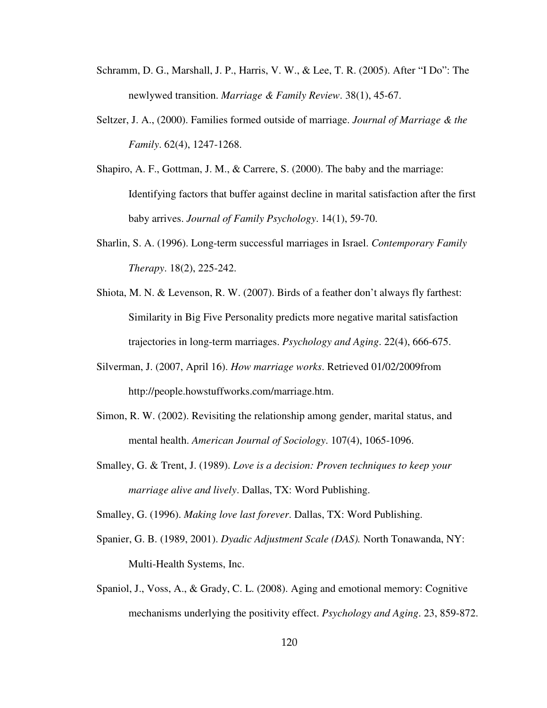- Schramm, D. G., Marshall, J. P., Harris, V. W., & Lee, T. R. (2005). After "I Do": The newlywed transition. *Marriage & Family Review*. 38(1), 45-67.
- Seltzer, J. A., (2000). Families formed outside of marriage. *Journal of Marriage & the Family*. 62(4), 1247-1268.
- Shapiro, A. F., Gottman, J. M., & Carrere, S. (2000). The baby and the marriage: Identifying factors that buffer against decline in marital satisfaction after the first baby arrives. *Journal of Family Psychology*. 14(1), 59-70.
- Sharlin, S. A. (1996). Long-term successful marriages in Israel. *Contemporary Family Therapy*. 18(2), 225-242.
- Shiota, M. N. & Levenson, R. W. (2007). Birds of a feather don't always fly farthest: Similarity in Big Five Personality predicts more negative marital satisfaction trajectories in long-term marriages. *Psychology and Aging*. 22(4), 666-675.
- Silverman, J. (2007, April 16). *How marriage works*. Retrieved 01/02/2009from http://people.howstuffworks.com/marriage.htm.
- Simon, R. W. (2002). Revisiting the relationship among gender, marital status, and mental health. *American Journal of Sociology*. 107(4), 1065-1096.
- Smalley, G. & Trent, J. (1989). *Love is a decision: Proven techniques to keep your marriage alive and lively*. Dallas, TX: Word Publishing.

Smalley, G. (1996). *Making love last forever*. Dallas, TX: Word Publishing.

- Spanier, G. B. (1989, 2001). *Dyadic Adjustment Scale (DAS).* North Tonawanda, NY: Multi-Health Systems, Inc.
- Spaniol, J., Voss, A., & Grady, C. L. (2008). Aging and emotional memory: Cognitive mechanisms underlying the positivity effect. *Psychology and Aging*. 23, 859-872.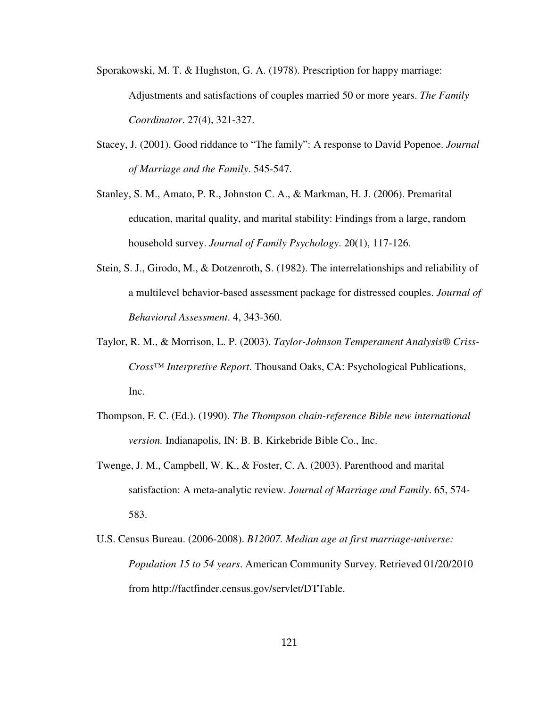- Sporakowski, M. T. & Hughston, G. A. (1978). Prescription for happy marriage: Adjustments and satisfactions of couples married 50 or more years. *The Family Coordinator*. 27(4), 321-327.
- Stacey, J. (2001). Good riddance to "The family": A response to David Popenoe. *Journal of Marriage and the Family*. 545-547.
- Stanley, S. M., Amato, P. R., Johnston C. A., & Markman, H. J. (2006). Premarital education, marital quality, and marital stability: Findings from a large, random household survey. *Journal of Family Psychology*. 20(1), 117-126.
- Stein, S. J., Girodo, M., & Dotzenroth, S. (1982). The interrelationships and reliability of a multilevel behavior-based assessment package for distressed couples. *Journal of Behavioral Assessment*. 4, 343-360.
- Taylor, R. M., & Morrison, L. P. (2003). *Taylor-Johnson Temperament Analysis® Criss-Cross™ Interpretive Report*. Thousand Oaks, CA: Psychological Publications, Inc.
- Thompson, F. C. (Ed.). (1990). *The Thompson chain-reference Bible new international version.* Indianapolis, IN: B. B. Kirkebride Bible Co., Inc.
- Twenge, J. M., Campbell, W. K., & Foster, C. A. (2003). Parenthood and marital satisfaction: A meta-analytic review. *Journal of Marriage and Family*. 65, 574- 583.
- U.S. Census Bureau. (2006-2008). *B12007. Median age at first marriage-universe: Population 15 to 54 years*. American Community Survey. Retrieved 01/20/2010 from http://factfinder.census.gov/servlet/DTTable.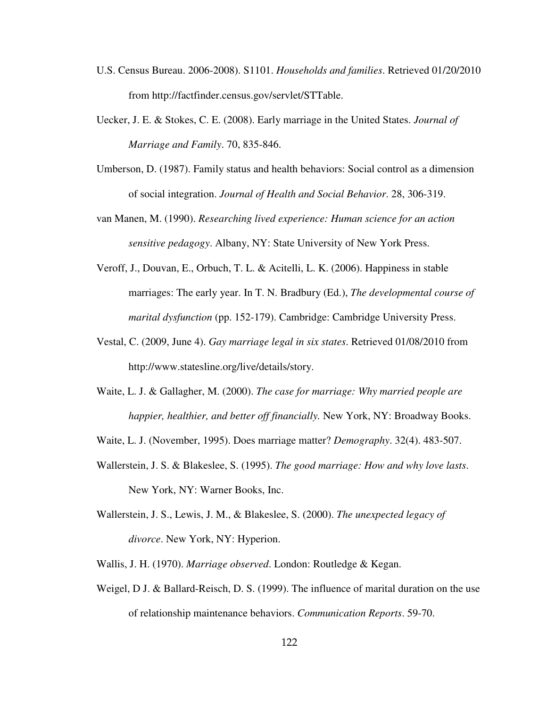- U.S. Census Bureau. 2006-2008). S1101. *Households and families*. Retrieved 01/20/2010 from http://factfinder.census.gov/servlet/STTable.
- Uecker, J. E. & Stokes, C. E. (2008). Early marriage in the United States. *Journal of Marriage and Family*. 70, 835-846.
- Umberson, D. (1987). Family status and health behaviors: Social control as a dimension of social integration. *Journal of Health and Social Behavior*. 28, 306-319.
- van Manen, M. (1990). *Researching lived experience: Human science for an action sensitive pedagogy*. Albany, NY: State University of New York Press.
- Veroff, J., Douvan, E., Orbuch, T. L. & Acitelli, L. K. (2006). Happiness in stable marriages: The early year. In T. N. Bradbury (Ed.), *The developmental course of marital dysfunction* (pp. 152-179). Cambridge: Cambridge University Press.
- Vestal, C. (2009, June 4). *Gay marriage legal in six states*. Retrieved 01/08/2010 from http://www.statesline.org/live/details/story.
- Waite, L. J. & Gallagher, M. (2000). *The case for marriage: Why married people are happier, healthier, and better off financially.* New York, NY: Broadway Books.
- Waite, L. J. (November, 1995). Does marriage matter? *Demography*. 32(4). 483-507.
- Wallerstein, J. S. & Blakeslee, S. (1995). *The good marriage: How and why love lasts*. New York, NY: Warner Books, Inc.
- Wallerstein, J. S., Lewis, J. M., & Blakeslee, S. (2000). *The unexpected legacy of divorce*. New York, NY: Hyperion.
- Wallis, J. H. (1970). *Marriage observed*. London: Routledge & Kegan.
- Weigel, D J. & Ballard-Reisch, D. S. (1999). The influence of marital duration on the use of relationship maintenance behaviors. *Communication Reports*. 59-70.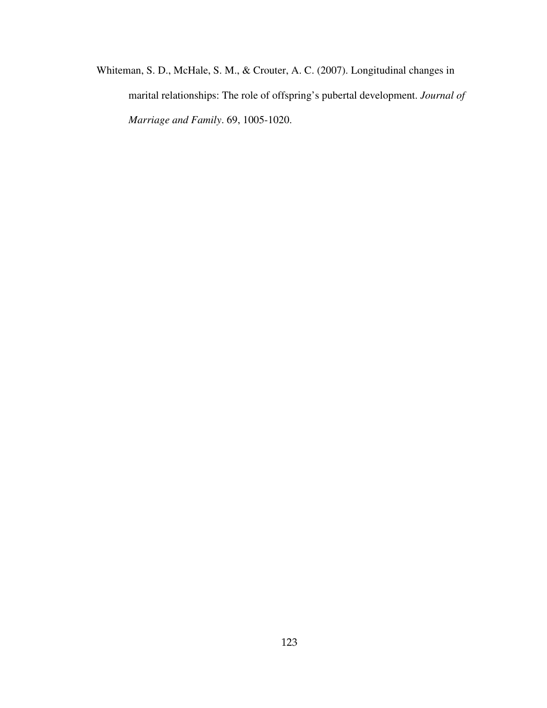Whiteman, S. D., McHale, S. M., & Crouter, A. C. (2007). Longitudinal changes in marital relationships: The role of offspring's pubertal development. *Journal of Marriage and Family*. 69, 1005-1020.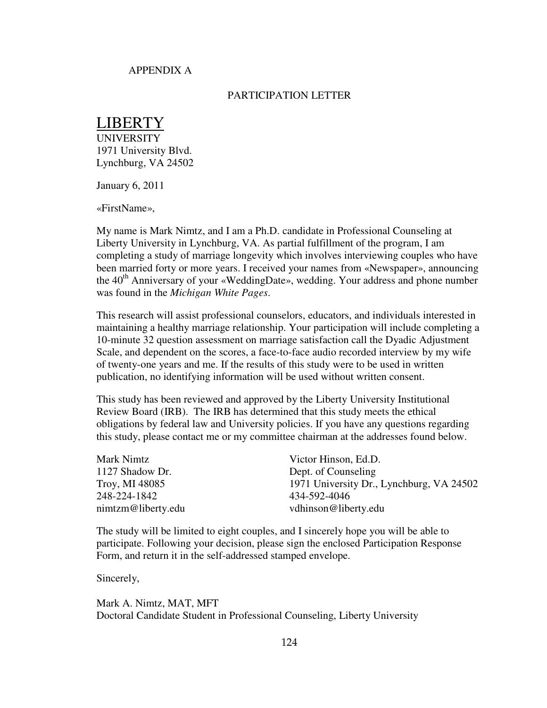## APPENDIX A

#### PARTICIPATION LETTER

## LIBERTY

UNIVERSITY 1971 University Blvd. Lynchburg, VA 24502

January 6, 2011

«FirstName»,

My name is Mark Nimtz, and I am a Ph.D. candidate in Professional Counseling at Liberty University in Lynchburg, VA. As partial fulfillment of the program, I am completing a study of marriage longevity which involves interviewing couples who have been married forty or more years. I received your names from «Newspaper», announcing the  $40<sup>th</sup>$  Anniversary of your «WeddingDate», wedding. Your address and phone number was found in the *Michigan White Pages*.

This research will assist professional counselors, educators, and individuals interested in maintaining a healthy marriage relationship. Your participation will include completing a 10-minute 32 question assessment on marriage satisfaction call the Dyadic Adjustment Scale, and dependent on the scores, a face-to-face audio recorded interview by my wife of twenty-one years and me. If the results of this study were to be used in written publication, no identifying information will be used without written consent.

This study has been reviewed and approved by the Liberty University Institutional Review Board (IRB). The IRB has determined that this study meets the ethical obligations by federal law and University policies. If you have any questions regarding this study, please contact me or my committee chairman at the addresses found below.

| Mark Nimtz         | Victor Hinson, Ed.D.                     |
|--------------------|------------------------------------------|
| 1127 Shadow Dr.    | Dept. of Counseling                      |
| Troy, MI 48085     | 1971 University Dr., Lynchburg, VA 24502 |
| 248-224-1842       | 434-592-4046                             |
| nimtzm@liberty.edu | vdhinson@liberty.edu                     |

The study will be limited to eight couples, and I sincerely hope you will be able to participate. Following your decision, please sign the enclosed Participation Response Form, and return it in the self-addressed stamped envelope.

Sincerely,

Mark A. Nimtz, MAT, MFT Doctoral Candidate Student in Professional Counseling, Liberty University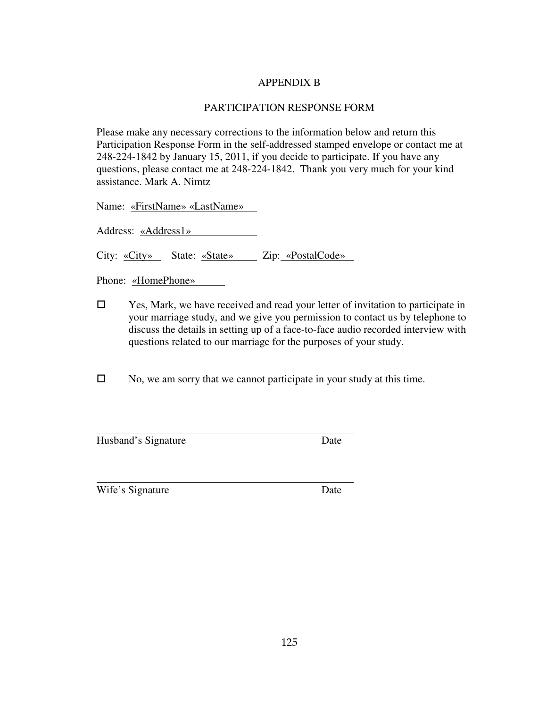## APPENDIX B

## PARTICIPATION RESPONSE FORM

Please make any necessary corrections to the information below and return this Participation Response Form in the self-addressed stamped envelope or contact me at 248-224-1842 by January 15, 2011, if you decide to participate. If you have any questions, please contact me at 248-224-1842. Thank you very much for your kind assistance. Mark A. Nimtz

Name: «FirstName» «LastName»

Address: «Address1»

City: «City» State: «State» Zip: «PostalCode»

Phone: «HomePhone»

- $\square$  Yes, Mark, we have received and read your letter of invitation to participate in your marriage study, and we give you permission to contact us by telephone to discuss the details in setting up of a face-to-face audio recorded interview with questions related to our marriage for the purposes of your study.
- $\Box$  No, we am sorry that we cannot participate in your study at this time.

Husband's Signature Date

 $\overline{a}$ 

 $\overline{a}$ Wife's Signature Date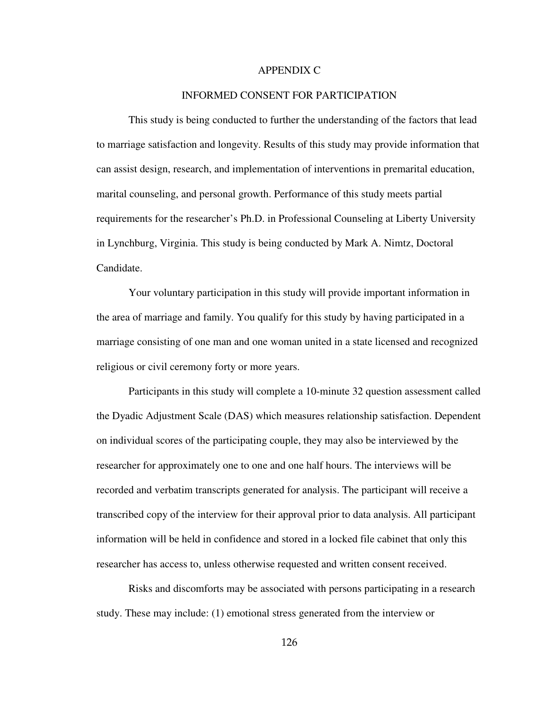#### APPENDIX C

#### INFORMED CONSENT FOR PARTICIPATION

This study is being conducted to further the understanding of the factors that lead to marriage satisfaction and longevity. Results of this study may provide information that can assist design, research, and implementation of interventions in premarital education, marital counseling, and personal growth. Performance of this study meets partial requirements for the researcher's Ph.D. in Professional Counseling at Liberty University in Lynchburg, Virginia. This study is being conducted by Mark A. Nimtz, Doctoral Candidate.

Your voluntary participation in this study will provide important information in the area of marriage and family. You qualify for this study by having participated in a marriage consisting of one man and one woman united in a state licensed and recognized religious or civil ceremony forty or more years.

Participants in this study will complete a 10-minute 32 question assessment called the Dyadic Adjustment Scale (DAS) which measures relationship satisfaction. Dependent on individual scores of the participating couple, they may also be interviewed by the researcher for approximately one to one and one half hours. The interviews will be recorded and verbatim transcripts generated for analysis. The participant will receive a transcribed copy of the interview for their approval prior to data analysis. All participant information will be held in confidence and stored in a locked file cabinet that only this researcher has access to, unless otherwise requested and written consent received.

Risks and discomforts may be associated with persons participating in a research study. These may include: (1) emotional stress generated from the interview or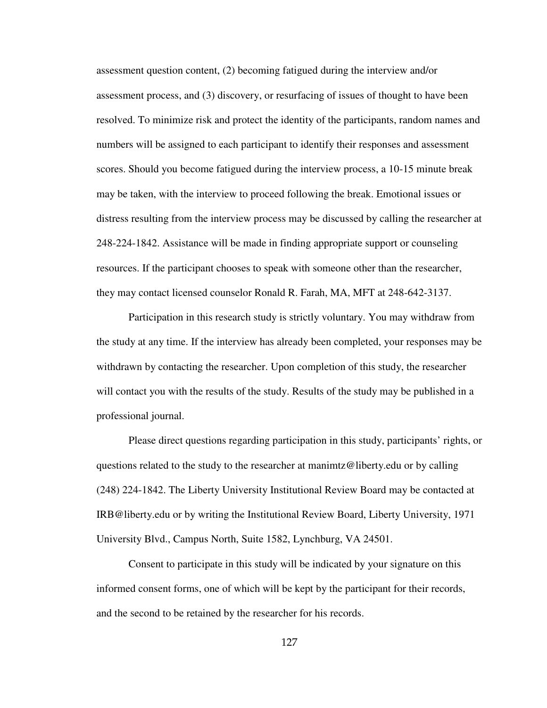assessment question content, (2) becoming fatigued during the interview and/or assessment process, and (3) discovery, or resurfacing of issues of thought to have been resolved. To minimize risk and protect the identity of the participants, random names and numbers will be assigned to each participant to identify their responses and assessment scores. Should you become fatigued during the interview process, a 10-15 minute break may be taken, with the interview to proceed following the break. Emotional issues or distress resulting from the interview process may be discussed by calling the researcher at 248-224-1842. Assistance will be made in finding appropriate support or counseling resources. If the participant chooses to speak with someone other than the researcher, they may contact licensed counselor Ronald R. Farah, MA, MFT at 248-642-3137.

Participation in this research study is strictly voluntary. You may withdraw from the study at any time. If the interview has already been completed, your responses may be withdrawn by contacting the researcher. Upon completion of this study, the researcher will contact you with the results of the study. Results of the study may be published in a professional journal.

Please direct questions regarding participation in this study, participants' rights, or questions related to the study to the researcher at manimtz@liberty.edu or by calling (248) 224-1842. The Liberty University Institutional Review Board may be contacted at IRB@liberty.edu or by writing the Institutional Review Board, Liberty University, 1971 University Blvd., Campus North, Suite 1582, Lynchburg, VA 24501.

Consent to participate in this study will be indicated by your signature on this informed consent forms, one of which will be kept by the participant for their records, and the second to be retained by the researcher for his records.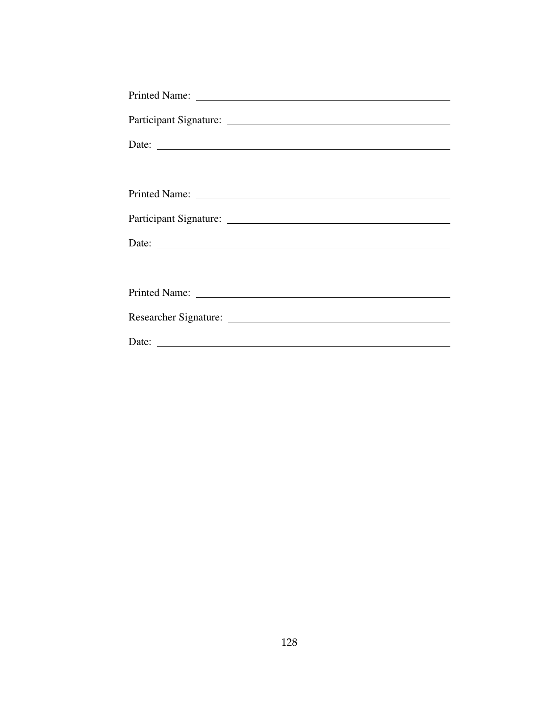| Date: |
|-------|
|       |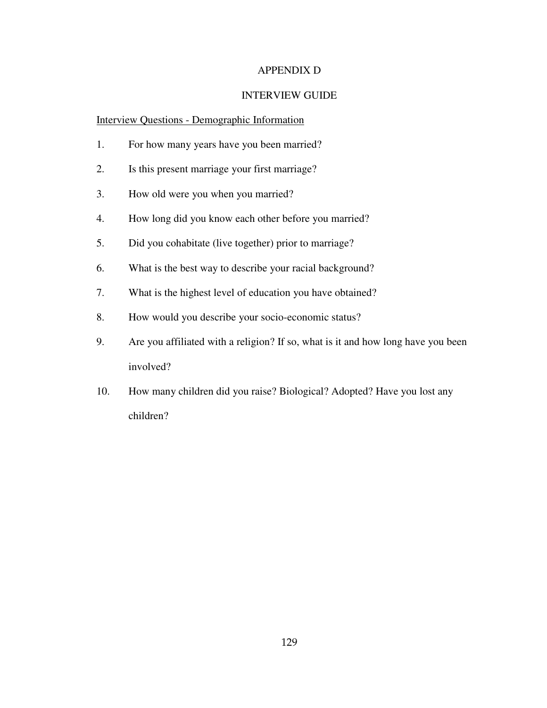## APPENDIX D

## INTERVIEW GUIDE

## Interview Questions - Demographic Information

- 1. For how many years have you been married?
- 2. Is this present marriage your first marriage?
- 3. How old were you when you married?
- 4. How long did you know each other before you married?
- 5. Did you cohabitate (live together) prior to marriage?
- 6. What is the best way to describe your racial background?
- 7. What is the highest level of education you have obtained?
- 8. How would you describe your socio-economic status?
- 9. Are you affiliated with a religion? If so, what is it and how long have you been involved?
- 10. How many children did you raise? Biological? Adopted? Have you lost any children?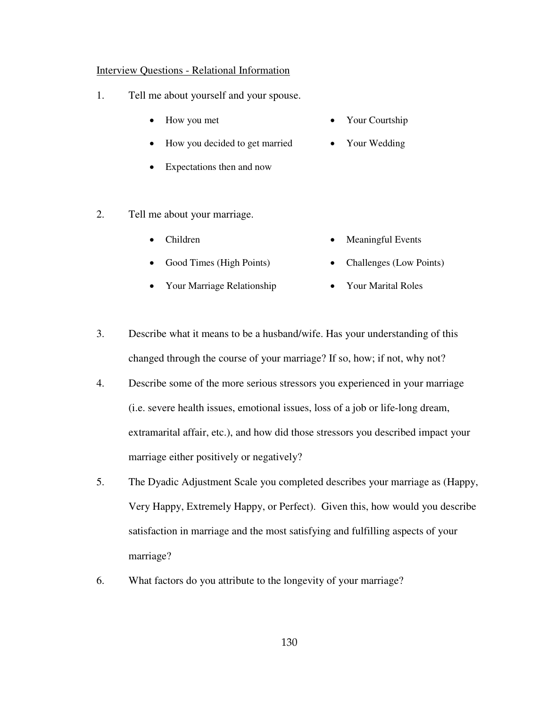#### Interview Questions - Relational Information

- 1. Tell me about yourself and your spouse.
	- How you met Your Courtship
	- How you decided to get married Your Wedding
	- Expectations then and now
- 2. Tell me about your marriage.
	- Children Meaningful Events
	- Good Times (High Points) Challenges (Low Points)
		- Your Marriage Relationship Your Marital Roles
- 3. Describe what it means to be a husband/wife. Has your understanding of this changed through the course of your marriage? If so, how; if not, why not?
- 4. Describe some of the more serious stressors you experienced in your marriage (i.e. severe health issues, emotional issues, loss of a job or life-long dream, extramarital affair, etc.), and how did those stressors you described impact your marriage either positively or negatively?
- 5. The Dyadic Adjustment Scale you completed describes your marriage as (Happy, Very Happy, Extremely Happy, or Perfect). Given this, how would you describe satisfaction in marriage and the most satisfying and fulfilling aspects of your marriage?
- 6. What factors do you attribute to the longevity of your marriage?
- 
-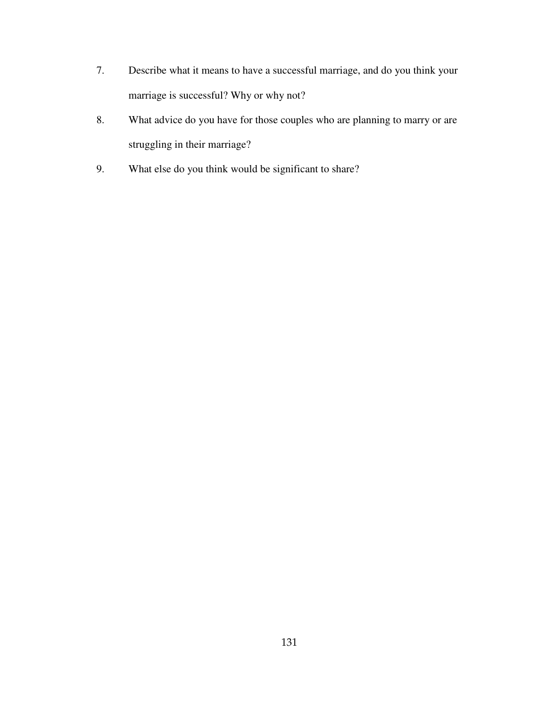- 7. Describe what it means to have a successful marriage, and do you think your marriage is successful? Why or why not?
- 8. What advice do you have for those couples who are planning to marry or are struggling in their marriage?
- 9. What else do you think would be significant to share?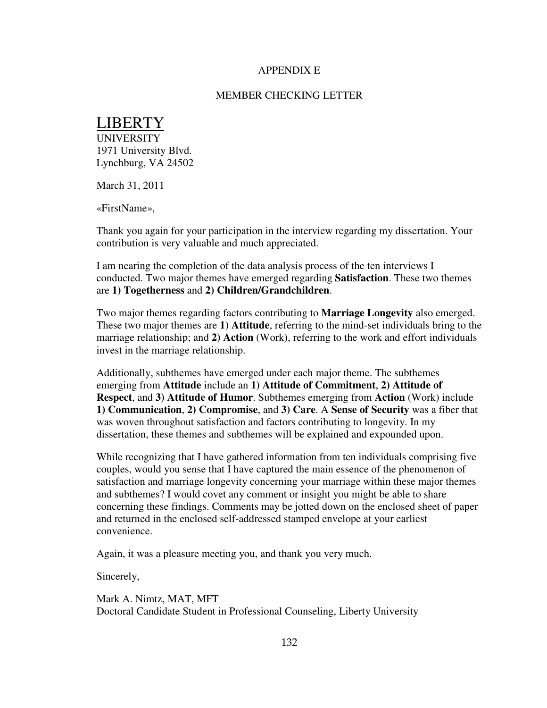#### APPENDIX E

## MEMBER CHECKING LETTER

# LIBERTY

UNIVERSITY 1971 University Blvd. Lynchburg, VA 24502

March 31, 2011

«FirstName»,

Thank you again for your participation in the interview regarding my dissertation. Your contribution is very valuable and much appreciated.

I am nearing the completion of the data analysis process of the ten interviews I conducted. Two major themes have emerged regarding **Satisfaction**. These two themes are **1) Togetherness** and **2) Children/Grandchildren**.

Two major themes regarding factors contributing to **Marriage Longevity** also emerged. These two major themes are **1) Attitude**, referring to the mind-set individuals bring to the marriage relationship; and **2) Action** (Work), referring to the work and effort individuals invest in the marriage relationship.

Additionally, subthemes have emerged under each major theme. The subthemes emerging from **Attitude** include an **1) Attitude of Commitment**, **2) Attitude of Respect**, and **3) Attitude of Humor**. Subthemes emerging from **Action** (Work) include **1) Communication**, **2) Compromise**, and **3) Care**. A **Sense of Security** was a fiber that was woven throughout satisfaction and factors contributing to longevity. In my dissertation, these themes and subthemes will be explained and expounded upon.

While recognizing that I have gathered information from ten individuals comprising five couples, would you sense that I have captured the main essence of the phenomenon of satisfaction and marriage longevity concerning your marriage within these major themes and subthemes? I would covet any comment or insight you might be able to share concerning these findings. Comments may be jotted down on the enclosed sheet of paper and returned in the enclosed self-addressed stamped envelope at your earliest convenience.

Again, it was a pleasure meeting you, and thank you very much.

Sincerely,

Mark A. Nimtz, MAT, MFT Doctoral Candidate Student in Professional Counseling, Liberty University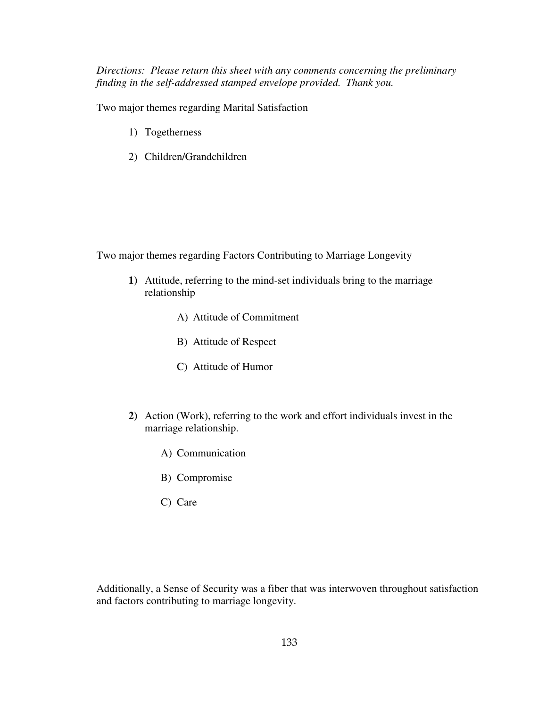*Directions: Please return this sheet with any comments concerning the preliminary finding in the self-addressed stamped envelope provided. Thank you.* 

Two major themes regarding Marital Satisfaction

- 1) Togetherness
- 2) Children/Grandchildren

Two major themes regarding Factors Contributing to Marriage Longevity

- **1)** Attitude, referring to the mind-set individuals bring to the marriage relationship
	- A) Attitude of Commitment
	- B) Attitude of Respect
	- C) Attitude of Humor
- **2)** Action (Work), referring to the work and effort individuals invest in the marriage relationship.
	- A) Communication
	- B) Compromise
	- C) Care

Additionally, a Sense of Security was a fiber that was interwoven throughout satisfaction and factors contributing to marriage longevity.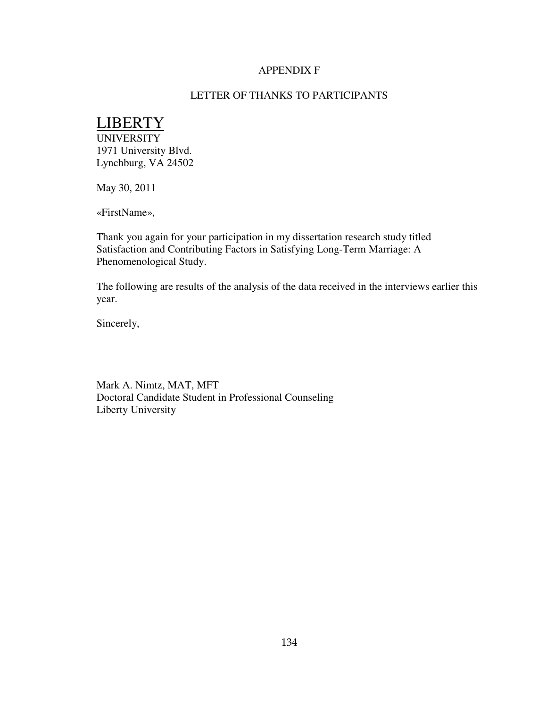#### APPENDIX F

## LETTER OF THANKS TO PARTICIPANTS

# LIBERTY

UNIVERSITY 1971 University Blvd. Lynchburg, VA 24502

May 30, 2011

«FirstName»,

Thank you again for your participation in my dissertation research study titled Satisfaction and Contributing Factors in Satisfying Long-Term Marriage: A Phenomenological Study.

The following are results of the analysis of the data received in the interviews earlier this year.

Sincerely,

Mark A. Nimtz, MAT, MFT Doctoral Candidate Student in Professional Counseling Liberty University